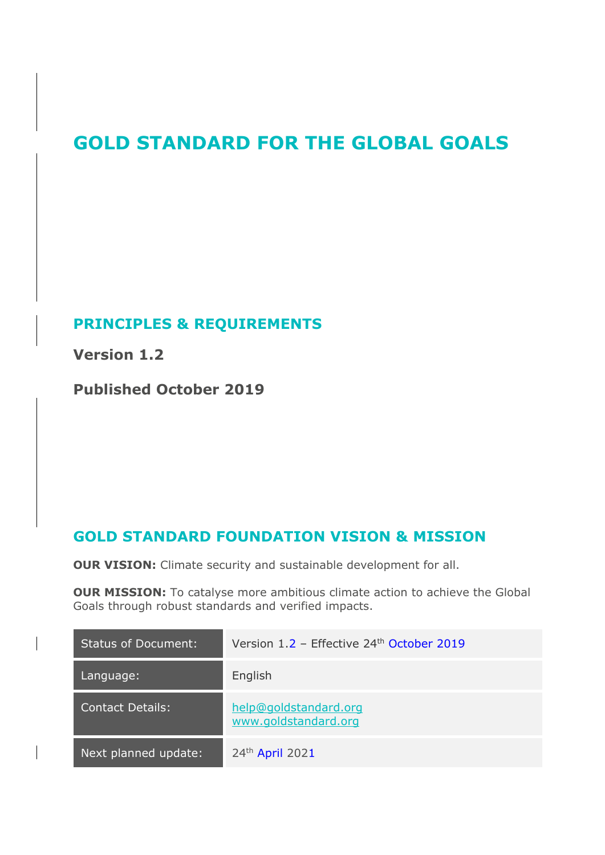# **GOLD STANDARD FOR THE GLOBAL GOALS**

# **PRINCIPLES & REQUIREMENTS**

**Version 1.2** 

**Published October 2019**

# **GOLD STANDARD FOUNDATION VISION & MISSION**

**OUR VISION:** Climate security and sustainable development for all.

**OUR MISSION:** To catalyse more ambitious climate action to achieve the Global Goals through robust standards and verified impacts.

| <b>Status of Document:</b> | Version $1.2$ – Effective 24 <sup>th</sup> October 2019 |
|----------------------------|---------------------------------------------------------|
| Language:                  | English                                                 |
| Contact Details:           | help@goldstandard.org<br>www.goldstandard.org           |
| Next planned update:       | 24th April 2021                                         |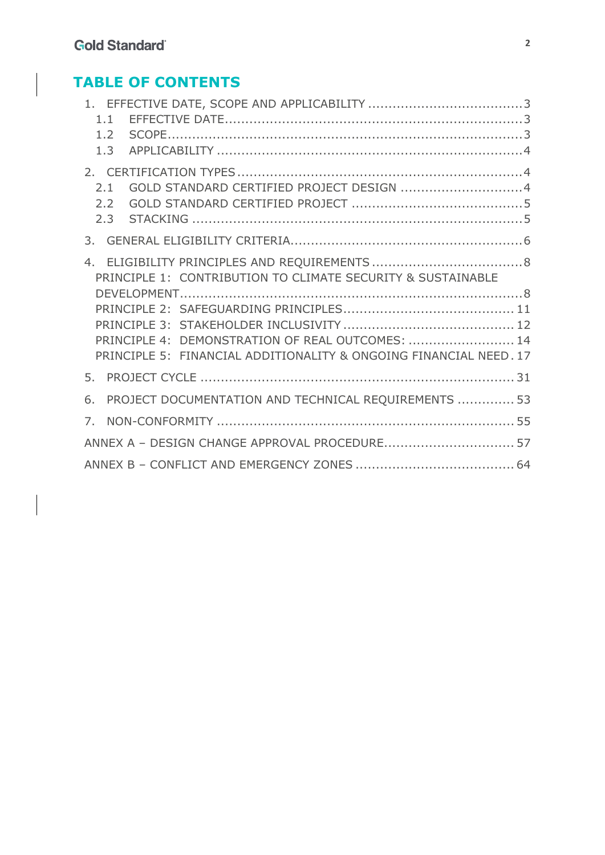# **TABLE OF CONTENTS**

| 1.1                                                               |  |
|-------------------------------------------------------------------|--|
| 1.2                                                               |  |
| 1.3                                                               |  |
|                                                                   |  |
| GOLD STANDARD CERTIFIED PROJECT DESIGN 4<br>2.1                   |  |
| 2.2                                                               |  |
| 2.3                                                               |  |
| 3.                                                                |  |
|                                                                   |  |
|                                                                   |  |
| PRINCIPLE 1: CONTRIBUTION TO CLIMATE SECURITY & SUSTAINABLE       |  |
|                                                                   |  |
|                                                                   |  |
|                                                                   |  |
|                                                                   |  |
| PRINCIPLE 4: DEMONSTRATION OF REAL OUTCOMES:  14                  |  |
| PRINCIPLE 5: FINANCIAL ADDITIONALITY & ONGOING FINANCIAL NEED. 17 |  |
| 5.                                                                |  |
| PROJECT DOCUMENTATION AND TECHNICAL REQUIREMENTS  53<br>6.        |  |
| 7.                                                                |  |
|                                                                   |  |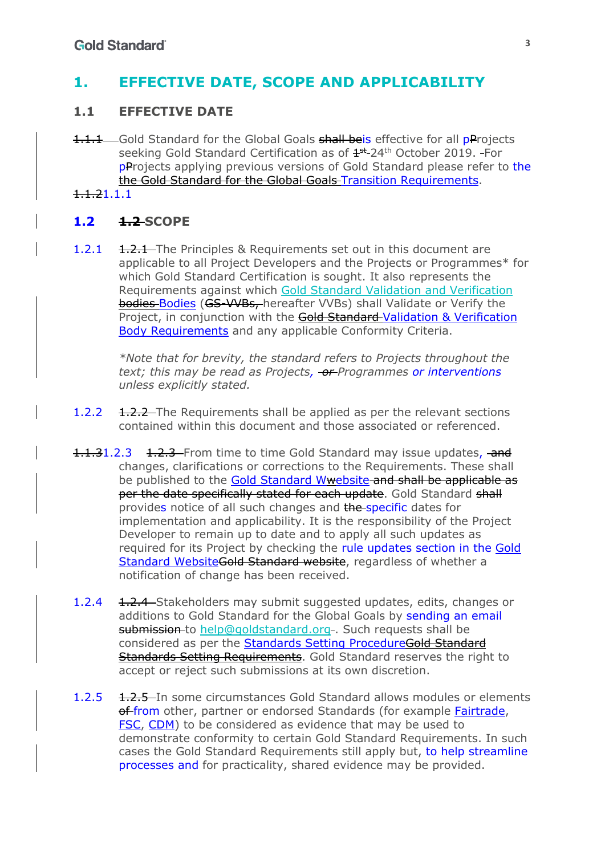# **1. EFFECTIVE DATE, SCOPE AND APPLICABILITY**

## **1.1 EFFECTIVE DATE**

- 1.1.1 Gold Standard for the Global Goals shall beis effective for all pProjects seeking Gold Standard Certification as of  $4<sup>st</sup>$  24<sup>th</sup> October 2019. For **pProjects applying previous versions of Gold Standard please refer to the** the Gold Standard for the Global Goals Transition Requirements.
- 1.1.21.1.1

## **1.2 1.2 SCOPE**

1.2.1 1.2.1 The Principles & Requirements set out in this document are applicable to all Project Developers and the Projects or Programmes\* for which Gold Standard Certification is sought. It also represents the Requirements against which Gold Standard Validation and Verification bodies Bodies (GS-VVBs, hereafter VVBs) shall Validate or Verify the Project, in conjunction with the Gold Standard Validation & Verification Body Requirements and any applicable Conformity Criteria.

*\*Note that for brevity, the standard refers to Projects throughout the*  text; this may be read as Projects, **-or-**Programmes or interventions *unless explicitly stated.* 

- 1.2.2 1.2.2 The Requirements shall be applied as per the relevant sections contained within this document and those associated or referenced.
- 1.1.31.2.3 1.2.3 From time to time Gold Standard may issue updates, and changes, clarifications or corrections to the Requirements. These shall be published to the Gold Standard Wwebsite and shall be applicable as per the date specifically stated for each update. Gold Standard shall provides notice of all such changes and the specific dates for implementation and applicability. It is the responsibility of the Project Developer to remain up to date and to apply all such updates as required for its Project by checking the rule updates section in the Gold Standard WebsiteGold Standard website, regardless of whether a notification of change has been received.
- 1.2.4 1.2.4 Stakeholders may submit suggested updates, edits, changes or additions to Gold Standard for the Global Goals by sending an email submission to help@goldstandard.org-. Such requests shall be considered as per the Standards Setting ProcedureGold Standard Standards Setting Requirements. Gold Standard reserves the right to accept or reject such submissions at its own discretion.
- 1.2.5 1.2.5 In some circumstances Gold Standard allows modules or elements of from other, partner or endorsed Standards (for example Fairtrade, FSC, CDM) to be considered as evidence that may be used to demonstrate conformity to certain Gold Standard Requirements. In such cases the Gold Standard Requirements still apply but, to help streamline processes and for practicality, shared evidence may be provided.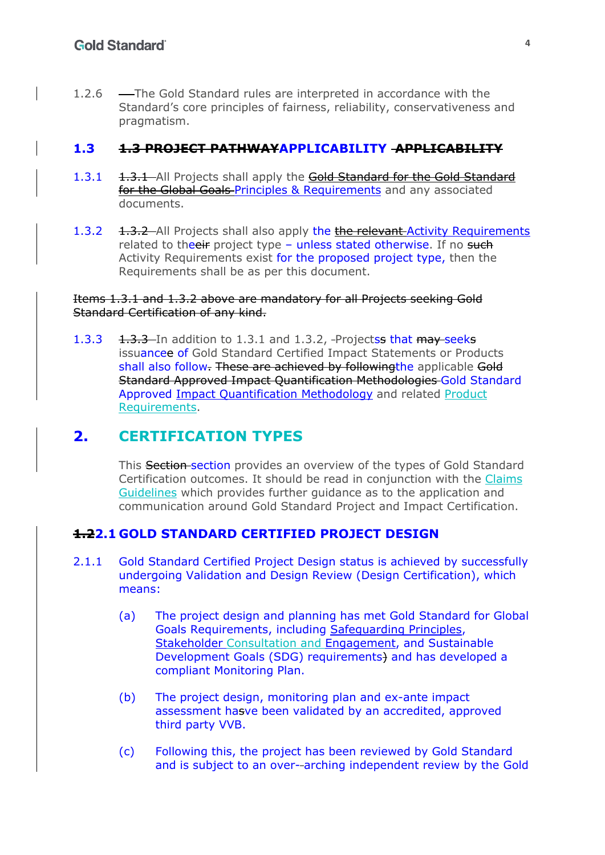1.2.6 -The Gold Standard rules are interpreted in accordance with the Standard's core principles of fairness, reliability, conservativeness and pragmatism.

### **1.3 1.3 PROJECT PATHWAYAPPLICABILITY APPLICABILITY**

- 1.3.1 1.3.1 All Projects shall apply the Gold Standard for the Gold Standard for the Global Goals-Principles & Requirements and any associated documents.
- 1.3.2 1.3.2 All Projects shall also apply the the relevant Activity Requirements related to theeir project type - unless stated otherwise. If no such Activity Requirements exist for the proposed project type, then the Requirements shall be as per this document.

#### Items 1.3.1 and 1.3.2 above are mandatory for all Projects seeking Gold Standard Certification of any kind.

1.3.3 1.3.3 In addition to 1.3.1 and 1.3.2, Projectss that may seeks issuancee of Gold Standard Certified Impact Statements or Products shall also follow. These are achieved by followingthe applicable Gold Standard Approved Impact Quantification Methodologies Gold Standard Approved Impact Quantification Methodology and related Product Requirements.

# **2. CERTIFICATION TYPES**

This Section section provides an overview of the types of Gold Standard Certification outcomes. It should be read in conjunction with the Claims Guidelines which provides further guidance as to the application and communication around Gold Standard Project and Impact Certification.

## **1.22.1 GOLD STANDARD CERTIFIED PROJECT DESIGN**

- 2.1.1 Gold Standard Certified Project Design status is achieved by successfully undergoing Validation and Design Review (Design Certification), which means:
	- (a) The project design and planning has met Gold Standard for Global Goals Requirements, including Safeguarding Principles, Stakeholder Consultation and Engagement, and Sustainable Development Goals (SDG) requirements) and has developed a compliant Monitoring Plan.
	- (b) The project design, monitoring plan and ex-ante impact assessment hasve been validated by an accredited, approved third party VVB.
	- (c) Following this, the project has been reviewed by Gold Standard and is subject to an over- arching independent review by the Gold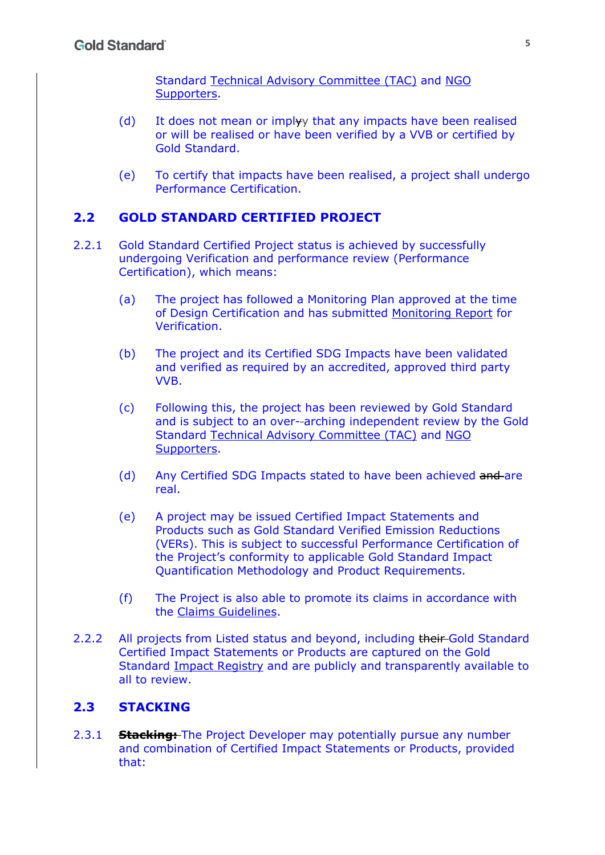Standard Technical Advisory Committee (TAC) and NGO Supporters.

- (d) It does not mean or implyy that any impacts have been realised or will be realised or have been verified by a VVB or certified by Gold Standard.
- (e) To certify that impacts have been realised, a project shall undergo Performance Certification.

## **2.2 GOLD STANDARD CERTIFIED PROJECT**

- 2.2.1 Gold Standard Certified Project status is achieved by successfully undergoing Verification and performance review (Performance Certification), which means:
	- (a) The project has followed a Monitoring Plan approved at the time of Design Certification and has submitted Monitoring Report for Verification.
	- (b) The project and its Certified SDG Impacts have been validated and verified as required by an accredited, approved third party VVB.
	- (c) Following this, the project has been reviewed by Gold Standard and is subject to an over- arching independent review by the Gold Standard Technical Advisory Committee (TAC) and NGO Supporters.
	- (d) Any Certified SDG Impacts stated to have been achieved and are real.
	- (e) A project may be issued Certified Impact Statements and Products such as Gold Standard Verified Emission Reductions (VERs). This is subject to successful Performance Certification of the Project's conformity to applicable Gold Standard Impact Quantification Methodology and Product Requirements.
	- (f) The Project is also able to promote its claims in accordance with the Claims Guidelines.
- 2.2.2 All projects from Listed status and beyond, including their Gold Standard Certified Impact Statements or Products are captured on the Gold Standard Impact Registry and are publicly and transparently available to all to review.

#### **2.3 STACKING**

2.3.1 **Stacking:** The Project Developer may potentially pursue any number and combination of Certified Impact Statements or Products, provided that: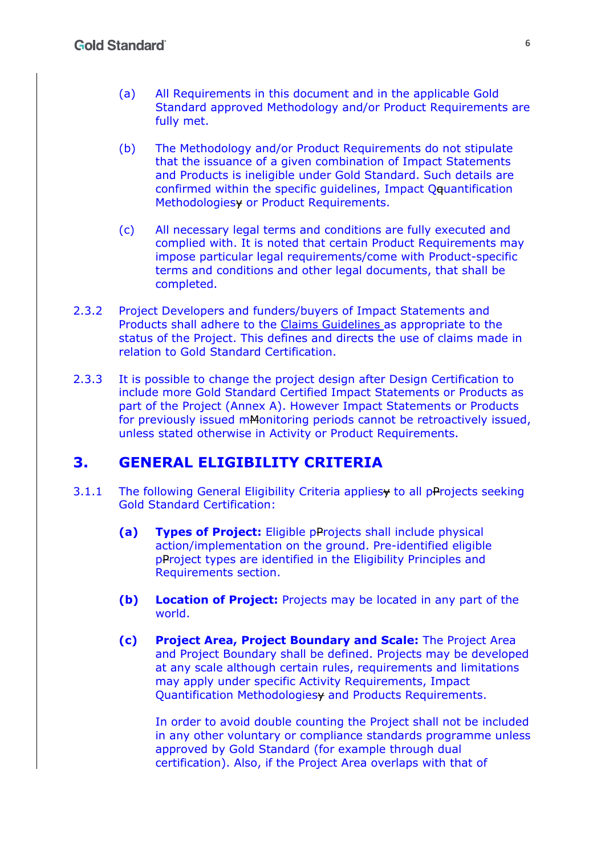- (a) All Requirements in this document and in the applicable Gold Standard approved Methodology and/or Product Requirements are fully met.
- (b) The Methodology and/or Product Requirements do not stipulate that the issuance of a given combination of Impact Statements and Products is ineligible under Gold Standard. Such details are confirmed within the specific guidelines, Impact Qquantification Methodologiesy or Product Requirements.
- (c) All necessary legal terms and conditions are fully executed and complied with. It is noted that certain Product Requirements may impose particular legal requirements/come with Product-specific terms and conditions and other legal documents, that shall be completed.
- 2.3.2 Project Developers and funders/buyers of Impact Statements and Products shall adhere to the Claims Guidelines as appropriate to the status of the Project. This defines and directs the use of claims made in relation to Gold Standard Certification.
- 2.3.3 It is possible to change the project design after Design Certification to include more Gold Standard Certified Impact Statements or Products as part of the Project (Annex A). However Impact Statements or Products for previously issued mMonitoring periods cannot be retroactively issued, unless stated otherwise in Activity or Product Requirements.

## **3. GENERAL ELIGIBILITY CRITERIA**

- 3.1.1 The following General Eligibility Criteria appliesy to all pProjects seeking Gold Standard Certification:
	- **(a) Types of Project:** Eligible pProjects shall include physical action/implementation on the ground. Pre-identified eligible pProject types are identified in the Eligibility Principles and Requirements section.
	- **(b) Location of Project:** Projects may be located in any part of the world.
	- **(c) Project Area, Project Boundary and Scale:** The Project Area and Project Boundary shall be defined. Projects may be developed at any scale although certain rules, requirements and limitations may apply under specific Activity Requirements, Impact Quantification Methodologiesy and Products Requirements.

In order to avoid double counting the Project shall not be included in any other voluntary or compliance standards programme unless approved by Gold Standard (for example through dual certification). Also, if the Project Area overlaps with that of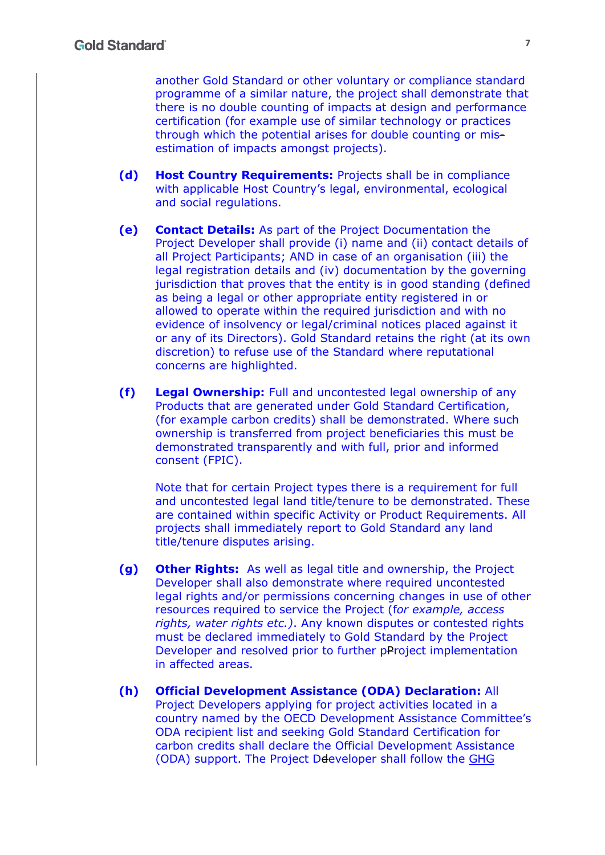another Gold Standard or other voluntary or compliance standard programme of a similar nature, the project shall demonstrate that there is no double counting of impacts at design and performance certification (for example use of similar technology or practices through which the potential arises for double counting or misestimation of impacts amongst projects).

- **(d) Host Country Requirements:** Projects shall be in compliance with applicable Host Country's legal, environmental, ecological and social regulations.
- **(e) Contact Details:** As part of the Project Documentation the Project Developer shall provide (i) name and (ii) contact details of all Project Participants; AND in case of an organisation (iii) the legal registration details and (iv) documentation by the governing jurisdiction that proves that the entity is in good standing (defined as being a legal or other appropriate entity registered in or allowed to operate within the required jurisdiction and with no evidence of insolvency or legal/criminal notices placed against it or any of its Directors). Gold Standard retains the right (at its own discretion) to refuse use of the Standard where reputational concerns are highlighted.
- **(f) Legal Ownership:** Full and uncontested legal ownership of any Products that are generated under Gold Standard Certification, (for example carbon credits) shall be demonstrated. Where such ownership is transferred from project beneficiaries this must be demonstrated transparently and with full, prior and informed consent (FPIC).

Note that for certain Project types there is a requirement for full and uncontested legal land title/tenure to be demonstrated. These are contained within specific Activity or Product Requirements. All projects shall immediately report to Gold Standard any land title/tenure disputes arising.

- **(g) Other Rights:** As well as legal title and ownership, the Project Developer shall also demonstrate where required uncontested legal rights and/or permissions concerning changes in use of other resources required to service the Project (f*or example, access rights, water rights etc.)*. Any known disputes or contested rights must be declared immediately to Gold Standard by the Project Developer and resolved prior to further pProject implementation in affected areas.
- **(h) Official Development Assistance (ODA) Declaration:** All Project Developers applying for project activities located in a country named by the OECD Development Assistance Committee's ODA recipient list and seeking Gold Standard Certification for carbon credits shall declare the Official Development Assistance (ODA) support. The Project Ddeveloper shall follow the GHG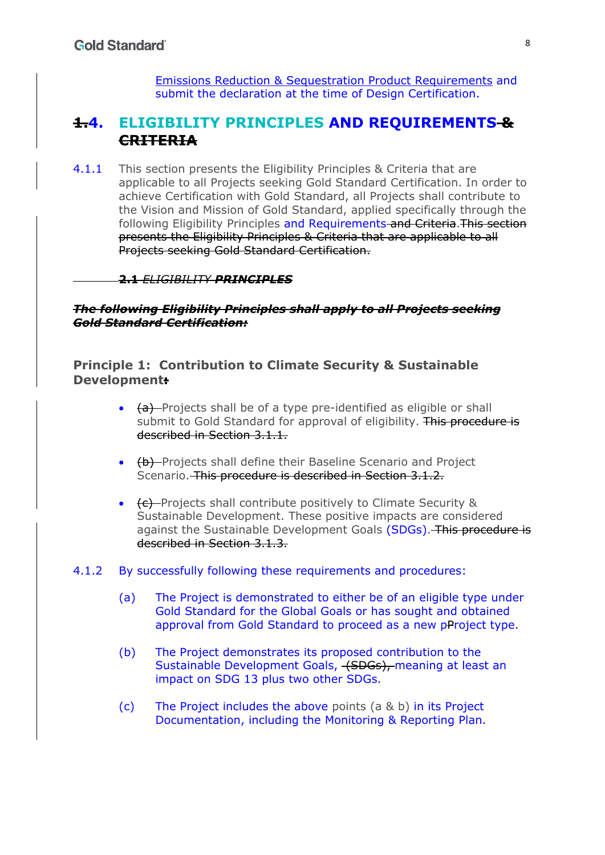Emissions Reduction & Sequestration Product Requirements and submit the declaration at the time of Design Certification.

# **1.4. ELIGIBILITY PRINCIPLES AND REQUIREMENTS & CRITERIA**

4.1.1 This section presents the Eligibility Principles & Criteria that are applicable to all Projects seeking Gold Standard Certification. In order to achieve Certification with Gold Standard, all Projects shall contribute to the Vision and Mission of Gold Standard, applied specifically through the following Eligibility Principles and Requirements and Criteria. This section presents the Eligibility Principles & Criteria that are applicable to all Projects seeking Gold Standard Certification.

#### **2.1** *ELIGIBILITY PRINCIPLES*

*The following Eligibility Principles shall apply to all Projects seeking Gold Standard Certification:*

**Principle 1: Contribution to Climate Security & Sustainable Development:**

- $\bullet$  (a) Projects shall be of a type pre-identified as eligible or shall submit to Gold Standard for approval of eligibility. This procedure is described in Section 3.1.1.
- (b) Projects shall define their Baseline Scenario and Project Scenario. This procedure is described in Section 3.1.2.
- (c) Projects shall contribute positively to Climate Security & Sustainable Development. These positive impacts are considered against the Sustainable Development Goals (SDGs). This procedure is described in Section 3.1.3.

#### 4.1.2 By successfully following these requirements and procedures:

- (a) The Project is demonstrated to either be of an eligible type under Gold Standard for the Global Goals or has sought and obtained approval from Gold Standard to proceed as a new pProject type.
- (b) The Project demonstrates its proposed contribution to the Sustainable Development Goals, (SDGs), meaning at least an impact on SDG 13 plus two other SDGs.
- (c) The Project includes the above points (a & b) in its Project Documentation, including the Monitoring & Reporting Plan.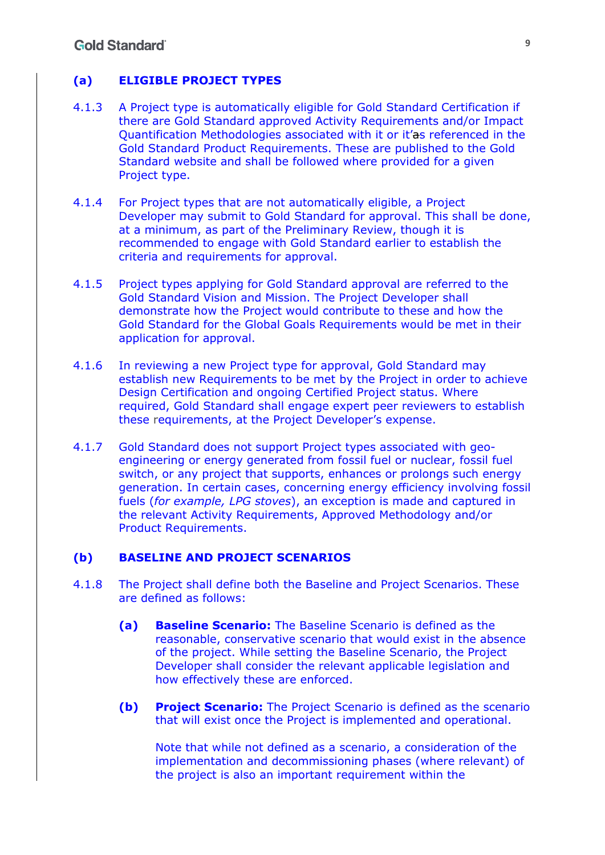#### **(a) ELIGIBLE PROJECT TYPES**

- 4.1.3 A Project type is automatically eligible for Gold Standard Certification if there are Gold Standard approved Activity Requirements and/or Impact Quantification Methodologies associated with it or it'as referenced in the Gold Standard Product Requirements. These are published to the Gold Standard website and shall be followed where provided for a given Project type.
- 4.1.4 For Project types that are not automatically eligible, a Project Developer may submit to Gold Standard for approval. This shall be done, at a minimum, as part of the Preliminary Review, though it is recommended to engage with Gold Standard earlier to establish the criteria and requirements for approval.
- 4.1.5 Project types applying for Gold Standard approval are referred to the Gold Standard Vision and Mission. The Project Developer shall demonstrate how the Project would contribute to these and how the Gold Standard for the Global Goals Requirements would be met in their application for approval.
- 4.1.6 In reviewing a new Project type for approval, Gold Standard may establish new Requirements to be met by the Project in order to achieve Design Certification and ongoing Certified Project status. Where required, Gold Standard shall engage expert peer reviewers to establish these requirements, at the Project Developer's expense.
- 4.1.7 Gold Standard does not support Project types associated with geoengineering or energy generated from fossil fuel or nuclear, fossil fuel switch, or any project that supports, enhances or prolongs such energy generation. In certain cases, concerning energy efficiency involving fossil fuels (*for example, LPG stoves*), an exception is made and captured in the relevant Activity Requirements, Approved Methodology and/or Product Requirements.

#### **(b) BASELINE AND PROJECT SCENARIOS**

- 4.1.8 The Project shall define both the Baseline and Project Scenarios. These are defined as follows:
	- **(a) Baseline Scenario:** The Baseline Scenario is defined as the reasonable, conservative scenario that would exist in the absence of the project. While setting the Baseline Scenario, the Project Developer shall consider the relevant applicable legislation and how effectively these are enforced.
	- **(b) Project Scenario:** The Project Scenario is defined as the scenario that will exist once the Project is implemented and operational.

Note that while not defined as a scenario, a consideration of the implementation and decommissioning phases (where relevant) of the project is also an important requirement within the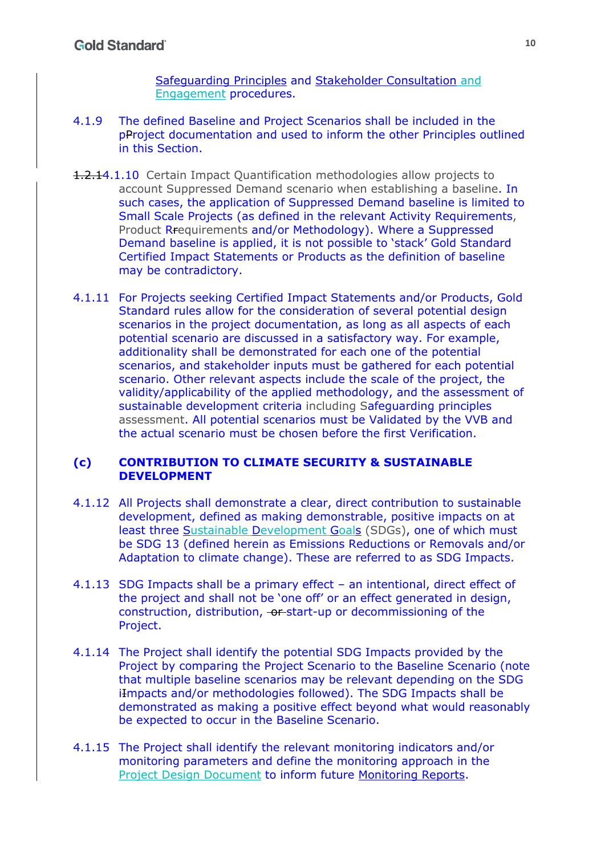Safeguarding Principles and Stakeholder Consultation and Engagement procedures.

- 4.1.9 The defined Baseline and Project Scenarios shall be included in the pProject documentation and used to inform the other Principles outlined in this Section.
- 1.2.14.1.10 Certain Impact Quantification methodologies allow projects to account Suppressed Demand scenario when establishing a baseline. In such cases, the application of Suppressed Demand baseline is limited to Small Scale Projects (as defined in the relevant Activity Requirements, Product Rrequirements and/or Methodology). Where a Suppressed Demand baseline is applied, it is not possible to 'stack' Gold Standard Certified Impact Statements or Products as the definition of baseline may be contradictory.
- 4.1.11 For Projects seeking Certified Impact Statements and/or Products, Gold Standard rules allow for the consideration of several potential design scenarios in the project documentation, as long as all aspects of each potential scenario are discussed in a satisfactory way. For example, additionality shall be demonstrated for each one of the potential scenarios, and stakeholder inputs must be gathered for each potential scenario. Other relevant aspects include the scale of the project, the validity/applicability of the applied methodology, and the assessment of sustainable development criteria including Safeguarding principles assessment. All potential scenarios must be Validated by the VVB and the actual scenario must be chosen before the first Verification.

#### **(c) CONTRIBUTION TO CLIMATE SECURITY & SUSTAINABLE DEVELOPMENT**

- 4.1.12 All Projects shall demonstrate a clear, direct contribution to sustainable development, defined as making demonstrable, positive impacts on at least three Sustainable Development Goals (SDGs), one of which must be SDG 13 (defined herein as Emissions Reductions or Removals and/or Adaptation to climate change). These are referred to as SDG Impacts.
- 4.1.13 SDG Impacts shall be a primary effect an intentional, direct effect of the project and shall not be 'one off' or an effect generated in design, construction, distribution, or start-up or decommissioning of the Project.
- 4.1.14 The Project shall identify the potential SDG Impacts provided by the Project by comparing the Project Scenario to the Baseline Scenario (note that multiple baseline scenarios may be relevant depending on the SDG iImpacts and/or methodologies followed). The SDG Impacts shall be demonstrated as making a positive effect beyond what would reasonably be expected to occur in the Baseline Scenario.
- 4.1.15 The Project shall identify the relevant monitoring indicators and/or monitoring parameters and define the monitoring approach in the Project Design Document to inform future Monitoring Reports.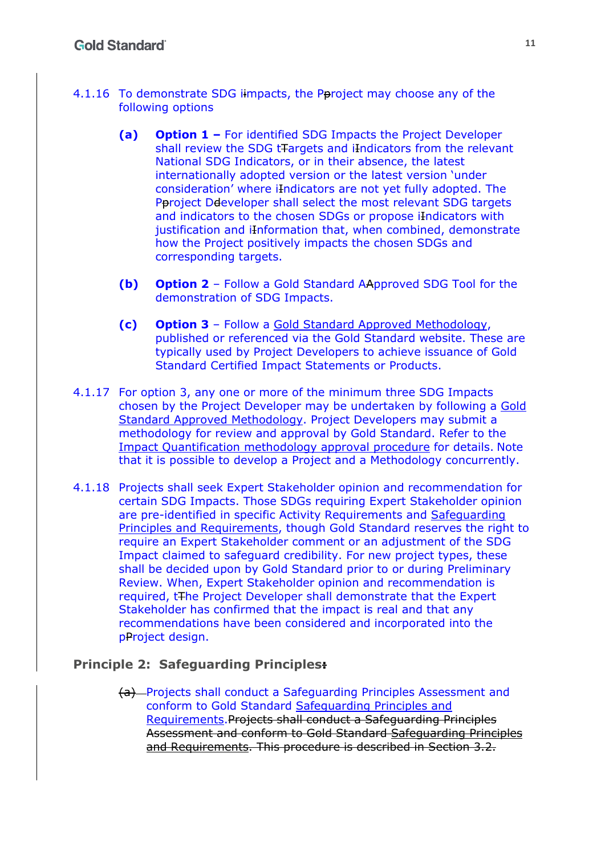- 4.1.16 To demonstrate SDG iimpacts, the Pproject may choose any of the following options
	- **(a) Option 1 –** For identified SDG Impacts the Project Developer shall review the SDG tTargets and iIndicators from the relevant National SDG Indicators, or in their absence, the latest internationally adopted version or the latest version 'under consideration' where iIndicators are not yet fully adopted. The Pproject Ddeveloper shall select the most relevant SDG targets and indicators to the chosen SDGs or propose iIndicators with justification and iInformation that, when combined, demonstrate how the Project positively impacts the chosen SDGs and corresponding targets.
	- **(b) Option 2** Follow a Gold Standard AApproved SDG Tool for the demonstration of SDG Impacts.
	- **(c) Option 3** Follow a Gold Standard Approved Methodology, published or referenced via the Gold Standard website. These are typically used by Project Developers to achieve issuance of Gold Standard Certified Impact Statements or Products.
- 4.1.17 For option 3, any one or more of the minimum three SDG Impacts chosen by the Project Developer may be undertaken by following a Gold Standard Approved Methodology. Project Developers may submit a methodology for review and approval by Gold Standard. Refer to the Impact Quantification methodology approval procedure for details. Note that it is possible to develop a Project and a Methodology concurrently.
- 4.1.18 Projects shall seek Expert Stakeholder opinion and recommendation for certain SDG Impacts. Those SDGs requiring Expert Stakeholder opinion are pre-identified in specific Activity Requirements and Safeguarding Principles and Requirements, though Gold Standard reserves the right to require an Expert Stakeholder comment or an adjustment of the SDG Impact claimed to safeguard credibility. For new project types, these shall be decided upon by Gold Standard prior to or during Preliminary Review. When, Expert Stakeholder opinion and recommendation is required, tThe Project Developer shall demonstrate that the Expert Stakeholder has confirmed that the impact is real and that any recommendations have been considered and incorporated into the pProject design.

#### **Principle 2: Safeguarding Principles:**

(a) Projects shall conduct a Safeguarding Principles Assessment and conform to Gold Standard Safeguarding Principles and Requirements.Projects shall conduct a Safeguarding Principles Assessment and conform to Gold Standard Safeguarding Principles and Requirements. This procedure is described in Section 3.2.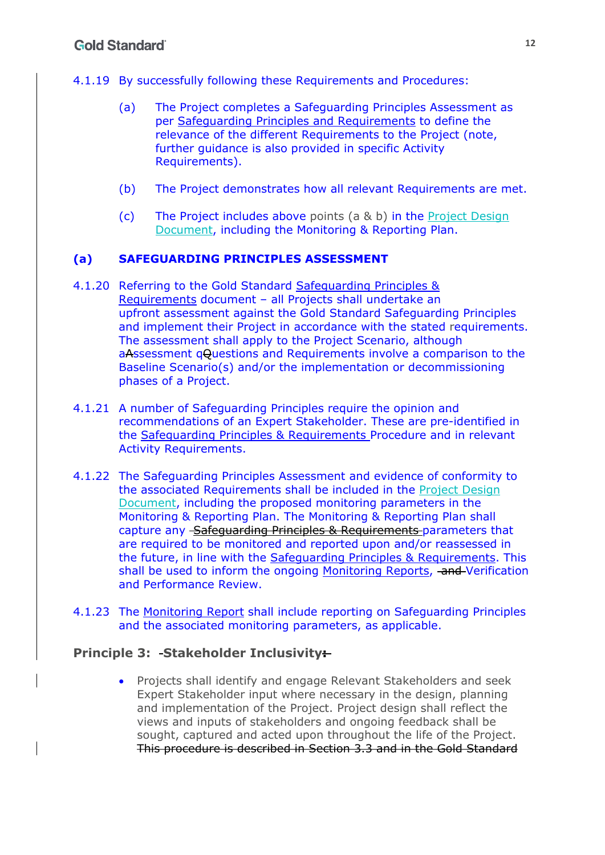- 4.1.19 By successfully following these Requirements and Procedures:
	- (a) The Project completes a Safeguarding Principles Assessment as per Safeguarding Principles and Requirements to define the relevance of the different Requirements to the Project (note, further guidance is also provided in specific Activity Requirements).
	- (b) The Project demonstrates how all relevant Requirements are met.
	- (c) The Project includes above points (a & b) in the Project Design Document, including the Monitoring & Reporting Plan.

## **(a) SAFEGUARDING PRINCIPLES ASSESSMENT**

- 4.1.20 Referring to the Gold Standard Safeguarding Principles & Requirements document – all Projects shall undertake an upfront assessment against the Gold Standard Safeguarding Principles and implement their Project in accordance with the stated requirements. The assessment shall apply to the Project Scenario, although aAssessment qQuestions and Requirements involve a comparison to the Baseline Scenario(s) and/or the implementation or decommissioning phases of a Project.
- 4.1.21 A number of Safeguarding Principles require the opinion and recommendations of an Expert Stakeholder. These are pre-identified in the Safeguarding Principles & Requirements Procedure and in relevant Activity Requirements.
- 4.1.22 The Safeguarding Principles Assessment and evidence of conformity to the associated Requirements shall be included in the Project Design Document, including the proposed monitoring parameters in the Monitoring & Reporting Plan. The Monitoring & Reporting Plan shall capture any Safeguarding Principles & Requirements parameters that are required to be monitored and reported upon and/or reassessed in the future, in line with the Safeguarding Principles & Requirements. This shall be used to inform the ongoing Monitoring Reports, and Verification and Performance Review.
- 4.1.23 The Monitoring Report shall include reporting on Safeguarding Principles and the associated monitoring parameters, as applicable.

## **Principle 3: Stakeholder Inclusivity:**

 Projects shall identify and engage Relevant Stakeholders and seek Expert Stakeholder input where necessary in the design, planning and implementation of the Project. Project design shall reflect the views and inputs of stakeholders and ongoing feedback shall be sought, captured and acted upon throughout the life of the Project. This procedure is described in Section 3.3 and in the Gold Standard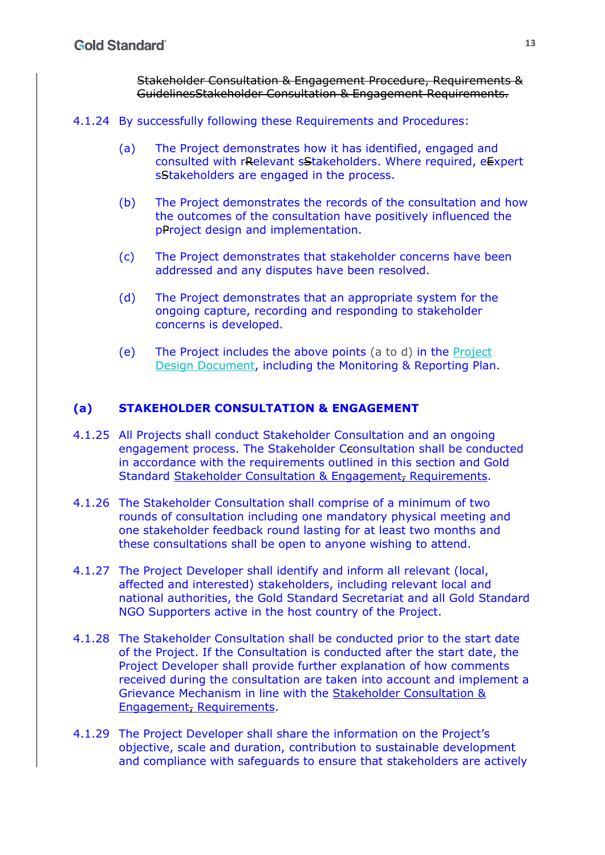Stakeholder Consultation & Engagement Procedure, Requirements & GuidelinesStakeholder Consultation & Engagement Requirements.

#### 4.1.24 By successfully following these Requirements and Procedures:

- (a) The Project demonstrates how it has identified, engaged and consulted with rRelevant sStakeholders. Where required, eExpert sStakeholders are engaged in the process.
- (b) The Project demonstrates the records of the consultation and how the outcomes of the consultation have positively influenced the pProject design and implementation.
- (c) The Project demonstrates that stakeholder concerns have been addressed and any disputes have been resolved.
- (d) The Project demonstrates that an appropriate system for the ongoing capture, recording and responding to stakeholder concerns is developed.
- (e) The Project includes the above points (a to d) in the Project Design Document, including the Monitoring & Reporting Plan.

#### **(a) STAKEHOLDER CONSULTATION & ENGAGEMENT**

- 4.1.25 All Projects shall conduct Stakeholder Consultation and an ongoing engagement process. The Stakeholder Ceonsultation shall be conducted in accordance with the requirements outlined in this section and Gold Standard Stakeholder Consultation & Engagement, Requirements.
- 4.1.26 The Stakeholder Consultation shall comprise of a minimum of two rounds of consultation including one mandatory physical meeting and one stakeholder feedback round lasting for at least two months and these consultations shall be open to anyone wishing to attend.
- 4.1.27 The Project Developer shall identify and inform all relevant (local, affected and interested) stakeholders, including relevant local and national authorities, the Gold Standard Secretariat and all Gold Standard NGO Supporters active in the host country of the Project.
- 4.1.28 The Stakeholder Consultation shall be conducted prior to the start date of the Project. If the Consultation is conducted after the start date, the Project Developer shall provide further explanation of how comments received during the consultation are taken into account and implement a Grievance Mechanism in line with the Stakeholder Consultation & Engagement, Requirements.
- 4.1.29 The Project Developer shall share the information on the Project's objective, scale and duration, contribution to sustainable development and compliance with safeguards to ensure that stakeholders are actively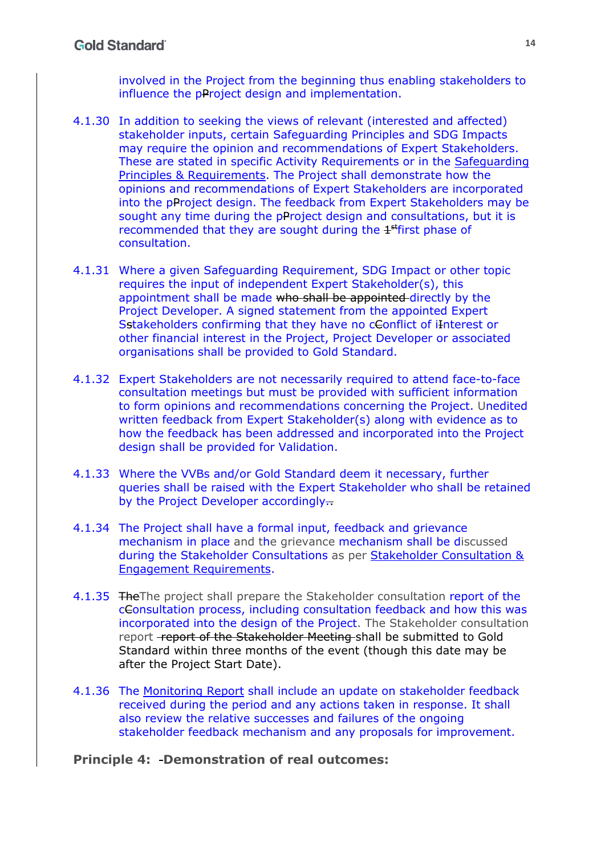involved in the Project from the beginning thus enabling stakeholders to influence the pProject design and implementation.

- 4.1.30 In addition to seeking the views of relevant (interested and affected) stakeholder inputs, certain Safeguarding Principles and SDG Impacts may require the opinion and recommendations of Expert Stakeholders. These are stated in specific Activity Requirements or in the Safeguarding Principles & Requirements. The Project shall demonstrate how the opinions and recommendations of Expert Stakeholders are incorporated into the pProject design. The feedback from Expert Stakeholders may be sought any time during the pProject design and consultations, but it is recommended that they are sought during the  $1<sup>st</sup>$  first phase of consultation.
- 4.1.31 Where a given Safeguarding Requirement, SDG Impact or other topic requires the input of independent Expert Stakeholder(s), this appointment shall be made who shall be appointed directly by the Project Developer. A signed statement from the appointed Expert Sstakeholders confirming that they have no cConflict of iInterest or other financial interest in the Project, Project Developer or associated organisations shall be provided to Gold Standard.
- 4.1.32 Expert Stakeholders are not necessarily required to attend face-to-face consultation meetings but must be provided with sufficient information to form opinions and recommendations concerning the Project. Unedited written feedback from Expert Stakeholder(s) along with evidence as to how the feedback has been addressed and incorporated into the Project design shall be provided for Validation.
- 4.1.33 Where the VVBs and/or Gold Standard deem it necessary, further queries shall be raised with the Expert Stakeholder who shall be retained by the Project Developer accordingly.
- 4.1.34 The Project shall have a formal input, feedback and grievance mechanism in place and the grievance mechanism shall be discussed during the Stakeholder Consultations as per Stakeholder Consultation & Engagement Requirements.
- 4.1.35 TheThe project shall prepare the Stakeholder consultation report of the cConsultation process, including consultation feedback and how this was incorporated into the design of the Project. The Stakeholder consultation report -report of the Stakeholder Meeting shall be submitted to Gold Standard within three months of the event (though this date may be after the Project Start Date).
- 4.1.36 The Monitoring Report shall include an update on stakeholder feedback received during the period and any actions taken in response. It shall also review the relative successes and failures of the ongoing stakeholder feedback mechanism and any proposals for improvement.

#### **Principle 4: Demonstration of real outcomes:**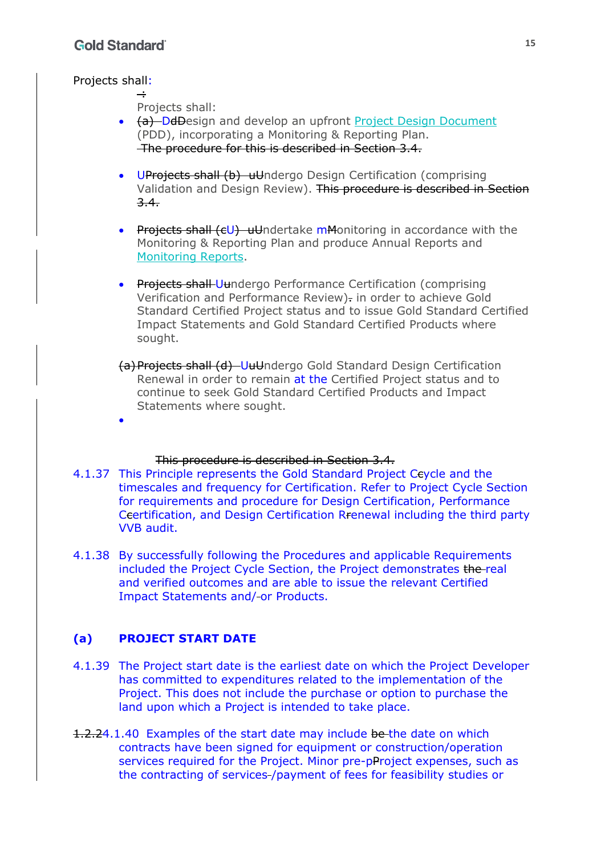$\bullet$ 

#### Projects shall:

 $\div$ Projects shall:

- (a) DdDesign and develop an upfront Project Design Document (PDD), incorporating a Monitoring & Reporting Plan. The procedure for this is described in Section 3.4.
- UProjects shall (b) uUndergo Design Certification (comprising Validation and Design Review). This procedure is described in Section 3.4.
- Projects shall (cU) uUndertake mMonitoring in accordance with the Monitoring & Reporting Plan and produce Annual Reports and Monitoring Reports.
- **Projects shall-Uundergo Performance Certification (comprising)** Verification and Performance Review). in order to achieve Gold Standard Certified Project status and to issue Gold Standard Certified Impact Statements and Gold Standard Certified Products where sought.
- (a)Projects shall (d) UuUndergo Gold Standard Design Certification Renewal in order to remain at the Certified Project status and to continue to seek Gold Standard Certified Products and Impact Statements where sought.

#### This procedure is described in Section 3.4.

- 4.1.37 This Principle represents the Gold Standard Project Ccycle and the timescales and frequency for Certification. Refer to Project Cycle Section for requirements and procedure for Design Certification, Performance Ccertification, and Design Certification Rrenewal including the third party VVB audit.
- 4.1.38 By successfully following the Procedures and applicable Requirements included the Project Cycle Section, the Project demonstrates the real and verified outcomes and are able to issue the relevant Certified Impact Statements and/ or Products.

#### **(a) PROJECT START DATE**

- 4.1.39 The Project start date is the earliest date on which the Project Developer has committed to expenditures related to the implementation of the Project. This does not include the purchase or option to purchase the land upon which a Project is intended to take place.
- 1.2.24.1.40 Examples of the start date may include be the date on which contracts have been signed for equipment or construction/operation services required for the Project. Minor pre-pProject expenses, such as the contracting of services /payment of fees for feasibility studies or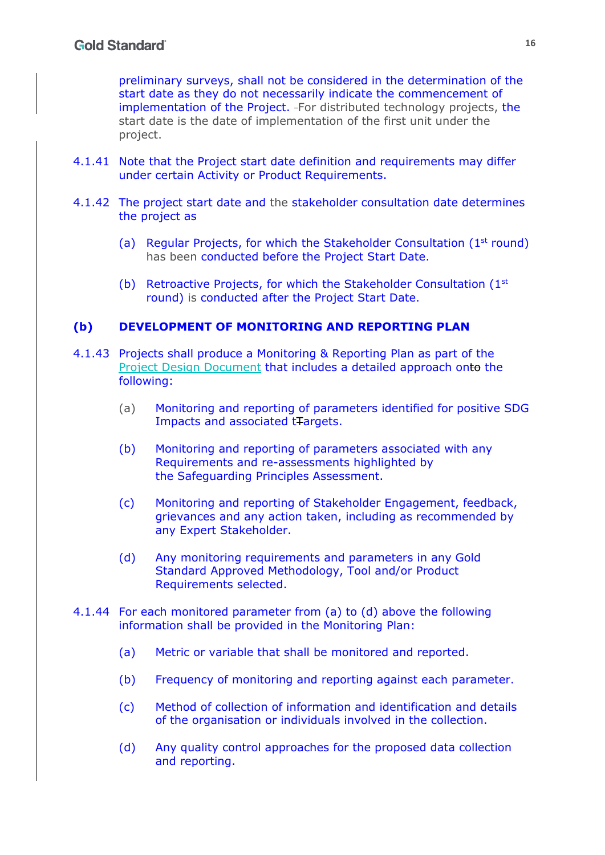preliminary surveys, shall not be considered in the determination of the start date as they do not necessarily indicate the commencement of implementation of the Project. For distributed technology projects, the start date is the date of implementation of the first unit under the project.

- 4.1.41 Note that the Project start date definition and requirements may differ under certain Activity or Product Requirements.
- 4.1.42 The project start date and the stakeholder consultation date determines the project as
	- (a) Regular Projects, for which the Stakeholder Consultation  $(1<sup>st</sup>$  round) has been conducted before the Project Start Date.
	- (b) Retroactive Projects, for which the Stakeholder Consultation  $(1<sup>st</sup>)$ round) is conducted after the Project Start Date.

#### **(b) DEVELOPMENT OF MONITORING AND REPORTING PLAN**

- 4.1.43 Projects shall produce a Monitoring & Reporting Plan as part of the Project Design Document that includes a detailed approach onto the following:
	- (a) Monitoring and reporting of parameters identified for positive SDG Impacts and associated tTargets.
	- (b) Monitoring and reporting of parameters associated with any Requirements and re-assessments highlighted by the Safeguarding Principles Assessment.
	- (c) Monitoring and reporting of Stakeholder Engagement, feedback, grievances and any action taken, including as recommended by any Expert Stakeholder.
	- (d) Any monitoring requirements and parameters in any Gold Standard Approved Methodology, Tool and/or Product Requirements selected.
- 4.1.44 For each monitored parameter from (a) to (d) above the following information shall be provided in the Monitoring Plan:
	- (a) Metric or variable that shall be monitored and reported.
	- (b) Frequency of monitoring and reporting against each parameter.
	- (c) Method of collection of information and identification and details of the organisation or individuals involved in the collection.
	- (d) Any quality control approaches for the proposed data collection and reporting.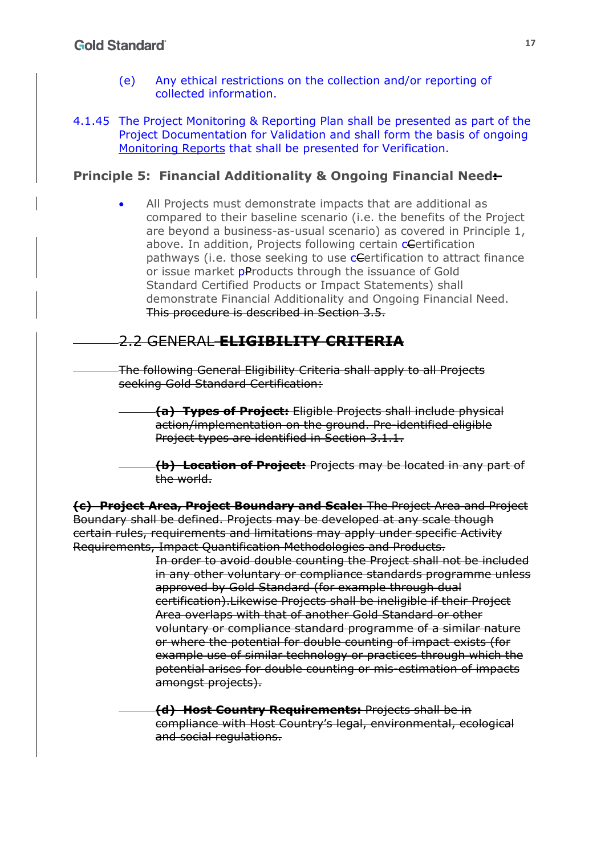## **Gold Standard**

- (e) Any ethical restrictions on the collection and/or reporting of collected information.
- 4.1.45 The Project Monitoring & Reporting Plan shall be presented as part of the Project Documentation for Validation and shall form the basis of ongoing Monitoring Reports that shall be presented for Verification.

### **Principle 5: Financial Additionality & Ongoing Financial Need:**

 All Projects must demonstrate impacts that are additional as compared to their baseline scenario (i.e. the benefits of the Project are beyond a business-as-usual scenario) as covered in Principle 1, above. In addition, Projects following certain *c*Certification pathways (*i.e.* those seeking to use **c**Certification to attract finance or issue market pProducts through the issuance of Gold Standard Certified Products or Impact Statements) shall demonstrate Financial Additionality and Ongoing Financial Need. This procedure is described in Section 3.5.

# 2.2 GENERAL **ELIGIBILITY CRITERIA**

The following General Eligibility Criteria shall apply to all Projects seeking Gold Standard Certification:

- **(a) Types of Project:** Eligible Projects shall include physical action/implementation on the ground. Pre-identified eligible Project types are identified in Section 3.1.1.
- **(b) Location of Project:** Projects may be located in any part of the world.

**(c) Project Area, Project Boundary and Scale:** The Project Area and Project Boundary shall be defined. Projects may be developed at any scale though certain rules, requirements and limitations may apply under specific Activity Requirements, Impact Quantification Methodologies and Products.

> In order to avoid double counting the Project shall not be included in any other voluntary or compliance standards programme unless approved by Gold Standard (for example through dual certification).Likewise Projects shall be ineligible if their Project Area overlaps with that of another Gold Standard or other voluntary or compliance standard programme of a similar nature or where the potential for double counting of impact exists (for example use of similar technology or practices through which the potential arises for double counting or mis-estimation of impacts amongst projects).

**(d) Host Country Requirements:** Projects shall be in compliance with Host Country's legal, environmental, ecological and social regulations.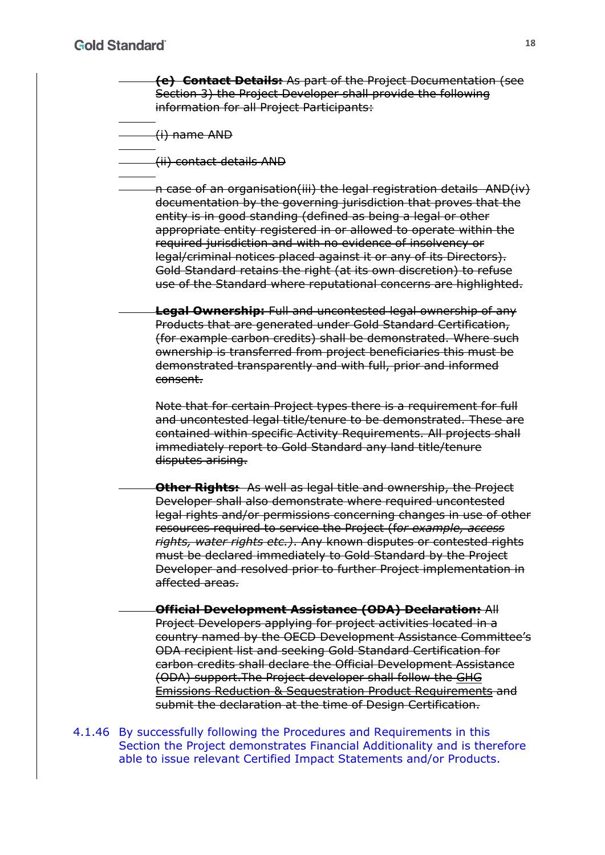**(e) Contact Details:** As part of the Project Documentation (see Section 3) the Project Developer shall provide the following information for all Project Participants:

(i) name AND

(ii) contact details AND

n case of an organisation(iii) the legal registration details AND(iv) documentation by the governing jurisdiction that proves that the entity is in good standing (defined as being a legal or other appropriate entity registered in or allowed to operate within the required jurisdiction and with no evidence of insolvency or legal/criminal notices placed against it or any of its Directors). Gold Standard retains the right (at its own discretion) to refuse use of the Standard where reputational concerns are highlighted.

**Legal Ownership:** Full and uncontested legal ownership of any Products that are generated under Gold Standard Certification, (for example carbon credits) shall be demonstrated. Where such ownership is transferred from project beneficiaries this must be demonstrated transparently and with full, prior and informed consent.

Note that for certain Project types there is a requirement for full and uncontested legal title/tenure to be demonstrated. These are contained within specific Activity Requirements. All projects shall immediately report to Gold Standard any land title/tenure disputes arising.

**Other Rights:** As well as legal title and ownership, the Project Developer shall also demonstrate where required uncontested legal rights and/or permissions concerning changes in use of other resources required to service the Project (f*or example, access rights, water rights etc.)*. Any known disputes or contested rights must be declared immediately to Gold Standard by the Project Developer and resolved prior to further Project implementation in affected areas.

**Official Development Assistance (ODA) Declaration:** All Project Developers applying for project activities located in a country named by the OECD Development Assistance Committee's ODA recipient list and seeking Gold Standard Certification for carbon credits shall declare the Official Development Assistance (ODA) support.The Project developer shall follow the GHG Emissions Reduction & Sequestration Product Requirements and submit the declaration at the time of Design Certification.

4.1.46 By successfully following the Procedures and Requirements in this Section the Project demonstrates Financial Additionality and is therefore able to issue relevant Certified Impact Statements and/or Products.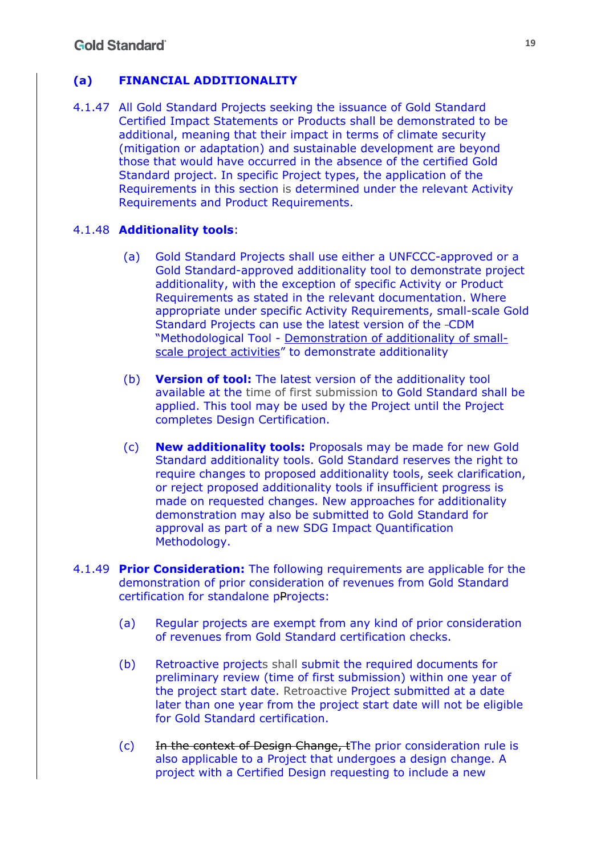## **(a) FINANCIAL ADDITIONALITY**

4.1.47 All Gold Standard Projects seeking the issuance of Gold Standard Certified Impact Statements or Products shall be demonstrated to be additional, meaning that their impact in terms of climate security (mitigation or adaptation) and sustainable development are beyond those that would have occurred in the absence of the certified Gold Standard project. In specific Project types, the application of the Requirements in this section is determined under the relevant Activity Requirements and Product Requirements.

### 4.1.48 **Additionality tools**:

- (a) Gold Standard Projects shall use either a UNFCCC-approved or a Gold Standard-approved additionality tool to demonstrate project additionality, with the exception of specific Activity or Product Requirements as stated in the relevant documentation. Where appropriate under specific Activity Requirements, small-scale Gold Standard Projects can use the latest version of the CDM "Methodological Tool - Demonstration of additionality of smallscale project activities" to demonstrate additionality
- (b) **Version of tool:** The latest version of the additionality tool available at the time of first submission to Gold Standard shall be applied. This tool may be used by the Project until the Project completes Design Certification.
- (c) **New additionality tools:** Proposals may be made for new Gold Standard additionality tools. Gold Standard reserves the right to require changes to proposed additionality tools, seek clarification, or reject proposed additionality tools if insufficient progress is made on requested changes. New approaches for additionality demonstration may also be submitted to Gold Standard for approval as part of a new SDG Impact Quantification Methodology.
- 4.1.49 **Prior Consideration:** The following requirements are applicable for the demonstration of prior consideration of revenues from Gold Standard certification for standalone pProjects:
	- (a) Regular projects are exempt from any kind of prior consideration of revenues from Gold Standard certification checks.
	- (b) Retroactive projects shall submit the required documents for preliminary review (time of first submission) within one year of the project start date. Retroactive Project submitted at a date later than one year from the project start date will not be eligible for Gold Standard certification.
	- (c) In the context of Design Change, tThe prior consideration rule is also applicable to a Project that undergoes a design change. A project with a Certified Design requesting to include a new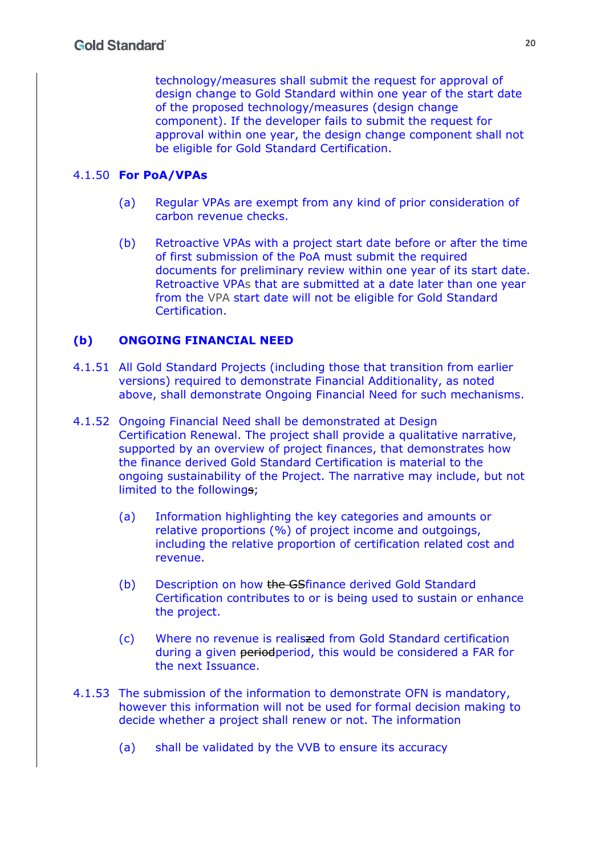technology/measures shall submit the request for approval of design change to Gold Standard within one year of the start date of the proposed technology/measures (design change component). If the developer fails to submit the request for approval within one year, the design change component shall not be eligible for Gold Standard Certification.

#### 4.1.50 **For PoA/VPAs**

- (a) Regular VPAs are exempt from any kind of prior consideration of carbon revenue checks.
- (b) Retroactive VPAs with a project start date before or after the time of first submission of the PoA must submit the required documents for preliminary review within one year of its start date. Retroactive VPAs that are submitted at a date later than one year from the VPA start date will not be eligible for Gold Standard Certification.

### **(b) ONGOING FINANCIAL NEED**

- 4.1.51 All Gold Standard Projects (including those that transition from earlier versions) required to demonstrate Financial Additionality, as noted above, shall demonstrate Ongoing Financial Need for such mechanisms.
- 4.1.52 Ongoing Financial Need shall be demonstrated at Design Certification Renewal. The project shall provide a qualitative narrative, supported by an overview of project finances, that demonstrates how the finance derived Gold Standard Certification is material to the ongoing sustainability of the Project. The narrative may include, but not limited to the followings;
	- (a) Information highlighting the key categories and amounts or relative proportions (%) of project income and outgoings, including the relative proportion of certification related cost and revenue.
	- (b) Description on how the GSfinance derived Gold Standard Certification contributes to or is being used to sustain or enhance the project.
	- (c) Where no revenue is realiszed from Gold Standard certification during a given periodperiod, this would be considered a FAR for the next Issuance.
- 4.1.53 The submission of the information to demonstrate OFN is mandatory, however this information will not be used for formal decision making to decide whether a project shall renew or not. The information
	- (a) shall be validated by the VVB to ensure its accuracy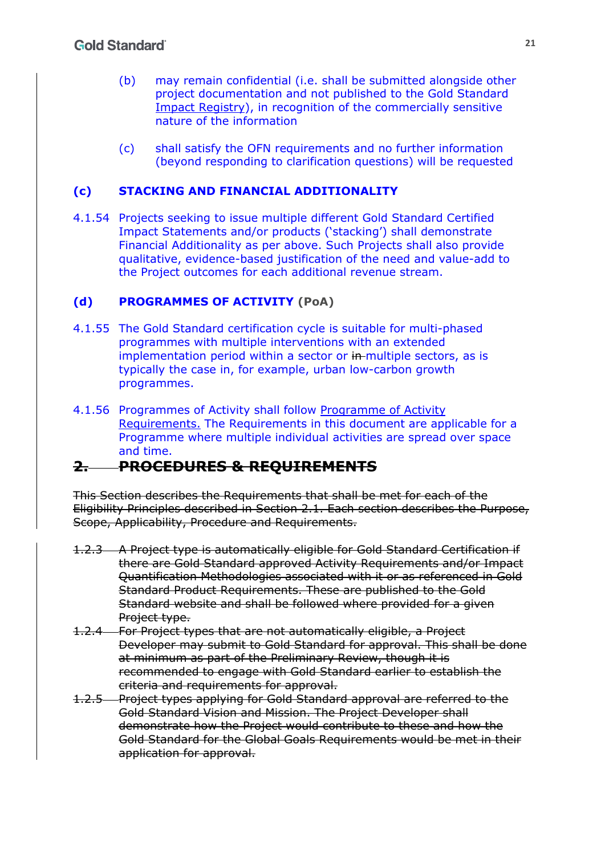- (b) may remain confidential (i.e. shall be submitted alongside other project documentation and not published to the Gold Standard Impact Registry), in recognition of the commercially sensitive nature of the information
- (c) shall satisfy the OFN requirements and no further information (beyond responding to clarification questions) will be requested

## **(c) STACKING AND FINANCIAL ADDITIONALITY**

4.1.54 Projects seeking to issue multiple different Gold Standard Certified Impact Statements and/or products ('stacking') shall demonstrate Financial Additionality as per above. Such Projects shall also provide qualitative, evidence-based justification of the need and value-add to the Project outcomes for each additional revenue stream.

## **(d) PROGRAMMES OF ACTIVITY (PoA)**

- 4.1.55 The Gold Standard certification cycle is suitable for multi-phased programmes with multiple interventions with an extended implementation period within a sector or in multiple sectors, as is typically the case in, for example, urban low-carbon growth programmes.
- 4.1.56 Programmes of Activity shall follow Programme of Activity Requirements. The Requirements in this document are applicable for a Programme where multiple individual activities are spread over space and time.

# **2. PROCEDURES & REQUIREMENTS**

This Section describes the Requirements that shall be met for each of the Eligibility Principles described in Section 2.1. Each section describes the Purpose, Scope, Applicability, Procedure and Requirements.

- 1.2.3 A Project type is automatically eligible for Gold Standard Certification if there are Gold Standard approved Activity Requirements and/or Impact Quantification Methodologies associated with it or as referenced in Gold Standard Product Requirements. These are published to the Gold Standard website and shall be followed where provided for a given Project type.
- 1.2.4 For Project types that are not automatically eligible, a Project Developer may submit to Gold Standard for approval. This shall be done at minimum as part of the Preliminary Review, though it is recommended to engage with Gold Standard earlier to establish the criteria and requirements for approval.
- 1.2.5 Project types applying for Gold Standard approval are referred to the Gold Standard Vision and Mission. The Project Developer shall demonstrate how the Project would contribute to these and how the Gold Standard for the Global Goals Requirements would be met in their application for approval.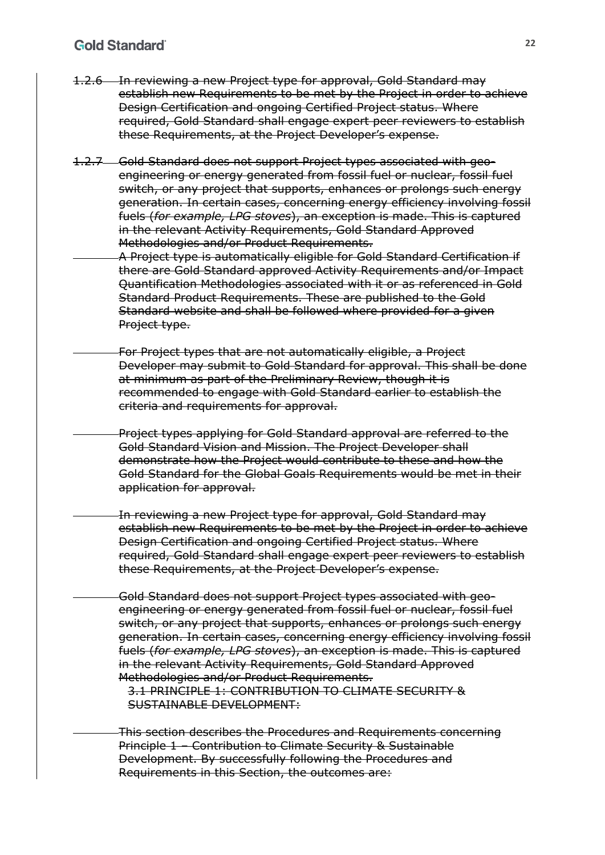### **Gold Standard**

- 1.2.6 In reviewing a new Project type for approval, Gold Standard may establish new Requirements to be met by the Project in order to achieve Design Certification and ongoing Certified Project status. Where required, Gold Standard shall engage expert peer reviewers to establish these Requirements, at the Project Developer's expense.
- 1.2.7 Gold Standard does not support Project types associated with geoengineering or energy generated from fossil fuel or nuclear, fossil fuel switch, or any project that supports, enhances or prolongs such energy generation. In certain cases, concerning energy efficiency involving fossil fuels (*for example, LPG stoves*), an exception is made. This is captured in the relevant Activity Requirements, Gold Standard Approved Methodologies and/or Product Requirements.
	- A Project type is automatically eligible for Gold Standard Certification if there are Gold Standard approved Activity Requirements and/or Impact Quantification Methodologies associated with it or as referenced in Gold Standard Product Requirements. These are published to the Gold Standard website and shall be followed where provided for a given Project type.
	- For Project types that are not automatically eligible, a Project Developer may submit to Gold Standard for approval. This shall be done at minimum as part of the Preliminary Review, though it is recommended to engage with Gold Standard earlier to establish the criteria and requirements for approval.
		- Project types applying for Gold Standard approval are referred to the Gold Standard Vision and Mission. The Project Developer shall demonstrate how the Project would contribute to these and how the Gold Standard for the Global Goals Requirements would be met in their application for approval.
	- In reviewing a new Project type for approval, Gold Standard may establish new Requirements to be met by the Project in order to achieve Design Certification and ongoing Certified Project status. Where required, Gold Standard shall engage expert peer reviewers to establish these Requirements, at the Project Developer's expense.
		- Gold Standard does not support Project types associated with geoengineering or energy generated from fossil fuel or nuclear, fossil fuel switch, or any project that supports, enhances or prolongs such energy generation. In certain cases, concerning energy efficiency involving fossil fuels (*for example, LPG stoves*), an exception is made. This is captured in the relevant Activity Requirements, Gold Standard Approved Methodologies and/or Product Requirements.

3.1 PRINCIPLE 1: CONTRIBUTION TO CLIMATE SECURITY & SUSTAINABLE DEVELOPMENT:

This section describes the Procedures and Requirements concerning Principle 1 – Contribution to Climate Security & Sustainable Development. By successfully following the Procedures and Requirements in this Section, the outcomes are: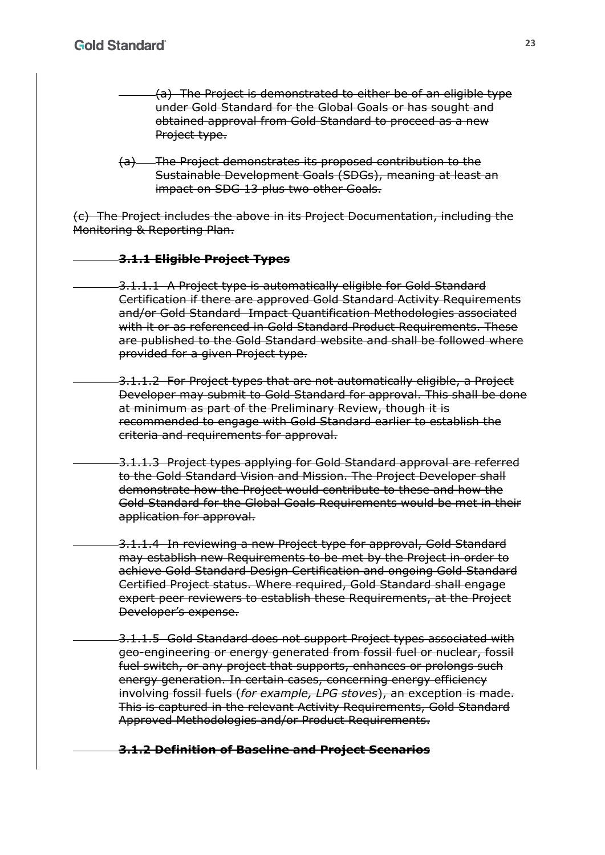- (a) The Project is demonstrated to either be of an eligible type under Gold Standard for the Global Goals or has sought and obtained approval from Gold Standard to proceed as a new Project type.
- (a) The Project demonstrates its proposed contribution to the Sustainable Development Goals (SDGs), meaning at least an impact on SDG 13 plus two other Goals.

(c) The Project includes the above in its Project Documentation, including the Monitoring & Reporting Plan.

#### **3.1.1 Eligible Project Types**

- 3.1.1.1 A Project type is automatically eligible for Gold Standard Certification if there are approved Gold Standard Activity Requirements and/or Gold Standard Impact Quantification Methodologies associated with it or as referenced in Gold Standard Product Requirements. These are published to the Gold Standard website and shall be followed where provided for a given Project type.
	- 3.1.1.2 For Project types that are not automatically eligible, a Project Developer may submit to Gold Standard for approval. This shall be done at minimum as part of the Preliminary Review, though it is recommended to engage with Gold Standard earlier to establish the criteria and requirements for approval.
- 3.1.1.3 Project types applying for Gold Standard approval are referred to the Gold Standard Vision and Mission. The Project Developer shall demonstrate how the Project would contribute to these and how the Gold Standard for the Global Goals Requirements would be met in their application for approval.
	- 3.1.1.4 In reviewing a new Project type for approval, Gold Standard may establish new Requirements to be met by the Project in order to achieve Gold Standard Design Certification and ongoing Gold Standard Certified Project status. Where required, Gold Standard shall engage expert peer reviewers to establish these Requirements, at the Project Developer's expense.
	- 3.1.1.5 Gold Standard does not support Project types associated with geo-engineering or energy generated from fossil fuel or nuclear, fossil fuel switch, or any project that supports, enhances or prolongs such energy generation. In certain cases, concerning energy efficiency involving fossil fuels (*for example, LPG stoves*), an exception is made. This is captured in the relevant Activity Requirements, Gold Standard Approved Methodologies and/or Product Requirements.

**3.1.2 Definition of Baseline and Project Scenarios**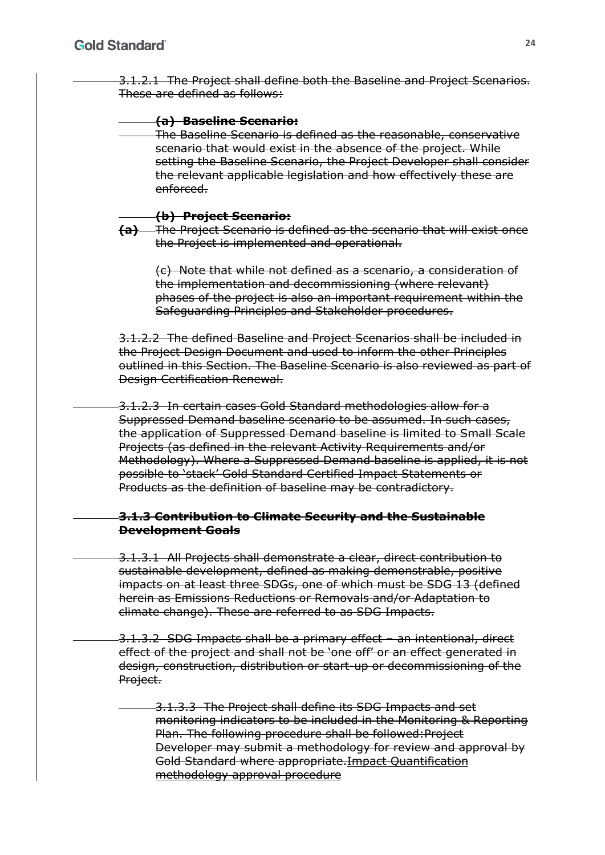3.1.2.1 The Project shall define both the Baseline and Project Scenarios. These are defined as follows:

#### **(a) Baseline Scenario:**

The Baseline Scenario is defined as the reasonable, conservative scenario that would exist in the absence of the project. While setting the Baseline Scenario, the Project Developer shall consider the relevant applicable legislation and how effectively these are enforced.

#### **(b) Project Scenario:**

**(a)** The Project Scenario is defined as the scenario that will exist once the Project is implemented and operational.

(c) Note that while not defined as a scenario, a consideration of the implementation and decommissioning (where relevant) phases of the project is also an important requirement within the Safeguarding Principles and Stakeholder procedures.

3.1.2.2 The defined Baseline and Project Scenarios shall be included in the Project Design Document and used to inform the other Principles outlined in this Section. The Baseline Scenario is also reviewed as part of Design Certification Renewal.

3.1.2.3 In certain cases Gold Standard methodologies allow for a Suppressed Demand baseline scenario to be assumed. In such cases, the application of Suppressed Demand baseline is limited to Small Scale Projects (as defined in the relevant Activity Requirements and/or Methodology). Where a Suppressed Demand baseline is applied, it is not possible to 'stack' Gold Standard Certified Impact Statements or Products as the definition of baseline may be contradictory.

#### **3.1.3 Contribution to Climate Security and the Sustainable Development Goals**

3.1.3.1 All Projects shall demonstrate a clear, direct contribution to sustainable development, defined as making demonstrable, positive impacts on at least three SDGs, one of which must be SDG 13 (defined herein as Emissions Reductions or Removals and/or Adaptation to climate change). These are referred to as SDG Impacts.

3.1.3.2 SDG Impacts shall be a primary effect – an intentional, direct effect of the project and shall not be 'one off' or an effect generated in design, construction, distribution or start-up or decommissioning of the Project.

3.1.3.3 The Project shall define its SDG Impacts and set monitoring indicators to be included in the Monitoring & Reporting Plan. The following procedure shall be followed:Project Developer may submit a methodology for review and approval by Gold Standard where appropriate.Impact Quantification methodology approval procedure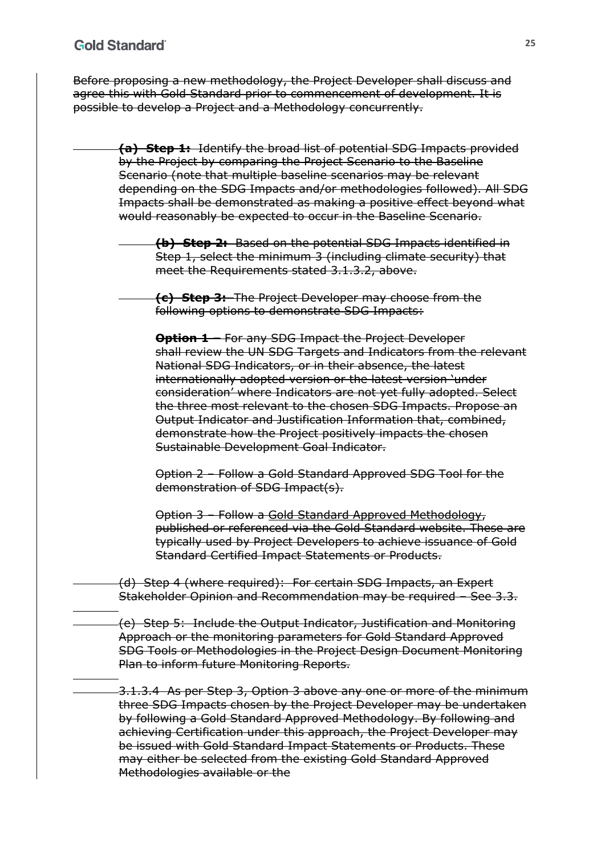Before proposing a new methodology, the Project Developer shall discuss and agree this with Gold Standard prior to commencement of development. It is possible to develop a Project and a Methodology concurrently.

- **(a) Step 1:** Identify the broad list of potential SDG Impacts provided by the Project by comparing the Project Scenario to the Baseline Scenario (note that multiple baseline scenarios may be relevant depending on the SDG Impacts and/or methodologies followed). All SDG Impacts shall be demonstrated as making a positive effect beyond what would reasonably be expected to occur in the Baseline Scenario.
	- **(b) Step 2:** Based on the potential SDG Impacts identified in Step 1, select the minimum 3 (including climate security) that meet the Requirements stated 3.1.3.2, above.
		- **(c) Step 3:** The Project Developer may choose from the following options to demonstrate SDG Impacts:
			- **Option 1 –** For any SDG Impact the Project Developer shall review the UN SDG Targets and Indicators from the relevant National SDG Indicators, or in their absence, the latest internationally adopted version or the latest version 'under consideration' where Indicators are not yet fully adopted. Select the three most relevant to the chosen SDG Impacts. Propose an Output Indicator and Justification Information that, combined, demonstrate how the Project positively impacts the chosen Sustainable Development Goal Indicator.
			- Option 2 Follow a Gold Standard Approved SDG Tool for the demonstration of SDG Impact(s).
			- Option 3 Follow a Gold Standard Approved Methodology, published or referenced via the Gold Standard website. These are typically used by Project Developers to achieve issuance of Gold Standard Certified Impact Statements or Products.
- (d) Step 4 (where required): For certain SDG Impacts, an Expert Stakeholder Opinion and Recommendation may be required – See 3.3.
- (e) Step 5: Include the Output Indicator, Justification and Monitoring Approach or the monitoring parameters for Gold Standard Approved SDG Tools or Methodologies in the Project Design Document Monitoring Plan to inform future Monitoring Reports.
- 3.1.3.4 As per Step 3, Option 3 above any one or more of the minimum three SDG Impacts chosen by the Project Developer may be undertaken by following a Gold Standard Approved Methodology. By following and achieving Certification under this approach, the Project Developer may be issued with Gold Standard Impact Statements or Products. These may either be selected from the existing Gold Standard Approved Methodologies available or the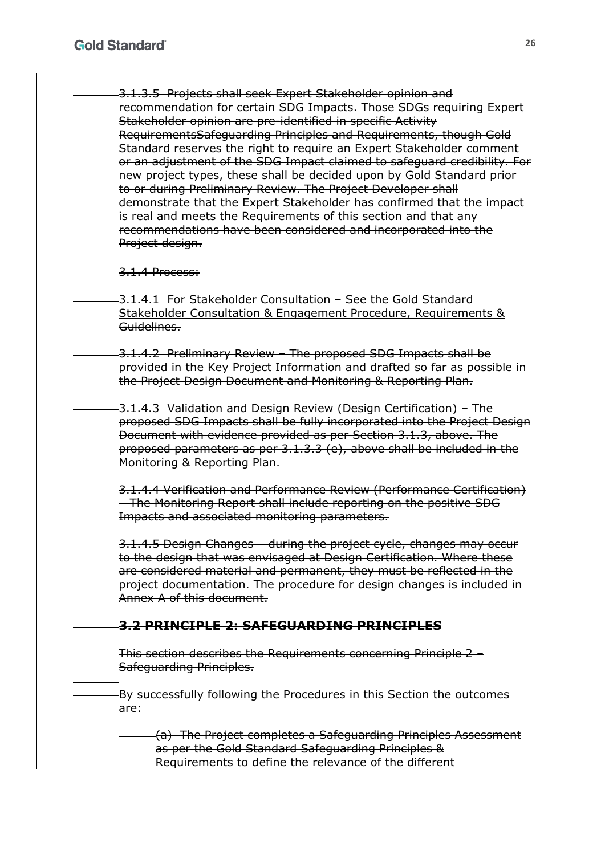3.1.3.5 Projects shall seek Expert Stakeholder opinion and recommendation for certain SDG Impacts. Those SDGs requiring Expert Stakeholder opinion are pre-identified in specific Activity RequirementsSafeguarding Principles and Requirements, though Gold Standard reserves the right to require an Expert Stakeholder comment or an adjustment of the SDG Impact claimed to safeguard credibility. For new project types, these shall be decided upon by Gold Standard prior to or during Preliminary Review. The Project Developer shall demonstrate that the Expert Stakeholder has confirmed that the impact is real and meets the Requirements of this section and that any recommendations have been considered and incorporated into the Project design.

#### -3.1.4 Process:

3.1.4.1 For Stakeholder Consultation – See the Gold Standard Stakeholder Consultation & Engagement Procedure, Requirements & Guidelines.

3.1.4.2 Preliminary Review – The proposed SDG Impacts shall be provided in the Key Project Information and drafted so far as possible in the Project Design Document and Monitoring & Reporting Plan.

3.1.4.3 Validation and Design Review (Design Certification) – The proposed SDG Impacts shall be fully incorporated into the Project Design Document with evidence provided as per Section 3.1.3, above. The proposed parameters as per 3.1.3.3 (e), above shall be included in the Monitoring & Reporting Plan.

3.1.4.4 Verification and Performance Review (Performance Certification) – The Monitoring Report shall include reporting on the positive SDG Impacts and associated monitoring parameters.

3.1.4.5 Design Changes – during the project cycle, changes may occur to the design that was envisaged at Design Certification. Where these are considered material and permanent, they must be reflected in the project documentation. The procedure for design changes is included in Annex A of this document.

## **3.2 PRINCIPLE 2: SAFEGUARDING PRINCIPLES**

This section describes the Requirements concerning Principle 2 – Safeguarding Principles.

By successfully following the Procedures in this Section the outcomes are:

(a) The Project completes a Safeguarding Principles Assessment as per the Gold Standard Safeguarding Principles & Requirements to define the relevance of the different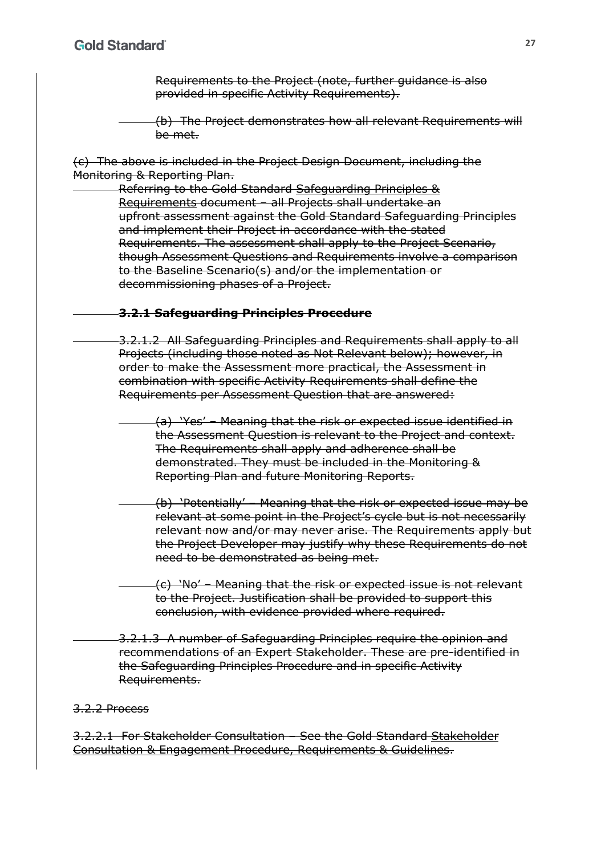Requirements to the Project (note, further guidance is also provided in specific Activity Requirements).

(b) The Project demonstrates how all relevant Requirements will be met.

(c) The above is included in the Project Design Document, including the Monitoring & Reporting Plan.

Referring to the Gold Standard Safeguarding Principles & Requirements document – all Projects shall undertake an upfront assessment against the Gold Standard Safeguarding Principles and implement their Project in accordance with the stated Requirements. The assessment shall apply to the Project Scenario, though Assessment Questions and Requirements involve a comparison to the Baseline Scenario(s) and/or the implementation or decommissioning phases of a Project.

#### **3.2.1 Safeguarding Principles Procedure**

3.2.1.2 All Safeguarding Principles and Requirements shall apply to all Projects (including those noted as Not Relevant below); however, in order to make the Assessment more practical, the Assessment in combination with specific Activity Requirements shall define the Requirements per Assessment Question that are answered:

(a) 'Yes' – Meaning that the risk or expected issue identified in the Assessment Question is relevant to the Project and context. The Requirements shall apply and adherence shall be demonstrated. They must be included in the Monitoring & Reporting Plan and future Monitoring Reports.

(b) 'Potentially' – Meaning that the risk or expected issue may be relevant at some point in the Project's cycle but is not necessarily relevant now and/or may never arise. The Requirements apply but the Project Developer may justify why these Requirements do not need to be demonstrated as being met.

(c) 'No' – Meaning that the risk or expected issue is not relevant to the Project. Justification shall be provided to support this conclusion, with evidence provided where required.

3.2.1.3 A number of Safeguarding Principles require the opinion and recommendations of an Expert Stakeholder. These are pre-identified in the Safeguarding Principles Procedure and in specific Activity Requirements.

#### 3.2.2 Process

3.2.2.1 For Stakeholder Consultation – See the Gold Standard Stakeholder Consultation & Engagement Procedure, Requirements & Guidelines.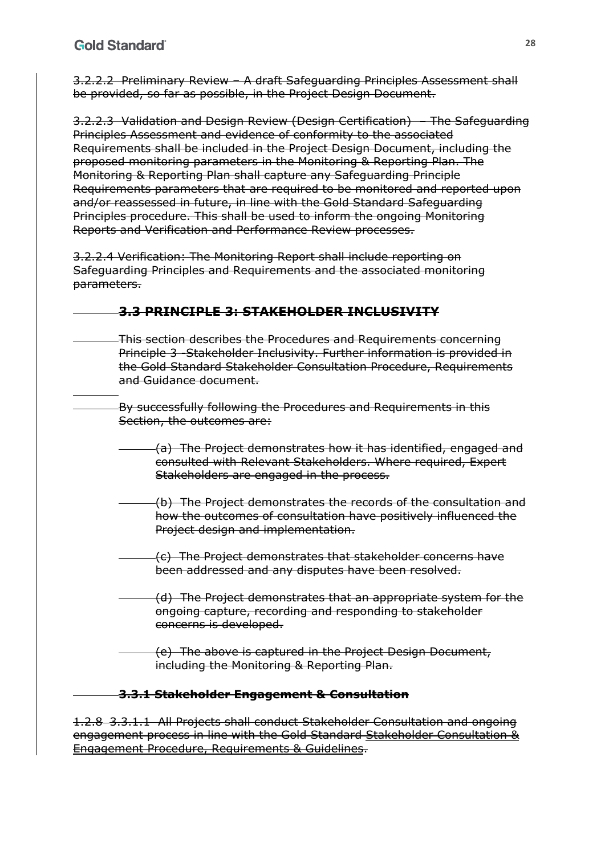3.2.2.2 Preliminary Review – A draft Safeguarding Principles Assessment shall be provided, so far as possible, in the Project Design Document.

3.2.2.3 Validation and Design Review (Design Certification) – The Safeguarding Principles Assessment and evidence of conformity to the associated Requirements shall be included in the Project Design Document, including the proposed monitoring parameters in the Monitoring & Reporting Plan. The Monitoring & Reporting Plan shall capture any Safeguarding Principle Requirements parameters that are required to be monitored and reported upon and/or reassessed in future, in line with the Gold Standard Safeguarding Principles procedure. This shall be used to inform the ongoing Monitoring Reports and Verification and Performance Review processes.

3.2.2.4 Verification: The Monitoring Report shall include reporting on Safeguarding Principles and Requirements and the associated monitoring parameters.

## **3.3 PRINCIPLE 3: STAKEHOLDER INCLUSIVITY**

- This section describes the Procedures and Requirements concerning Principle 3 -Stakeholder Inclusivity. Further information is provided in the Gold Standard Stakeholder Consultation Procedure, Requirements and Guidance document.
	- By successfully following the Procedures and Requirements in this Section, the outcomes are:
		- (a) The Project demonstrates how it has identified, engaged and consulted with Relevant Stakeholders. Where required, Expert Stakeholders are engaged in the process.
		- (b) The Project demonstrates the records of the consultation and how the outcomes of consultation have positively influenced the Project design and implementation.
		- (c) The Project demonstrates that stakeholder concerns have been addressed and any disputes have been resolved.
		- (d) The Project demonstrates that an appropriate system for the ongoing capture, recording and responding to stakeholder concerns is developed.
		- (e) The above is captured in the Project Design Document, including the Monitoring & Reporting Plan.

## **3.3.1 Stakeholder Engagement & Consultation**

1.2.8 3.3.1.1 All Projects shall conduct Stakeholder Consultation and ongoing engagement process in line with the Gold Standard Stakeholder Consultation & Engagement Procedure, Requirements & Guidelines.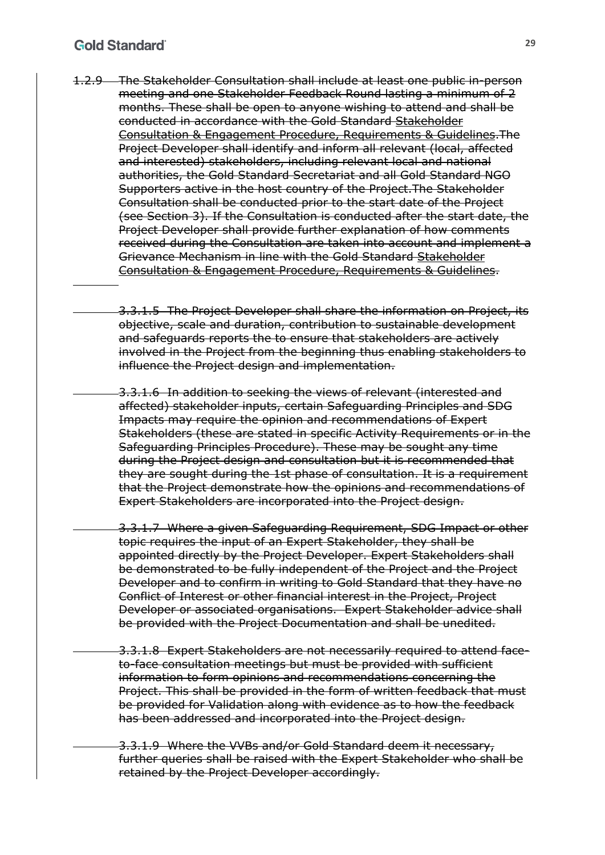#### **Gold Standard**

- 1.2.9 The Stakeholder Consultation shall include at least one public in-person meeting and one Stakeholder Feedback Round lasting a minimum of 2 months. These shall be open to anyone wishing to attend and shall be conducted in accordance with the Gold Standard Stakeholder Consultation & Engagement Procedure, Requirements & Guidelines.The Project Developer shall identify and inform all relevant (local, affected and interested) stakeholders, including relevant local and national authorities, the Gold Standard Secretariat and all Gold Standard NGO Supporters active in the host country of the Project.The Stakeholder Consultation shall be conducted prior to the start date of the Project (see Section 3). If the Consultation is conducted after the start date, the Project Developer shall provide further explanation of how comments received during the Consultation are taken into account and implement a Grievance Mechanism in line with the Gold Standard Stakeholder Consultation & Engagement Procedure, Requirements & Guidelines.
	- 3.3.1.5 The Project Developer shall share the information on Project, its objective, scale and duration, contribution to sustainable development and safeguards reports the to ensure that stakeholders are actively involved in the Project from the beginning thus enabling stakeholders to influence the Project design and implementation.
	- 3.3.1.6 In addition to seeking the views of relevant (interested and affected) stakeholder inputs, certain Safeguarding Principles and SDG Impacts may require the opinion and recommendations of Expert Stakeholders (these are stated in specific Activity Requirements or in the Safeguarding Principles Procedure). These may be sought any time during the Project design and consultation but it is recommended that they are sought during the 1st phase of consultation. It is a requirement that the Project demonstrate how the opinions and recommendations of Expert Stakeholders are incorporated into the Project design.
		- 3.3.1.7 Where a given Safeguarding Requirement, SDG Impact or other topic requires the input of an Expert Stakeholder, they shall be appointed directly by the Project Developer. Expert Stakeholders shall be demonstrated to be fully independent of the Project and the Project Developer and to confirm in writing to Gold Standard that they have no Conflict of Interest or other financial interest in the Project, Project Developer or associated organisations. Expert Stakeholder advice shall be provided with the Project Documentation and shall be unedited.
		- 3.3.1.8 Expert Stakeholders are not necessarily required to attend faceto-face consultation meetings but must be provided with sufficient information to form opinions and recommendations concerning the Project. This shall be provided in the form of written feedback that must be provided for Validation along with evidence as to how the feedback has been addressed and incorporated into the Project design.
		- 3.3.1.9 Where the VVBs and/or Gold Standard deem it necessary, further queries shall be raised with the Expert Stakeholder who shall be retained by the Project Developer accordingly.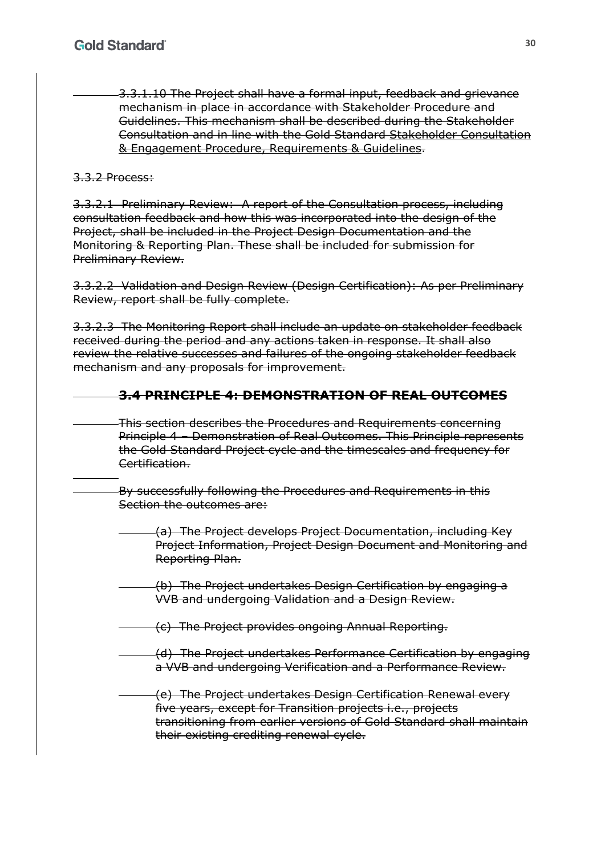3.3.1.10 The Project shall have a formal input, feedback and grievance mechanism in place in accordance with Stakeholder Procedure and Guidelines. This mechanism shall be described during the Stakeholder Consultation and in line with the Gold Standard Stakeholder Consultation & Engagement Procedure, Requirements & Guidelines.

## 3.3.2 Process:

3.3.2.1 Preliminary Review: A report of the Consultation process, including consultation feedback and how this was incorporated into the design of the Project, shall be included in the Project Design Documentation and the Monitoring & Reporting Plan. These shall be included for submission for Preliminary Review.

3.3.2.2 Validation and Design Review (Design Certification): As per Preliminary Review, report shall be fully complete.

3.3.2.3 The Monitoring Report shall include an update on stakeholder feedback received during the period and any actions taken in response. It shall also review the relative successes and failures of the ongoing stakeholder feedback mechanism and any proposals for improvement.

## **3.4 PRINCIPLE 4: DEMONSTRATION OF REAL OUTCOMES**

This section describes the Procedures and Requirements concerning Principle 4 – Demonstration of Real Outcomes. This Principle represents the Gold Standard Project cycle and the timescales and frequency for Certification.

By successfully following the Procedures and Requirements in this Section the outcomes are:

- (a) The Project develops Project Documentation, including Key Project Information, Project Design Document and Monitoring and Reporting Plan.
- (b) The Project undertakes Design Certification by engaging a VVB and undergoing Validation and a Design Review.

(c) The Project provides ongoing Annual Reporting.

- (d) The Project undertakes Performance Certification by engaging a VVB and undergoing Verification and a Performance Review.
- (e) The Project undertakes Design Certification Renewal every five years, except for Transition projects i.e., projects transitioning from earlier versions of Gold Standard shall maintain their existing crediting renewal cycle.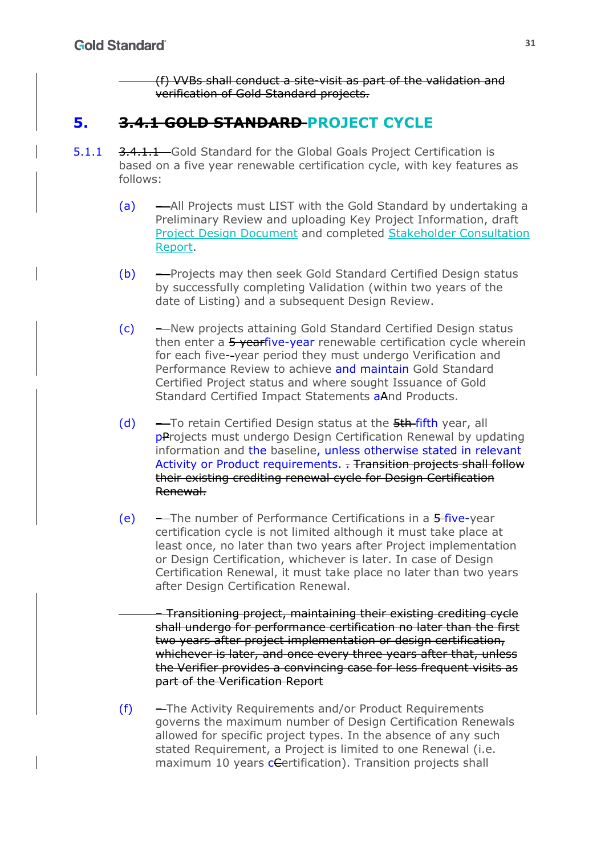(f) VVBs shall conduct a site-visit as part of the validation and verification of Gold Standard projects.

# **5. 3.4.1 GOLD STANDARD PROJECT CYCLE**

- 5.1.1 3.4.1.1 Gold Standard for the Global Goals Project Certification is based on a five year renewable certification cycle, with key features as follows:
	- (a) All Projects must LIST with the Gold Standard by undertaking a Preliminary Review and uploading Key Project Information, draft Project Design Document and completed Stakeholder Consultation Report.
	- (b) Projects may then seek Gold Standard Certified Design status by successfully completing Validation (within two years of the date of Listing) and a subsequent Design Review.
	- (c) New projects attaining Gold Standard Certified Design status then enter a 5 yearfive-year renewable certification cycle wherein for each five- year period they must undergo Verification and Performance Review to achieve and maintain Gold Standard Certified Project status and where sought Issuance of Gold Standard Certified Impact Statements aAnd Products.
	- (d)  $-$  To retain Certified Design status at the  $5th$  fifth year, all pProjects must undergo Design Certification Renewal by updating information and the baseline, unless otherwise stated in relevant Activity or Product requirements. - Transition projects shall follow their existing crediting renewal cycle for Design Certification Renewal.
	- (e) The number of Performance Certifications in a 5-five-year certification cycle is not limited although it must take place at least once, no later than two years after Project implementation or Design Certification, whichever is later. In case of Design Certification Renewal, it must take place no later than two years after Design Certification Renewal.
		- Transitioning project, maintaining their existing crediting cycle shall undergo for performance certification no later than the first two years after project implementation or design certification, whichever is later, and once every three years after that, unless the Verifier provides a convincing case for less frequent visits as part of the Verification Report
	- (f) The Activity Requirements and/or Product Requirements governs the maximum number of Design Certification Renewals allowed for specific project types. In the absence of any such stated Requirement, a Project is limited to one Renewal (i.e. maximum 10 years certification). Transition projects shall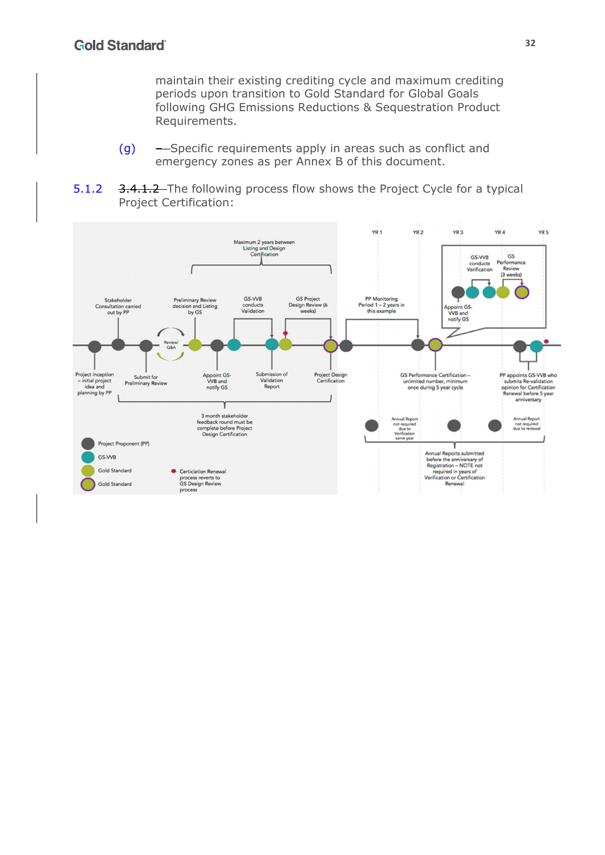maintain their existing crediting cycle and maximum crediting periods upon transition to Gold Standard for Global Goals following GHG Emissions Reductions & Sequestration Product Requirements.

- (g) Specific requirements apply in areas such as conflict and emergency zones as per Annex B of this document.
- 5.1.2 3.4.1.2 The following process flow shows the Project Cycle for a typical Project Certification:

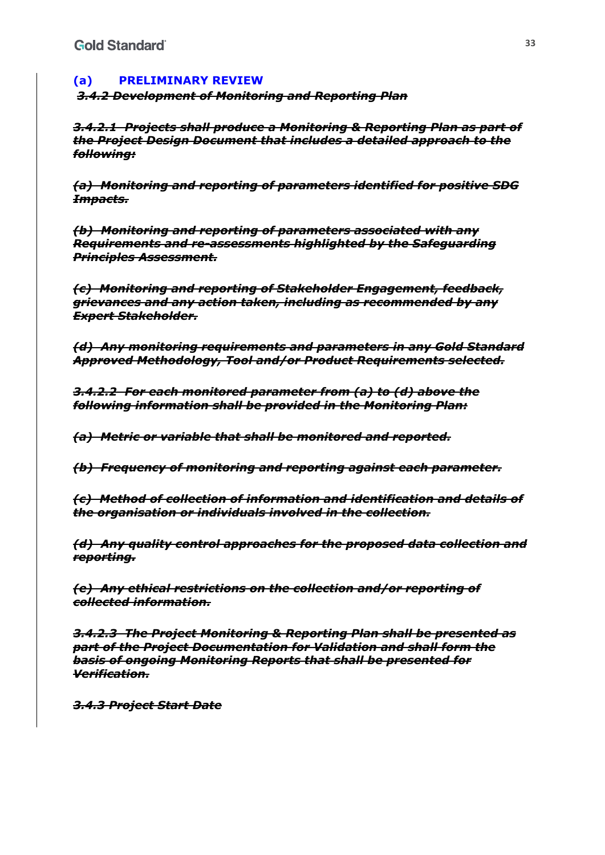## **(a) PRELIMINARY REVIEW**

*3.4.2 Development of Monitoring and Reporting Plan* 

*3.4.2.1 Projects shall produce a Monitoring & Reporting Plan as part of the Project Design Document that includes a detailed approach to the following:* 

*(a) Monitoring and reporting of parameters identified for positive SDG Impacts.* 

*(b) Monitoring and reporting of parameters associated with any Requirements and re-assessments highlighted by the Safeguarding Principles Assessment.* 

*(c) Monitoring and reporting of Stakeholder Engagement, feedback, grievances and any action taken, including as recommended by any Expert Stakeholder.* 

*(d) Any monitoring requirements and parameters in any Gold Standard Approved Methodology, Tool and/or Product Requirements selected.* 

*3.4.2.2 For each monitored parameter from (a) to (d) above the following information shall be provided in the Monitoring Plan:* 

*(a) Metric or variable that shall be monitored and reported.* 

*(b) Frequency of monitoring and reporting against each parameter.* 

*(c) Method of collection of information and identification and details of the organisation or individuals involved in the collection.* 

*(d) Any quality control approaches for the proposed data collection and reporting.* 

*(e) Any ethical restrictions on the collection and/or reporting of collected information.* 

*3.4.2.3 The Project Monitoring & Reporting Plan shall be presented as part of the Project Documentation for Validation and shall form the basis of ongoing Monitoring Reports that shall be presented for Verification.* 

*3.4.3 Project Start Date*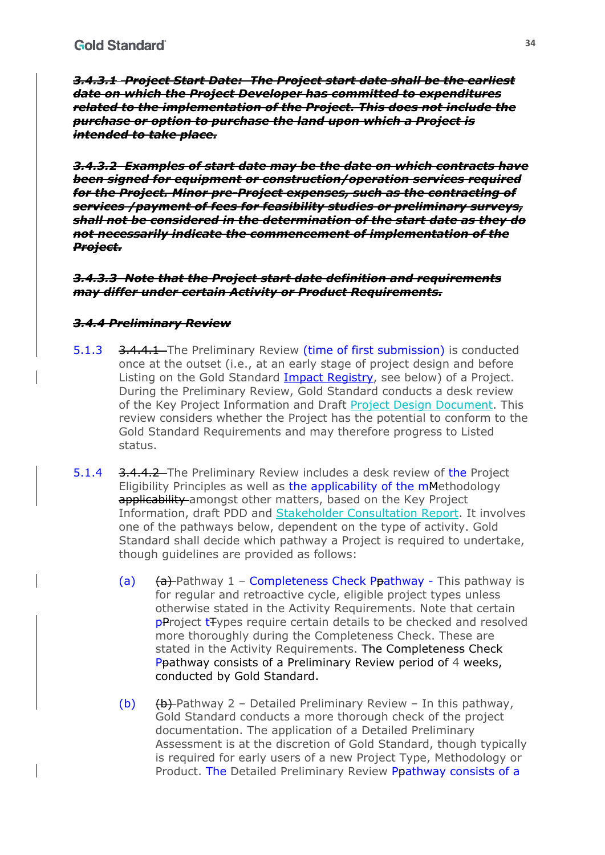*3.4.3.1 Project Start Date: The Project start date shall be the earliest date on which the Project Developer has committed to expenditures related to the implementation of the Project. This does not include the purchase or option to purchase the land upon which a Project is intended to take place.* 

*3.4.3.2 Examples of start date may be the date on which contracts have been signed for equipment or construction/operation services required for the Project. Minor pre-Project expenses, such as the contracting of services /payment of fees for feasibility studies or preliminary surveys, shall not be considered in the determination of the start date as they do not necessarily indicate the commencement of implementation of the Project.* 

*3.4.3.3 Note that the Project start date definition and requirements may differ under certain Activity or Product Requirements.* 

#### *3.4.4 Preliminary Review*

- 5.1.3 3.4.4.1 The Preliminary Review (time of first submission) is conducted once at the outset (i.e., at an early stage of project design and before Listing on the Gold Standard Impact Registry, see below) of a Project. During the Preliminary Review, Gold Standard conducts a desk review of the Key Project Information and Draft Project Design Document. This review considers whether the Project has the potential to conform to the Gold Standard Requirements and may therefore progress to Listed status.
- 5.1.4 3.4.4.2 The Preliminary Review includes a desk review of the Project Eligibility Principles as well as the applicability of the mMethodology applicability amongst other matters, based on the Key Project Information, draft PDD and Stakeholder Consultation Report. It involves one of the pathways below, dependent on the type of activity. Gold Standard shall decide which pathway a Project is required to undertake, though guidelines are provided as follows:
	- (a)  $(a)$  (a) Pathway 1 Completeness Check Ppathway This pathway is for regular and retroactive cycle, eligible project types unless otherwise stated in the Activity Requirements. Note that certain pProject tTypes require certain details to be checked and resolved more thoroughly during the Completeness Check. These are stated in the Activity Requirements. The Completeness Check Ppathway consists of a Preliminary Review period of 4 weeks, conducted by Gold Standard.
	- (b)  $\left(\frac{b}{b}\right)$  Pathway 2 Detailed Preliminary Review In this pathway, Gold Standard conducts a more thorough check of the project documentation. The application of a Detailed Preliminary Assessment is at the discretion of Gold Standard, though typically is required for early users of a new Project Type, Methodology or Product. The Detailed Preliminary Review Ppathway consists of a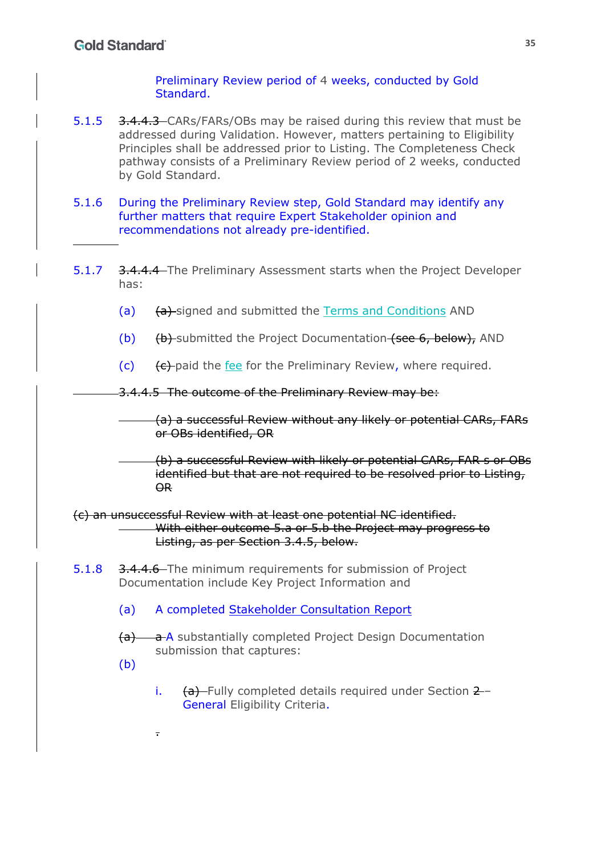#### Preliminary Review period of 4 weeks, conducted by Gold Standard.

- 5.1.5 3.4.4.3 CARs/FARs/OBs may be raised during this review that must be addressed during Validation. However, matters pertaining to Eligibility Principles shall be addressed prior to Listing. The Completeness Check pathway consists of a Preliminary Review period of 2 weeks, conducted by Gold Standard.
- 5.1.6 During the Preliminary Review step, Gold Standard may identify any further matters that require Expert Stakeholder opinion and recommendations not already pre-identified.
- 5.1.7 3.4.4.4 The Preliminary Assessment starts when the Project Developer has:
	- (a) (a) (a) signed and submitted the Terms and Conditions AND
	- (b) (b) (b) submitted the Project Documentation (see 6, below), AND
	- $(c)$  (c) (c) external the fee for the Preliminary Review, where required.

3.4.4.5 The outcome of the Preliminary Review may be:

(a) a successful Review without any likely or potential CARs, FARs or OBs identified, OR

(b) a successful Review with likely or potential CARs, FAR s or OBs identified but that are not required to be resolved prior to Listing, OR

(c) an unsuccessful Review with at least one potential NC identified. With either outcome 5.a or 5.b the Project may progress to Listing, as per Section 3.4.5, below.

- 5.1.8 3.4.4.6 The minimum requirements for submission of Project Documentation include Key Project Information and
	- (a) A completed Stakeholder Consultation Report
	- (a) a A substantially completed Project Design Documentation submission that captures:
	- (b)

.

i.  $(a)$  Fully completed details required under Section  $2 -$ General Eligibility Criteria.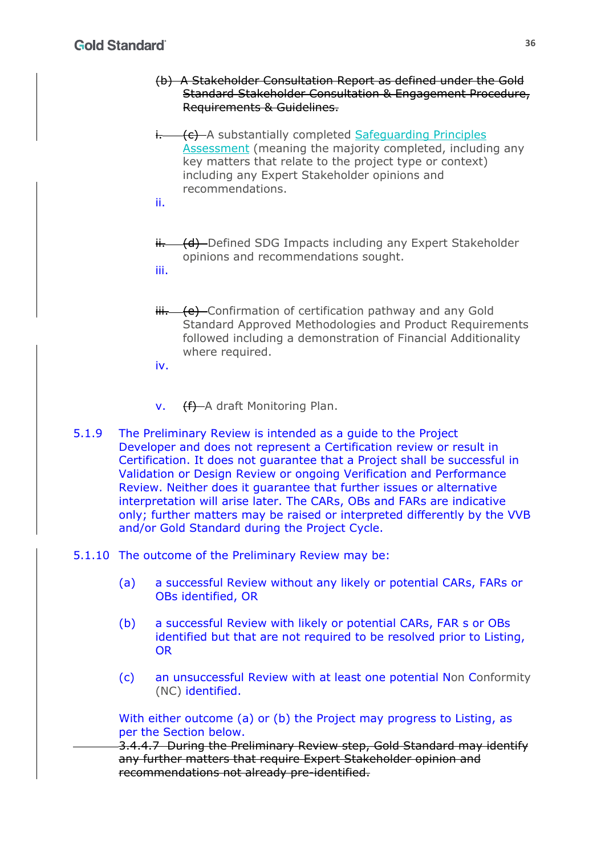## **Gold Standard**

- (b) A Stakeholder Consultation Report as defined under the Gold Standard Stakeholder Consultation & Engagement Procedure, Requirements & Guidelines.
- i. (c) A substantially completed Safeguarding Principles Assessment (meaning the majority completed, including any key matters that relate to the project type or context) including any Expert Stakeholder opinions and recommendations.
- ii.
- ii. (d) Defined SDG Impacts including any Expert Stakeholder opinions and recommendations sought. iii.
- $iii.$  (e) Confirmation of certification pathway and any Gold Standard Approved Methodologies and Product Requirements followed including a demonstration of Financial Additionality where required.
- iv.
- v. (f) A draft Monitoring Plan.
- 5.1.9 The Preliminary Review is intended as a guide to the Project Developer and does not represent a Certification review or result in Certification. It does not guarantee that a Project shall be successful in Validation or Design Review or ongoing Verification and Performance Review. Neither does it guarantee that further issues or alternative interpretation will arise later. The CARs, OBs and FARs are indicative only; further matters may be raised or interpreted differently by the VVB and/or Gold Standard during the Project Cycle.

#### 5.1.10 The outcome of the Preliminary Review may be:

- (a) a successful Review without any likely or potential CARs, FARs or OBs identified, OR
- (b) a successful Review with likely or potential CARs, FAR s or OBs identified but that are not required to be resolved prior to Listing, OR
- (c) an unsuccessful Review with at least one potential Non Conformity (NC) identified.

With either outcome (a) or (b) the Project may progress to Listing, as per the Section below.

3.4.4.7 During the Preliminary Review step, Gold Standard may identify any further matters that require Expert Stakeholder opinion and recommendations not already pre-identified.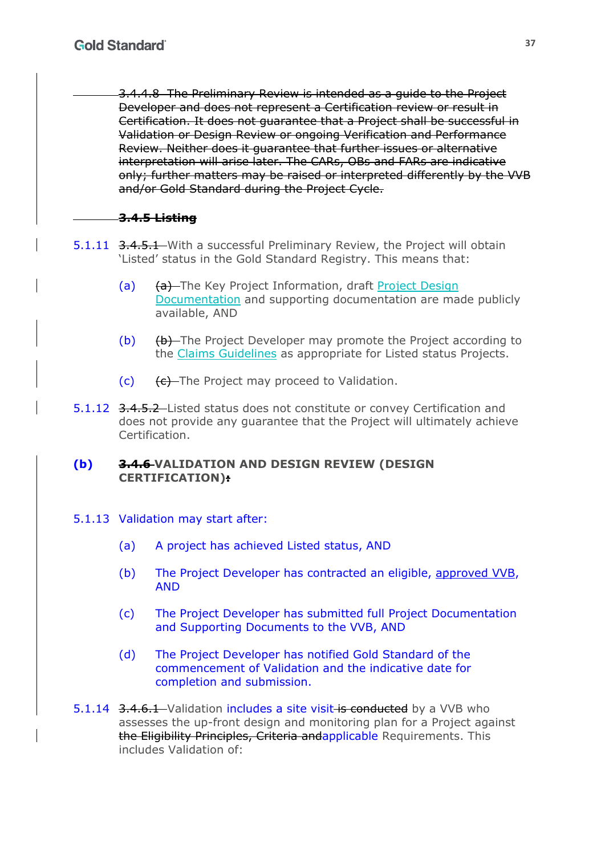3.4.4.8 The Preliminary Review is intended as a guide to the Project Developer and does not represent a Certification review or result in Certification. It does not guarantee that a Project shall be successful in Validation or Design Review or ongoing Verification and Performance Review. Neither does it guarantee that further issues or alternative interpretation will arise later. The CARs, OBs and FARs are indicative only; further matters may be raised or interpreted differently by the VVB and/or Gold Standard during the Project Cycle.

## **3.4.5 Listing**

- 5.1.11 3.4.5.1 With a successful Preliminary Review, the Project will obtain 'Listed' status in the Gold Standard Registry. This means that:
	- (a) (a) The Key Project Information, draft Project Design Documentation and supporting documentation are made publicly available, AND
	- (b) (b) The Project Developer may promote the Project according to the Claims Guidelines as appropriate for Listed status Projects.
	- $(c)$   $(e)$  The Project may proceed to Validation.
- 5.1.12 3.4.5.2 Listed status does not constitute or convey Certification and does not provide any guarantee that the Project will ultimately achieve Certification.

### **(b) 3.4.6 VALIDATION AND DESIGN REVIEW (DESIGN CERTIFICATION):**

- 5.1.13 Validation may start after:
	- (a) A project has achieved Listed status, AND
	- (b) The Project Developer has contracted an eligible, approved VVB, AND
	- (c) The Project Developer has submitted full Project Documentation and Supporting Documents to the VVB, AND
	- (d) The Project Developer has notified Gold Standard of the commencement of Validation and the indicative date for completion and submission.
- 5.1.14 3.4.6.1 Validation includes a site visit is conducted by a VVB who assesses the up-front design and monitoring plan for a Project against the Eligibility Principles, Criteria andapplicable Requirements. This includes Validation of: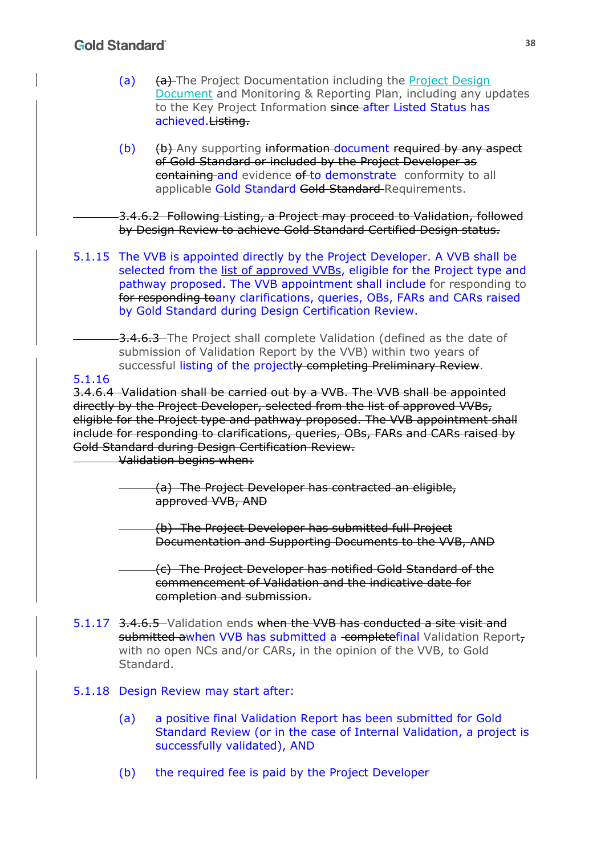## **Gold Standard**

- (a) (a) The Project Documentation including the Project Design Document and Monitoring & Reporting Plan, including any updates to the Key Project Information since after Listed Status has achieved.Listing.
- $(b)$   $(b)$   $(b)$  Any supporting information document required by any aspect of Gold Standard or included by the Project Developer as containing and evidence of to demonstrate conformity to all applicable Gold Standard Gold Standard Requirements.

3.4.6.2 Following Listing, a Project may proceed to Validation, followed by Design Review to achieve Gold Standard Certified Design status.

5.1.15 The VVB is appointed directly by the Project Developer. A VVB shall be selected from the list of approved VVBs, eligible for the Project type and pathway proposed. The VVB appointment shall include for responding to for responding toany clarifications, queries, OBs, FARs and CARs raised by Gold Standard during Design Certification Review.

3.4.6.3 The Project shall complete Validation (defined as the date of submission of Validation Report by the VVB) within two years of successful listing of the projectly completing Preliminary Review.

#### 5.1.16

3.4.6.4 Validation shall be carried out by a VVB. The VVB shall be appointed directly by the Project Developer, selected from the list of approved VVBs, eligible for the Project type and pathway proposed. The VVB appointment shall include for responding to clarifications, queries, OBs, FARs and CARs raised by Gold Standard during Design Certification Review.

Validation begins when:

- (a) The Project Developer has contracted an eligible, approved VVB, AND
- (b) The Project Developer has submitted full Project Documentation and Supporting Documents to the VVB, AND
	- (c) The Project Developer has notified Gold Standard of the commencement of Validation and the indicative date for completion and submission.
- 5.1.17 3.4.6.5 Validation ends when the VVB has conducted a site visit and submitted awhen VVB has submitted a completefinal Validation Report, with no open NCs and/or CARs, in the opinion of the VVB, to Gold Standard.

#### 5.1.18 Design Review may start after:

- (a) a positive final Validation Report has been submitted for Gold Standard Review (or in the case of Internal Validation, a project is successfully validated), AND
- (b) the required fee is paid by the Project Developer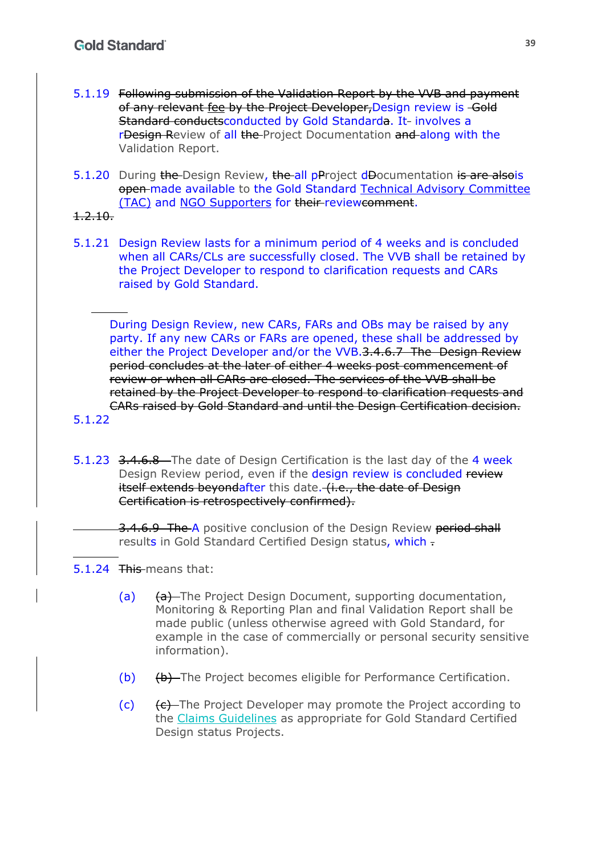- 5.1.19 Following submission of the Validation Report by the VVB and payment of any relevant fee by the Project Developer,Design review is Gold Standard conductsconducted by Gold Standarda. It involves a r**Design Review of all the** Project Documentation and along with the Validation Report.
- 5.1.20 During the Design Review, the all pProject dDocumentation is are alsois open made available to the Gold Standard Technical Advisory Committee (TAC) and NGO Supporters for their reviewcomment.
- 1.2.10.
- 5.1.21 Design Review lasts for a minimum period of 4 weeks and is concluded when all CARs/CLs are successfully closed. The VVB shall be retained by the Project Developer to respond to clarification requests and CARs raised by Gold Standard.

During Design Review, new CARs, FARs and OBs may be raised by any party. If any new CARs or FARs are opened, these shall be addressed by either the Project Developer and/or the VVB.3.4.6.7 The Design Review period concludes at the later of either 4 weeks post commencement of review or when all CARs are closed. The services of the VVB shall be retained by the Project Developer to respond to clarification requests and CARs raised by Gold Standard and until the Design Certification decision.

- 5.1.22
- 5.1.23 3.4.6.8 The date of Design Certification is the last day of the 4 week Design Review period, even if the design review is concluded review itself extends beyondafter this date. (i.e., the date of Design Certification is retrospectively confirmed).

3.4.6.9 The A positive conclusion of the Design Review period shall results in Gold Standard Certified Design status, which -

- 5.1.24 This means that:
	- (a)  $\theta$  The Project Design Document, supporting documentation, Monitoring & Reporting Plan and final Validation Report shall be made public (unless otherwise agreed with Gold Standard, for example in the case of commercially or personal security sensitive information).
	- (b) (b) The Project becomes eligible for Performance Certification.
	- (c) (c) (c) The Project Developer may promote the Project according to the Claims Guidelines as appropriate for Gold Standard Certified Design status Projects.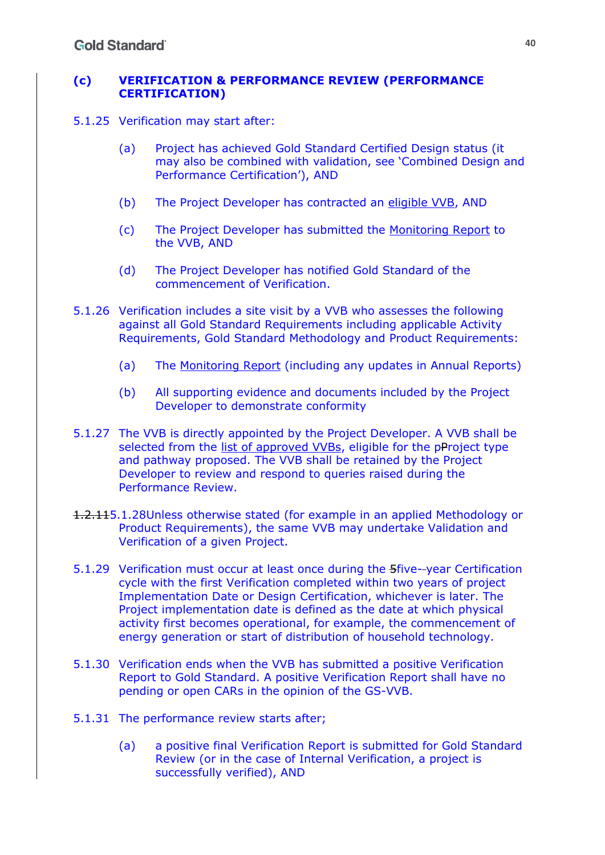#### **(c) VERIFICATION & PERFORMANCE REVIEW (PERFORMANCE CERTIFICATION)**

5.1.25 Verification may start after:

- (a) Project has achieved Gold Standard Certified Design status (it may also be combined with validation, see 'Combined Design and Performance Certification'), AND
- (b) The Project Developer has contracted an eligible VVB, AND
- (c) The Project Developer has submitted the Monitoring Report to the VVB, AND
- (d) The Project Developer has notified Gold Standard of the commencement of Verification.
- 5.1.26 Verification includes a site visit by a VVB who assesses the following against all Gold Standard Requirements including applicable Activity Requirements, Gold Standard Methodology and Product Requirements:
	- (a) The Monitoring Report (including any updates in Annual Reports)
	- (b) All supporting evidence and documents included by the Project Developer to demonstrate conformity
- 5.1.27 The VVB is directly appointed by the Project Developer. A VVB shall be selected from the list of approved VVBs, eligible for the pProject type and pathway proposed. The VVB shall be retained by the Project Developer to review and respond to queries raised during the Performance Review.
- 1.2.115.1.28Unless otherwise stated (for example in an applied Methodology or Product Requirements), the same VVB may undertake Validation and Verification of a given Project.
- 5.1.29 Verification must occur at least once during the 5five- year Certification cycle with the first Verification completed within two years of project Implementation Date or Design Certification, whichever is later. The Project implementation date is defined as the date at which physical activity first becomes operational, for example, the commencement of energy generation or start of distribution of household technology.
- 5.1.30 Verification ends when the VVB has submitted a positive Verification Report to Gold Standard. A positive Verification Report shall have no pending or open CARs in the opinion of the GS-VVB.
- 5.1.31 The performance review starts after;
	- (a) a positive final Verification Report is submitted for Gold Standard Review (or in the case of Internal Verification, a project is successfully verified), AND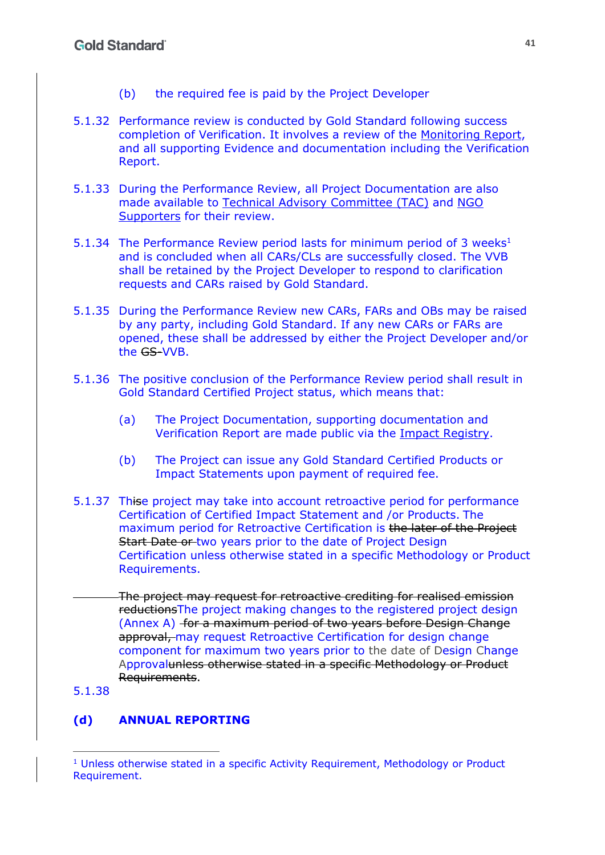- (b) the required fee is paid by the Project Developer
- 5.1.32 Performance review is conducted by Gold Standard following success completion of Verification. It involves a review of the Monitoring Report, and all supporting Evidence and documentation including the Verification Report.
- 5.1.33 During the Performance Review, all Project Documentation are also made available to Technical Advisory Committee (TAC) and NGO Supporters for their review.
- 5.1.34 The Performance Review period lasts for minimum period of 3 weeks $<sup>1</sup>$ </sup> and is concluded when all CARs/CLs are successfully closed. The VVB shall be retained by the Project Developer to respond to clarification requests and CARs raised by Gold Standard.
- 5.1.35 During the Performance Review new CARs, FARs and OBs may be raised by any party, including Gold Standard. If any new CARs or FARs are opened, these shall be addressed by either the Project Developer and/or the GS-VVB.
- 5.1.36 The positive conclusion of the Performance Review period shall result in Gold Standard Certified Project status, which means that:
	- (a) The Project Documentation, supporting documentation and Verification Report are made public via the Impact Registry.
	- (b) The Project can issue any Gold Standard Certified Products or Impact Statements upon payment of required fee.
- 5.1.37 Thise project may take into account retroactive period for performance Certification of Certified Impact Statement and /or Products. The maximum period for Retroactive Certification is the later of the Project Start Date or two years prior to the date of Project Design Certification unless otherwise stated in a specific Methodology or Product Requirements.
- The project may request for retroactive crediting for realised emission reductionsThe project making changes to the registered project design (Annex A) for a maximum period of two years before Design Change approval, may request Retroactive Certification for design change component for maximum two years prior to the date of Design Change Approvalunless otherwise stated in a specific Methodology or Product Requirements.

5.1.38

## **(d) ANNUAL REPORTING**

 $1$  Unless otherwise stated in a specific Activity Requirement, Methodology or Product Requirement.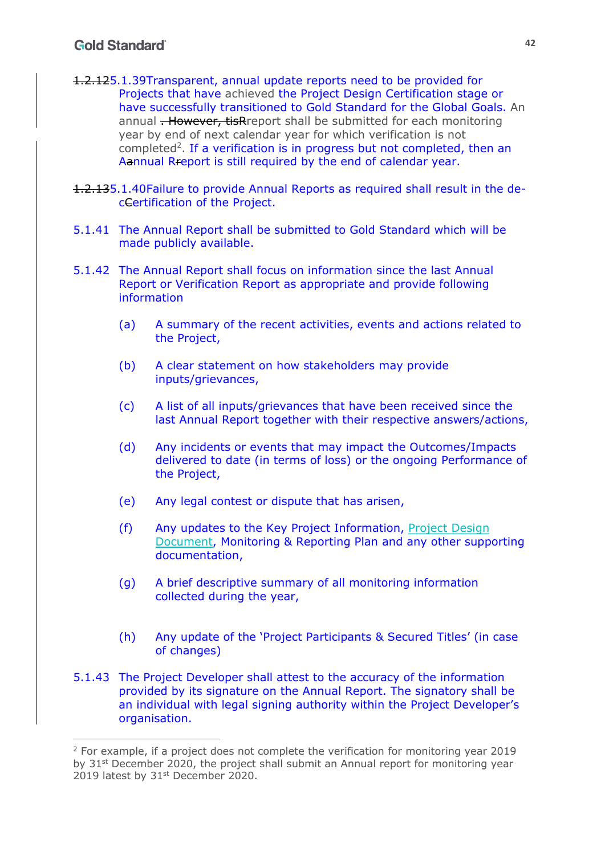## **Gold Standard**

- 1.2.125.1.39Transparent, annual update reports need to be provided for Projects that have achieved the Project Design Certification stage or have successfully transitioned to Gold Standard for the Global Goals. An annual **. However, tisR**report shall be submitted for each monitoring year by end of next calendar year for which verification is not completed<sup>2</sup>. If a verification is in progress but not completed, then an Aannual Rreport is still required by the end of calendar year.
- 1.2.135.1.40Failure to provide Annual Reports as required shall result in the decCertification of the Project.
- 5.1.41 The Annual Report shall be submitted to Gold Standard which will be made publicly available.
- 5.1.42 The Annual Report shall focus on information since the last Annual Report or Verification Report as appropriate and provide following information
	- (a) A summary of the recent activities, events and actions related to the Project,
	- (b) A clear statement on how stakeholders may provide inputs/grievances,
	- (c) A list of all inputs/grievances that have been received since the last Annual Report together with their respective answers/actions,
	- (d) Any incidents or events that may impact the Outcomes/Impacts delivered to date (in terms of loss) or the ongoing Performance of the Project,
	- (e) Any legal contest or dispute that has arisen,
	- (f) Any updates to the Key Project Information, Project Design Document, Monitoring & Reporting Plan and any other supporting documentation,
	- (g) A brief descriptive summary of all monitoring information collected during the year,
	- (h) Any update of the 'Project Participants & Secured Titles' (in case of changes)
- 5.1.43 The Project Developer shall attest to the accuracy of the information provided by its signature on the Annual Report. The signatory shall be an individual with legal signing authority within the Project Developer's organisation.

<sup>&</sup>lt;sup>2</sup> For example, if a project does not complete the verification for monitoring year 2019 by 31<sup>st</sup> December 2020, the project shall submit an Annual report for monitoring year 2019 latest by 31<sup>st</sup> December 2020.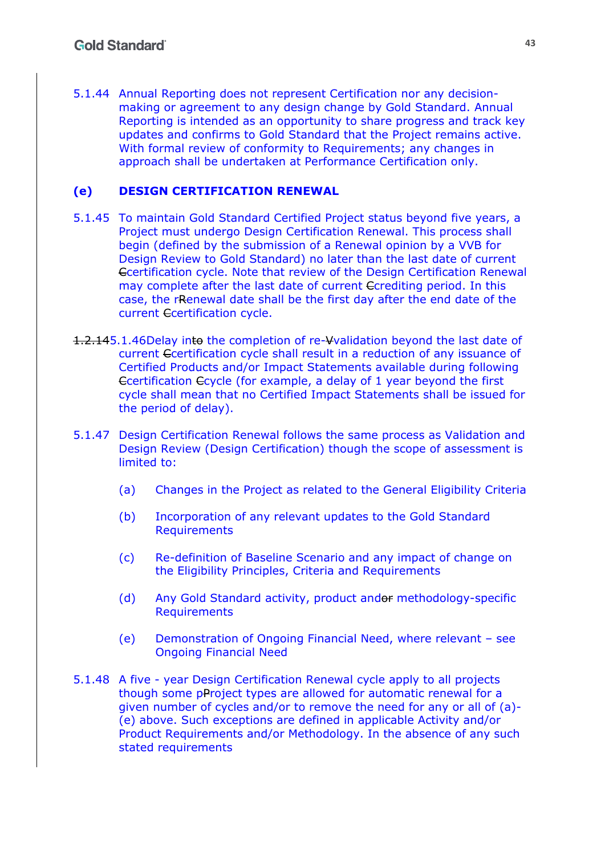5.1.44 Annual Reporting does not represent Certification nor any decisionmaking or agreement to any design change by Gold Standard. Annual Reporting is intended as an opportunity to share progress and track key updates and confirms to Gold Standard that the Project remains active. With formal review of conformity to Requirements; any changes in approach shall be undertaken at Performance Certification only.

#### **(e) DESIGN CERTIFICATION RENEWAL**

- 5.1.45 To maintain Gold Standard Certified Project status beyond five years, a Project must undergo Design Certification Renewal. This process shall begin (defined by the submission of a Renewal opinion by a VVB for Design Review to Gold Standard) no later than the last date of current Ccertification cycle. Note that review of the Design Certification Renewal may complete after the last date of current Ccrediting period. In this case, the rRenewal date shall be the first day after the end date of the current Ccertification cycle.
- 1.2.145.1.46Delay into the completion of re-Vvalidation beyond the last date of current Ccertification cycle shall result in a reduction of any issuance of Certified Products and/or Impact Statements available during following Ccertification Ccycle (for example, a delay of 1 year beyond the first cycle shall mean that no Certified Impact Statements shall be issued for the period of delay).
- 5.1.47 Design Certification Renewal follows the same process as Validation and Design Review (Design Certification) though the scope of assessment is limited to:
	- (a) Changes in the Project as related to the General Eligibility Criteria
	- (b) Incorporation of any relevant updates to the Gold Standard Requirements
	- (c) Re-definition of Baseline Scenario and any impact of change on the Eligibility Principles, Criteria and Requirements
	- (d) Any Gold Standard activity, product andor methodology-specific Requirements
	- (e) Demonstration of Ongoing Financial Need, where relevant see Ongoing Financial Need
- 5.1.48 A five year Design Certification Renewal cycle apply to all projects though some pProject types are allowed for automatic renewal for a given number of cycles and/or to remove the need for any or all of (a)- (e) above. Such exceptions are defined in applicable Activity and/or Product Requirements and/or Methodology. In the absence of any such stated requirements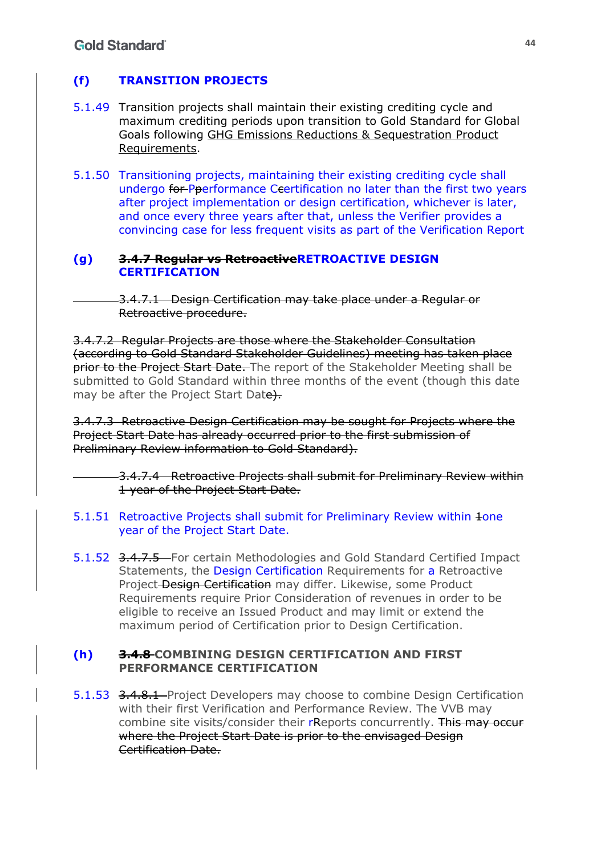## **(f) TRANSITION PROJECTS**

- 5.1.49 Transition projects shall maintain their existing crediting cycle and maximum crediting periods upon transition to Gold Standard for Global Goals following GHG Emissions Reductions & Sequestration Product Requirements.
- 5.1.50 Transitioning projects, maintaining their existing crediting cycle shall undergo for Pperformance Ceertification no later than the first two years after project implementation or design certification, whichever is later, and once every three years after that, unless the Verifier provides a convincing case for less frequent visits as part of the Verification Report

#### **(g) 3.4.7 Regular vs RetroactiveRETROACTIVE DESIGN CERTIFICATION**

3.4.7.1 Design Certification may take place under a Regular or Retroactive procedure.

3.4.7.2 Regular Projects are those where the Stakeholder Consultation (according to Gold Standard Stakeholder Guidelines) meeting has taken place prior to the Project Start Date. The report of the Stakeholder Meeting shall be submitted to Gold Standard within three months of the event (though this date may be after the Project Start Date).

3.4.7.3 Retroactive Design Certification may be sought for Projects where the Project Start Date has already occurred prior to the first submission of Preliminary Review information to Gold Standard).

> 3.4.7.4 Retroactive Projects shall submit for Preliminary Review within 1 year of the Project Start Date.

- 5.1.51 Retroactive Projects shall submit for Preliminary Review within 1one year of the Project Start Date.
- 5.1.52 3.4.7.5 For certain Methodologies and Gold Standard Certified Impact Statements, the Design Certification Requirements for a Retroactive Project Design Certification may differ. Likewise, some Product Requirements require Prior Consideration of revenues in order to be eligible to receive an Issued Product and may limit or extend the maximum period of Certification prior to Design Certification.

### **(h) 3.4.8 COMBINING DESIGN CERTIFICATION AND FIRST PERFORMANCE CERTIFICATION**

5.1.53 3.4.8.1 Project Developers may choose to combine Design Certification with their first Verification and Performance Review. The VVB may combine site visits/consider their rReports concurrently. This may occur where the Project Start Date is prior to the envisaged Design Certification Date.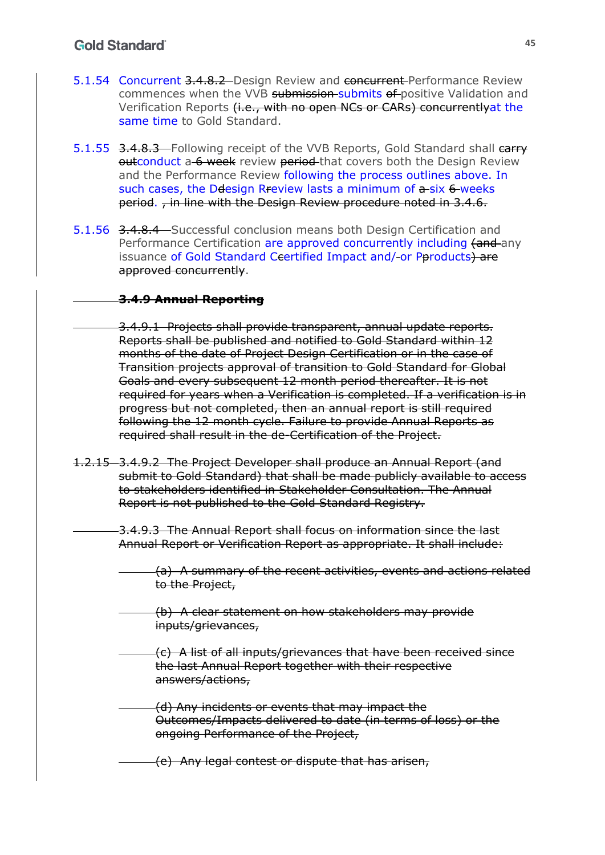## **Gold Standard**

- 5.1.54 Concurrent 3.4.8.2 Design Review and concurrent Performance Review commences when the VVB submission submits of positive Validation and Verification Reports (i.e., with no open NCs or CARs) concurrently at the same time to Gold Standard.
- 5.1.55 3.4.8.3 Following receipt of the VVB Reports, Gold Standard shall carry outconduct a 6 week review period that covers both the Design Review and the Performance Review following the process outlines above. In such cases, the Ddesign Rreview lasts a minimum of a-six 6-weeks period. , in line with the Design Review procedure noted in 3.4.6.
- 5.1.56 3.4.8.4 Successful conclusion means both Design Certification and Performance Certification are approved concurrently including (and any issuance of Gold Standard Ceertified Impact and/-or Pproducts) are approved concurrently.

### **3.4.9 Annual Reporting**

- 3.4.9.1 Projects shall provide transparent, annual update reports. Reports shall be published and notified to Gold Standard within 12 months of the date of Project Design Certification or in the case of Transition projects approval of transition to Gold Standard for Global Goals and every subsequent 12 month period thereafter. It is not required for years when a Verification is completed. If a verification is in progress but not completed, then an annual report is still required following the 12 month cycle. Failure to provide Annual Reports as required shall result in the de-Certification of the Project.
- 1.2.15 3.4.9.2 The Project Developer shall produce an Annual Report (and submit to Gold Standard) that shall be made publicly available to access to stakeholders identified in Stakeholder Consultation. The Annual Report is not published to the Gold Standard Registry.

3.4.9.3 The Annual Report shall focus on information since the last Annual Report or Verification Report as appropriate. It shall include:

- (a) A summary of the recent activities, events and actions related to the Project,
- (b) A clear statement on how stakeholders may provide inputs/grievances,
- (c) A list of all inputs/grievances that have been received since the last Annual Report together with their respective answers/actions,
- (d) Any incidents or events that may impact the Outcomes/Impacts delivered to date (in terms of loss) or the ongoing Performance of the Project,
	- (e) Any legal contest or dispute that has arisen,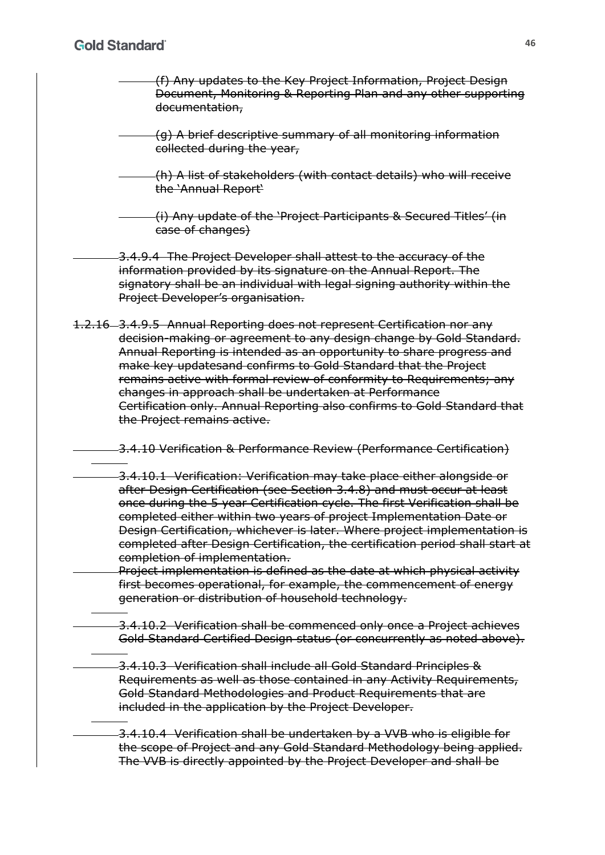- (f) Any updates to the Key Project Information, Project Design Document, Monitoring & Reporting Plan and any other supporting documentation,
- (g) A brief descriptive summary of all monitoring information collected during the year,
- (h) A list of stakeholders (with contact details) who will receive the 'Annual Report'
- (i) Any update of the 'Project Participants & Secured Titles' (in case of changes)
- 3.4.9.4 The Project Developer shall attest to the accuracy of the information provided by its signature on the Annual Report. The signatory shall be an individual with legal signing authority within the Project Developer's organisation.
- 1.2.16 3.4.9.5 Annual Reporting does not represent Certification nor any decision-making or agreement to any design change by Gold Standard. Annual Reporting is intended as an opportunity to share progress and make key updatesand confirms to Gold Standard that the Project remains active with formal review of conformity to Requirements; any changes in approach shall be undertaken at Performance Certification only. Annual Reporting also confirms to Gold Standard that the Project remains active.
	- 3.4.10 Verification & Performance Review (Performance Certification)
	- 3.4.10.1 Verification: Verification may take place either alongside or after Design Certification (see Section 3.4.8) and must occur at least once during the 5 year Certification cycle. The first Verification shall be completed either within two years of project Implementation Date or Design Certification, whichever is later. Where project implementation is completed after Design Certification, the certification period shall start at completion of implementation.
	- Project implementation is defined as the date at which physical activity first becomes operational, for example, the commencement of energy generation or distribution of household technology.
	- 3.4.10.2 Verification shall be commenced only once a Project achieves Gold Standard Certified Design status (or concurrently as noted above).
		- 3.4.10.3 Verification shall include all Gold Standard Principles & Requirements as well as those contained in any Activity Requirements, Gold Standard Methodologies and Product Requirements that are included in the application by the Project Developer.
		- 3.4.10.4 Verification shall be undertaken by a VVB who is eligible for the scope of Project and any Gold Standard Methodology being applied. The VVB is directly appointed by the Project Developer and shall be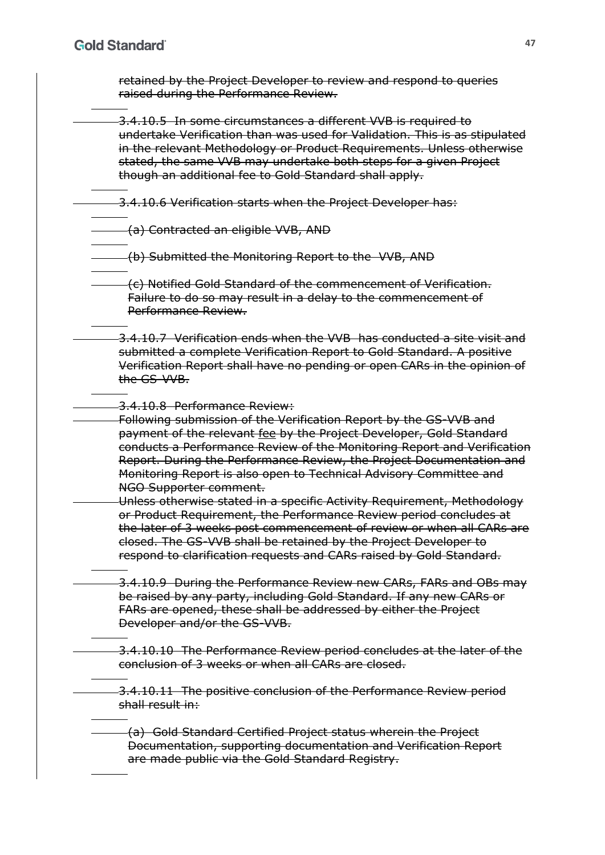retained by the Project Developer to review and respond to queries raised during the Performance Review.

3.4.10.5 In some circumstances a different VVB is required to undertake Verification than was used for Validation. This is as stipulated in the relevant Methodology or Product Requirements. Unless otherwise stated, the same VVB may undertake both steps for a given Project though an additional fee to Gold Standard shall apply.

3.4.10.6 Verification starts when the Project Developer has:

(a) Contracted an eligible VVB, AND

(b) Submitted the Monitoring Report to the VVB, AND

(c) Notified Gold Standard of the commencement of Verification. Failure to do so may result in a delay to the commencement of Performance Review.

3.4.10.7 Verification ends when the VVB has conducted a site visit and submitted a complete Verification Report to Gold Standard. A positive Verification Report shall have no pending or open CARs in the opinion of the GS-VVB.

3.4.10.8 Performance Review:

Following submission of the Verification Report by the GS-VVB and payment of the relevant fee by the Project Developer, Gold Standard conducts a Performance Review of the Monitoring Report and Verification Report. During the Performance Review, the Project Documentation and Monitoring Report is also open to Technical Advisory Committee and NGO Supporter comment.

Unless otherwise stated in a specific Activity Requirement, Methodology or Product Requirement, the Performance Review period concludes at the later of 3 weeks post commencement of review or when all CARs are closed. The GS-VVB shall be retained by the Project Developer to respond to clarification requests and CARs raised by Gold Standard.

3.4.10.9 During the Performance Review new CARs, FARs and OBs may be raised by any party, including Gold Standard. If any new CARs or FARs are opened, these shall be addressed by either the Project Developer and/or the GS-VVB.

-3.4.10.10 The Performance Review period concludes at the later of the conclusion of 3 weeks or when all CARs are closed.

3.4.10.11 The positive conclusion of the Performance Review period shall result in:

(a) Gold Standard Certified Project status wherein the Project Documentation, supporting documentation and Verification Report are made public via the Gold Standard Registry.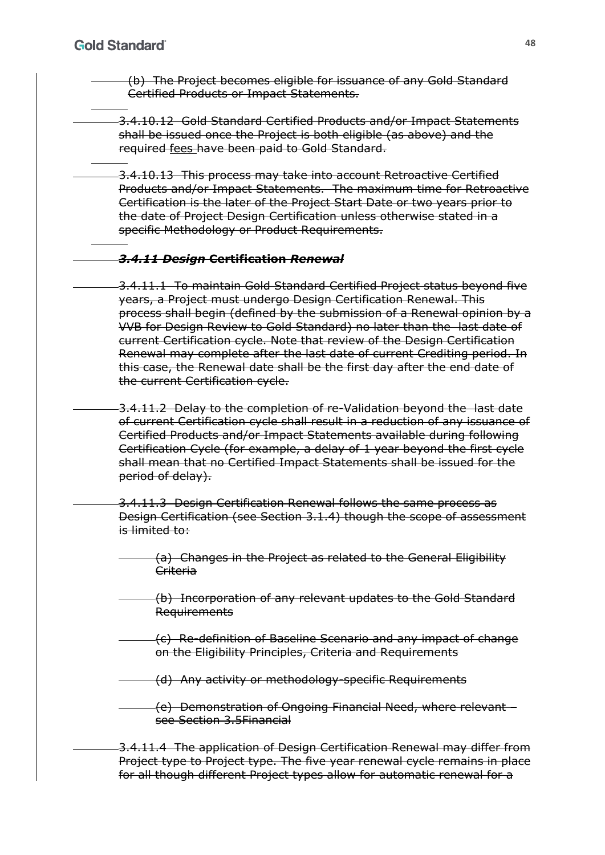(b) The Project becomes eligible for issuance of any Gold Standard Certified Products or Impact Statements.

- 3.4.10.12 Gold Standard Certified Products and/or Impact Statements shall be issued once the Project is both eligible (as above) and the required fees have been paid to Gold Standard.
- 3.4.10.13 This process may take into account Retroactive Certified Products and/or Impact Statements. The maximum time for Retroactive Certification is the later of the Project Start Date or two years prior to the date of Project Design Certification unless otherwise stated in a specific Methodology or Product Requirements.

### *3.4.11 Design* **Certification** *Renewal*

- 3.4.11.1 To maintain Gold Standard Certified Project status beyond five years, a Project must undergo Design Certification Renewal. This process shall begin (defined by the submission of a Renewal opinion by a VVB for Design Review to Gold Standard) no later than the last date of current Certification cycle. Note that review of the Design Certification Renewal may complete after the last date of current Crediting period. In this case, the Renewal date shall be the first day after the end date of the current Certification cycle.
- 3.4.11.2 Delay to the completion of re-Validation beyond the last date of current Certification cycle shall result in a reduction of any issuance of Certified Products and/or Impact Statements available during following Certification Cycle (for example, a delay of 1 year beyond the first cycle shall mean that no Certified Impact Statements shall be issued for the period of delay).
- 3.4.11.3 Design Certification Renewal follows the same process as Design Certification (see Section 3.1.4) though the scope of assessment is limited to:
	- (a) Changes in the Project as related to the General Eligibility Criteria
- (b) Incorporation of any relevant updates to the Gold Standard Requirements
- (c) Re-definition of Baseline Scenario and any impact of change on the Eligibility Principles, Criteria and Requirements
- (d) Any activity or methodology-specific Requirements
	- (e) Demonstration of Ongoing Financial Need, where relevant see Section 3.5Financial
- 3.4.11.4 The application of Design Certification Renewal may differ from Project type to Project type. The five year renewal cycle remains in place for all though different Project types allow for automatic renewal for a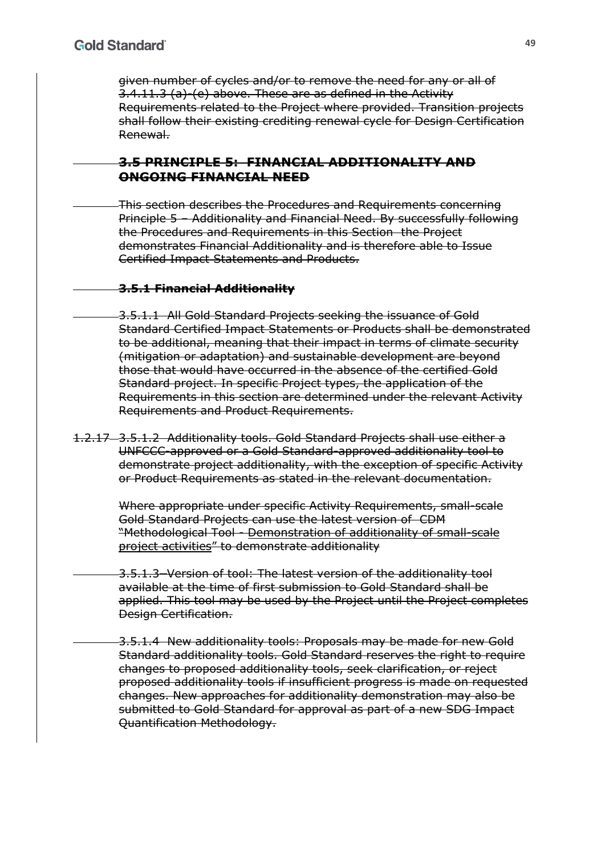given number of cycles and/or to remove the need for any or all of 3.4.11.3 (a)-(e) above. These are as defined in the Activity Requirements related to the Project where provided. Transition projects shall follow their existing crediting renewal cycle for Design Certification Renewal.

## **3.5 PRINCIPLE 5: FINANCIAL ADDITIONALITY AND ONGOING FINANCIAL NEED**

This section describes the Procedures and Requirements concerning Principle 5 – Additionality and Financial Need. By successfully following the Procedures and Requirements in this Section the Project demonstrates Financial Additionality and is therefore able to Issue Certified Impact Statements and Products.

### **3.5.1 Financial Additionality**

- 3.5.1.1 All Gold Standard Projects seeking the issuance of Gold Standard Certified Impact Statements or Products shall be demonstrated to be additional, meaning that their impact in terms of climate security (mitigation or adaptation) and sustainable development are beyond those that would have occurred in the absence of the certified Gold Standard project. In specific Project types, the application of the Requirements in this section are determined under the relevant Activity Requirements and Product Requirements.
- 1.2.17 3.5.1.2 Additionality tools. Gold Standard Projects shall use either a UNFCCC-approved or a Gold Standard-approved additionality tool to demonstrate project additionality, with the exception of specific Activity or Product Requirements as stated in the relevant documentation.

Where appropriate under specific Activity Requirements, small-scale Gold Standard Projects can use the latest version of CDM "Methodological Tool - Demonstration of additionality of small-scale project activities" to demonstrate additionality

3.5.1.3Version of tool: The latest version of the additionality tool available at the time of first submission to Gold Standard shall be applied. This tool may be used by the Project until the Project completes Design Certification.

3.5.1.4 New additionality tools: Proposals may be made for new Gold Standard additionality tools. Gold Standard reserves the right to require changes to proposed additionality tools, seek clarification, or reject proposed additionality tools if insufficient progress is made on requested changes. New approaches for additionality demonstration may also be submitted to Gold Standard for approval as part of a new SDG Impact Quantification Methodology.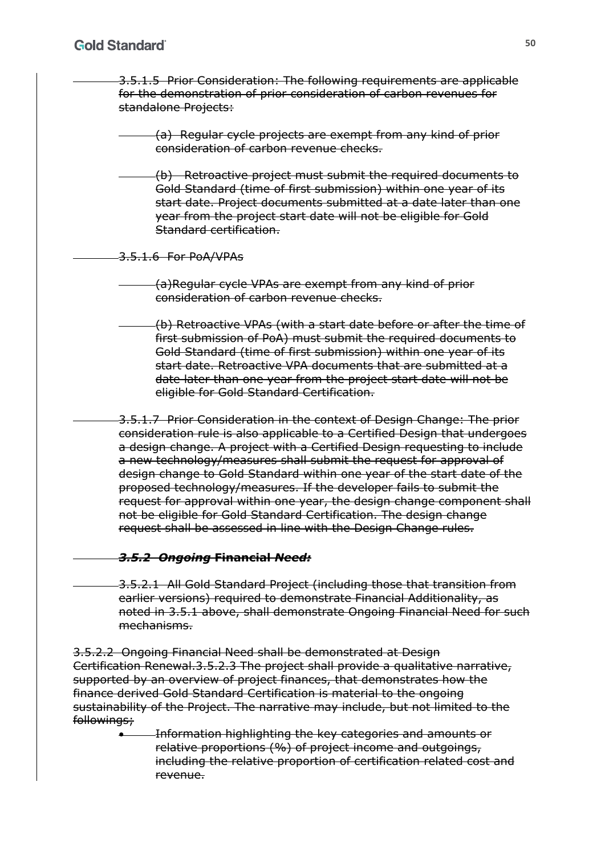- 3.5.1.5 Prior Consideration: The following requirements are applicable for the demonstration of prior consideration of carbon revenues for standalone Projects:
	- (a) Regular cycle projects are exempt from any kind of prior consideration of carbon revenue checks.
	- (b) Retroactive project must submit the required documents to Gold Standard (time of first submission) within one year of its start date. Project documents submitted at a date later than one year from the project start date will not be eligible for Gold Standard certification.

3.5.1.6 For PoA/VPAs

- (a)Regular cycle VPAs are exempt from any kind of prior consideration of carbon revenue checks.
- (b) Retroactive VPAs (with a start date before or after the time of first submission of PoA) must submit the required documents to Gold Standard (time of first submission) within one year of its start date. Retroactive VPA documents that are submitted at a date later than one year from the project start date will not be eligible for Gold Standard Certification.

3.5.1.7 Prior Consideration in the context of Design Change: The prior consideration rule is also applicable to a Certified Design that undergoes a design change. A project with a Certified Design requesting to include a new technology/measures shall submit the request for approval of design change to Gold Standard within one year of the start date of the proposed technology/measures. If the developer fails to submit the request for approval within one year, the design change component shall not be eligible for Gold Standard Certification. The design change request shall be assessed in line with the Design Change rules.

#### *3.5.2 Ongoing* **Financial** *Need:*

3.5.2.1 All Gold Standard Project (including those that transition from earlier versions) required to demonstrate Financial Additionality, as noted in 3.5.1 above, shall demonstrate Ongoing Financial Need for such mechanisms.

3.5.2.2 Ongoing Financial Need shall be demonstrated at Design Certification Renewal.3.5.2.3 The project shall provide a qualitative narrative, supported by an overview of project finances, that demonstrates how the finance derived Gold Standard Certification is material to the ongoing sustainability of the Project. The narrative may include, but not limited to the followings;

> Information highlighting the key categories and amounts or relative proportions (%) of project income and outgoings, including the relative proportion of certification related cost and revenue.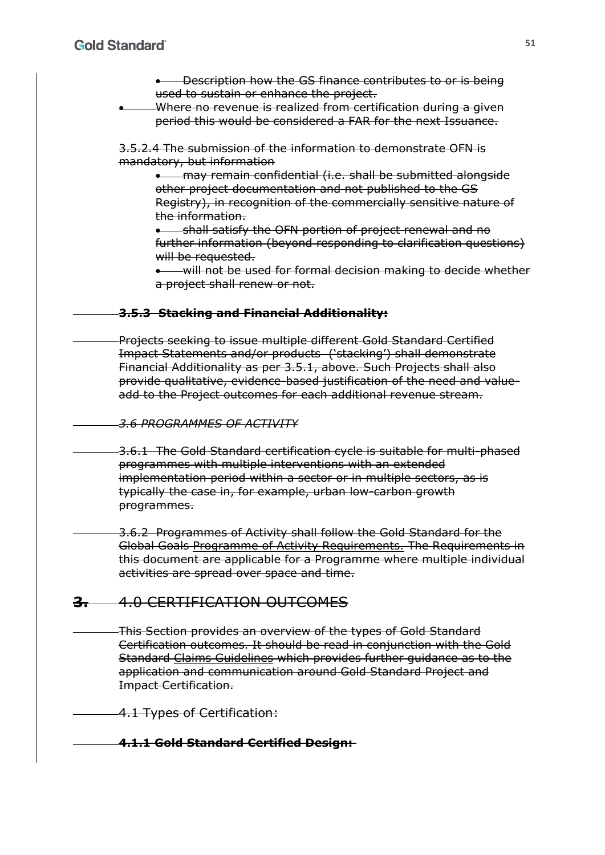**.** Description how the GS finance contributes to or is being used to sustain or enhance the project.

 Where no revenue is realized from certification during a given period this would be considered a FAR for the next Issuance.

3.5.2.4 The submission of the information to demonstrate OFN is mandatory, but information

**\*** may remain confidential (i.e. shall be submitted alongside other project documentation and not published to the GS Registry), in recognition of the commercially sensitive nature of the information.

**•** shall satisfy the OFN portion of project renewal and no further information (beyond responding to clarification questions) will be requested.

 will not be used for formal decision making to decide whether a project shall renew or not.

#### **3.5.3 Stacking and Financial Additionality:**

Projects seeking to issue multiple different Gold Standard Certified Impact Statements and/or products ('stacking') shall demonstrate Financial Additionality as per 3.5.1, above. Such Projects shall also provide qualitative, evidence-based justification of the need and valueadd to the Project outcomes for each additional revenue stream.

*3.6 PROGRAMMES OF ACTIVITY*

3.6.1 The Gold Standard certification cycle is suitable for multi-phased programmes with multiple interventions with an extended implementation period within a sector or in multiple sectors, as is typically the case in, for example, urban low-carbon growth programmes.

3.6.2 Programmes of Activity shall follow the Gold Standard for the Global Goals Programme of Activity Requirements. The Requirements in this document are applicable for a Programme where multiple individual activities are spread over space and time.

## **3.** 4.0 CERTIFICATION OUTCOMES

This Section provides an overview of the types of Gold Standard Certification outcomes. It should be read in conjunction with the Gold Standard Claims Guidelines which provides further guidance as to the application and communication around Gold Standard Project and Impact Certification.

4.1 Types of Certification:

#### **4.1.1 Gold Standard Certified Design:**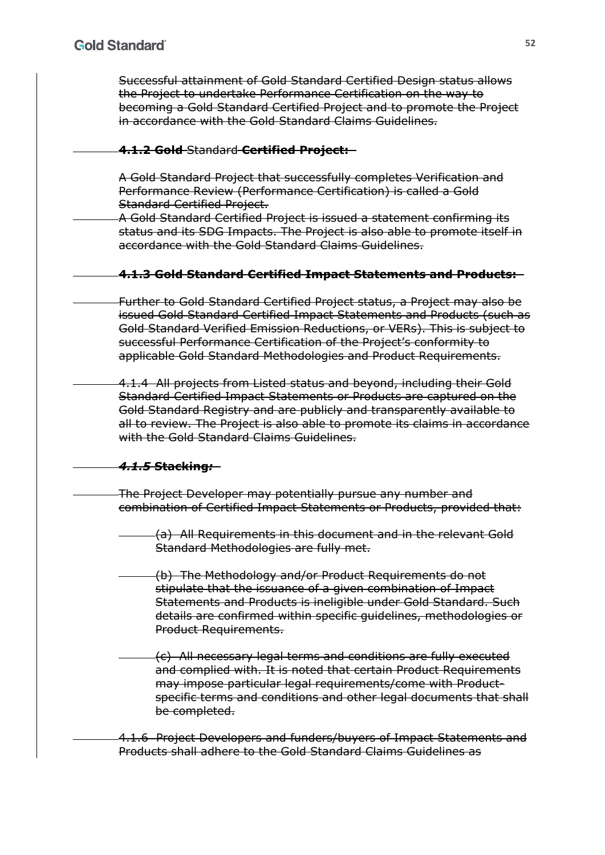Successful attainment of Gold Standard Certified Design status allows the Project to undertake Performance Certification on the way to becoming a Gold Standard Certified Project and to promote the Project in accordance with the Gold Standard Claims Guidelines.

### **4.1.2 Gold** Standard **Certified Project:**

A Gold Standard Project that successfully completes Verification and Performance Review (Performance Certification) is called a Gold Standard Certified Project.

A Gold Standard Certified Project is issued a statement confirming its status and its SDG Impacts. The Project is also able to promote itself in accordance with the Gold Standard Claims Guidelines.

#### **4.1.3 Gold Standard Certified Impact Statements and Products:**

Further to Gold Standard Certified Project status, a Project may also be issued Gold Standard Certified Impact Statements and Products (such as Gold Standard Verified Emission Reductions, or VERs). This is subject to successful Performance Certification of the Project's conformity to applicable Gold Standard Methodologies and Product Requirements.

4.1.4 All projects from Listed status and beyond, including their Gold Standard Certified Impact Statements or Products are captured on the Gold Standard Registry and are publicly and transparently available to all to review. The Project is also able to promote its claims in accordance with the Gold Standard Claims Guidelines.

## *4.1.5* **Stacking***:*

The Project Developer may potentially pursue any number and combination of Certified Impact Statements or Products, provided that:

(a) All Requirements in this document and in the relevant Gold Standard Methodologies are fully met.

(b) The Methodology and/or Product Requirements do not stipulate that the issuance of a given combination of Impact Statements and Products is ineligible under Gold Standard. Such details are confirmed within specific guidelines, methodologies or Product Requirements.

(c) All necessary legal terms and conditions are fully executed and complied with. It is noted that certain Product Requirements may impose particular legal requirements/come with Productspecific terms and conditions and other legal documents that shall be completed.

4.1.6 Project Developers and funders/buyers of Impact Statements and Products shall adhere to the Gold Standard Claims Guidelines as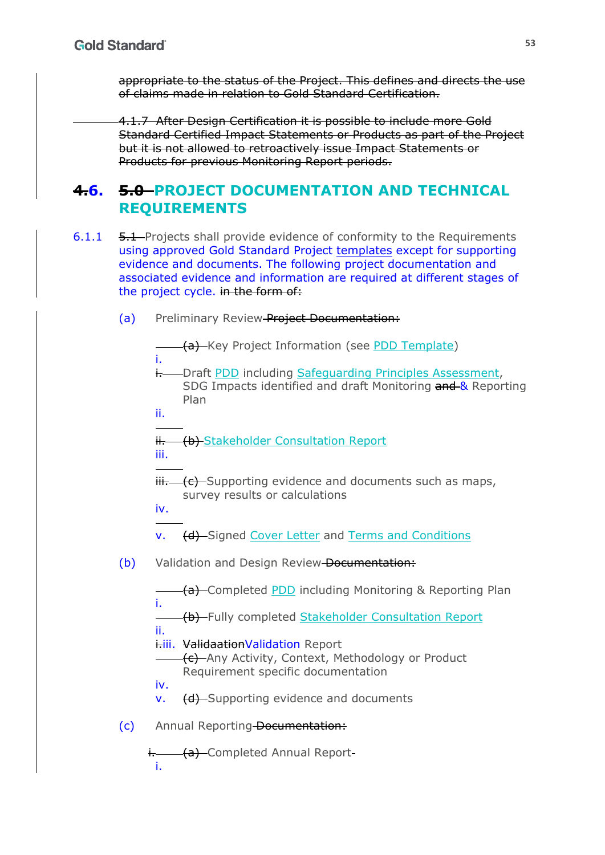appropriate to the status of the Project. This defines and directs the use of claims made in relation to Gold Standard Certification.

4.1.7 After Design Certification it is possible to include more Gold Standard Certified Impact Statements or Products as part of the Project but it is not allowed to retroactively issue Impact Statements or Products for previous Monitoring Report periods.

# **4.6. 5.0 PROJECT DOCUMENTATION AND TECHNICAL REQUIREMENTS**

- 6.1.1 5.1 Projects shall provide evidence of conformity to the Requirements using approved Gold Standard Project templates except for supporting evidence and documents. The following project documentation and associated evidence and information are required at different stages of the project cycle. in the form of:
	- (a) Preliminary Review Project Documentation:

|     | ī.   | (a) Key Project Information (see PDD Template)                                                                                  |
|-----|------|---------------------------------------------------------------------------------------------------------------------------------|
|     | i-   | -Draft PDD including Safequarding Principles Assessment,<br>SDG Impacts identified and draft Monitoring and & Reporting<br>Plan |
|     | ii.  |                                                                                                                                 |
|     | iii. | ii. (b) Stakeholder Consultation Report                                                                                         |
|     |      | $\ddot{\text{iii}}$ $\left(-6\right)$ Supporting evidence and documents such as maps,                                           |
|     | iv.  | survey results or calculations                                                                                                  |
|     | v.   | (d) Signed Cover Letter and Terms and Conditions                                                                                |
| (b) |      | Validation and Design Review-Documentation:                                                                                     |
|     | i.   | (a) Completed PDD including Monitoring & Reporting Plan                                                                         |
|     |      | (b) Fully completed Stakeholder Consultation Report                                                                             |
|     | ii.  | i-iii. Validaation Validation Report<br>(c) Any Activity, Context, Methodology or Product<br>Requirement specific documentation |
|     | iv.  |                                                                                                                                 |
|     | v.   | (d) Supporting evidence and documents                                                                                           |
| (c) |      | Annual Reporting-Documentation:                                                                                                 |
|     | i.   | i. <b>(a)</b> Completed Annual Report-                                                                                          |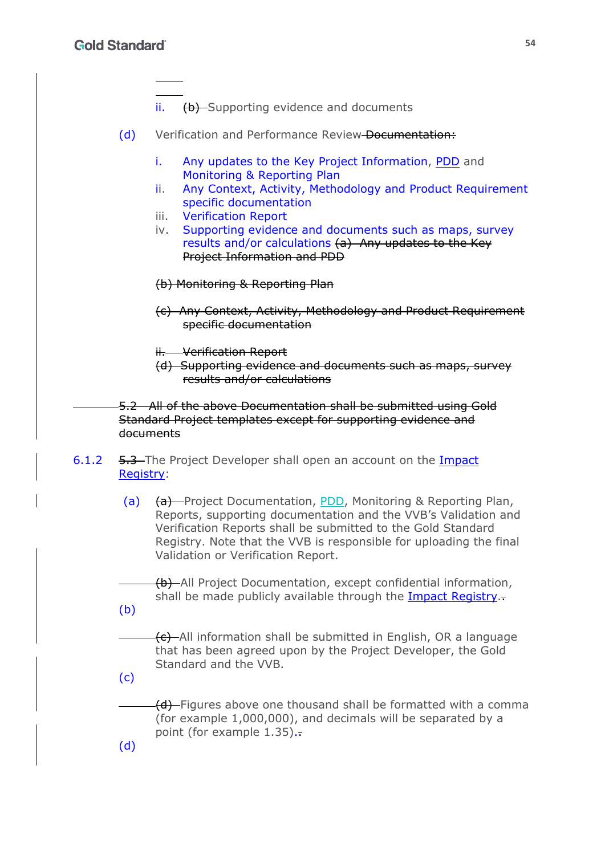- ii. (b) Supporting evidence and documents
- (d) Verification and Performance Review-Documentation:
	- i. Any updates to the Key Project Information, PDD and Monitoring & Reporting Plan
	- ii. Any Context, Activity, Methodology and Product Requirement specific documentation
	- iii. Verification Report
	- iv. Supporting evidence and documents such as maps, survey results and/or calculations (a) Any updates to the Key Project Information and PDD
	- (b) Monitoring & Reporting Plan
	- (c) Any Context, Activity, Methodology and Product Requirement specific documentation
	- ii. Verification Report
	- (d) Supporting evidence and documents such as maps, survey results and/or calculations

5.2 All of the above Documentation shall be submitted using Gold Standard Project templates except for supporting evidence and documents

- 6.1.2 5.3 The Project Developer shall open an account on the Impact Registry:
	- (a) (a) Project Documentation, PDD, Monitoring & Reporting Plan, Reports, supporting documentation and the VVB's Validation and Verification Reports shall be submitted to the Gold Standard Registry. Note that the VVB is responsible for uploading the final Validation or Verification Report.

(b) All Project Documentation, except confidential information, shall be made publicly available through the Impact Registry.

(b)

(c) All information shall be submitted in English, OR a language that has been agreed upon by the Project Developer, the Gold Standard and the VVB.

(c)

(d)

(d) Figures above one thousand shall be formatted with a comma (for example 1,000,000), and decimals will be separated by a point (for example 1.35).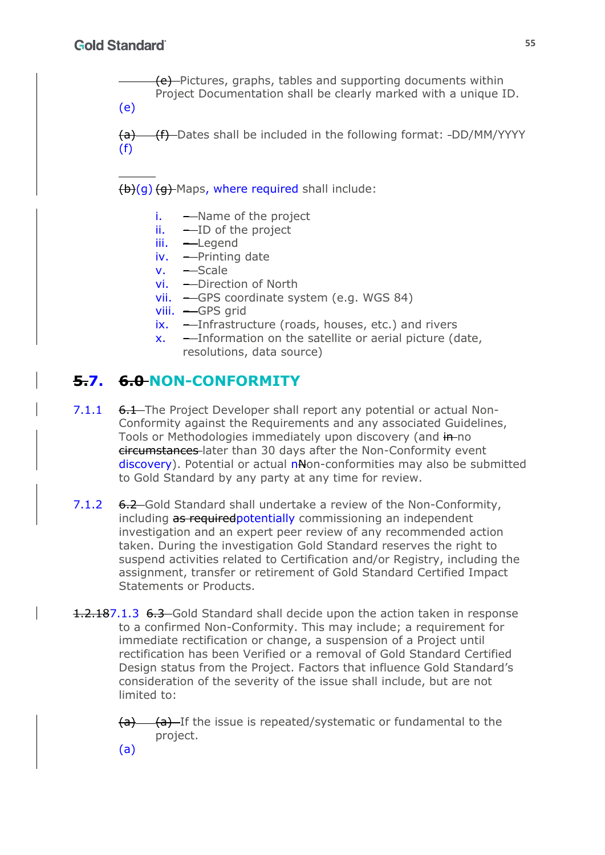(e) Pictures, graphs, tables and supporting documents within Project Documentation shall be clearly marked with a unique ID.

(e)

(a) (f) Dates shall be included in the following format: -DD/MM/YYYY (f)

 $(b)(q)$  (a) Maps, where required shall include:

- i. Name of the project
- $ii.$   $\longrightarrow$  ID of the project
- iii. Legend
- iv. Printing date
- v. Scale
- vi. Direction of North
- vii. GPS coordinate system (e.g. WGS 84)
- viii. GPS grid
- ix. Infrastructure (roads, houses, etc.) and rivers
- x. Information on the satellite or aerial picture (date, resolutions, data source)

# **5.7. 6.0 NON-CONFORMITY**

- 7.1.1 6.1 The Project Developer shall report any potential or actual Non-Conformity against the Requirements and any associated Guidelines, Tools or Methodologies immediately upon discovery (and in-no circumstances later than 30 days after the Non-Conformity event discovery). Potential or actual n<sub>N</sub>on-conformities may also be submitted to Gold Standard by any party at any time for review.
- 7.1.2 6.2 Gold Standard shall undertake a review of the Non-Conformity, including as required potentially commissioning an independent investigation and an expert peer review of any recommended action taken. During the investigation Gold Standard reserves the right to suspend activities related to Certification and/or Registry, including the assignment, transfer or retirement of Gold Standard Certified Impact Statements or Products.
- 1.2.187.1.3 6.3 Gold Standard shall decide upon the action taken in response to a confirmed Non-Conformity. This may include; a requirement for immediate rectification or change, a suspension of a Project until rectification has been Verified or a removal of Gold Standard Certified Design status from the Project. Factors that influence Gold Standard's consideration of the severity of the issue shall include, but are not limited to:
	- $(a)$  (a) If the issue is repeated/systematic or fundamental to the project.

**55**

(a)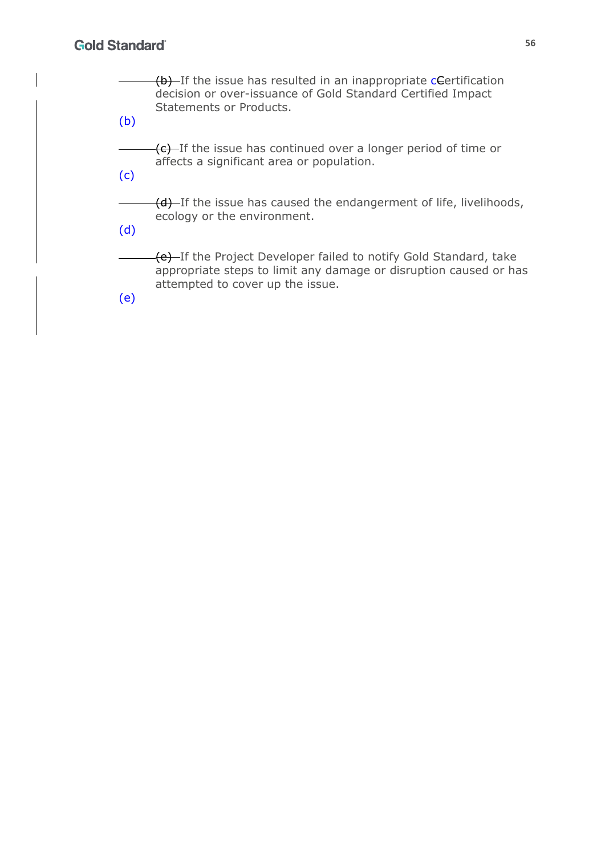(b) If the issue has resulted in an inappropriate certification decision or over-issuance of Gold Standard Certified Impact Statements or Products. (b) (c) If the issue has continued over a longer period of time or affects a significant area or population.

(c)

(d) If the issue has caused the endangerment of life, livelihoods, ecology or the environment.

(d)

(e) If the Project Developer failed to notify Gold Standard, take appropriate steps to limit any damage or disruption caused or has attempted to cover up the issue.

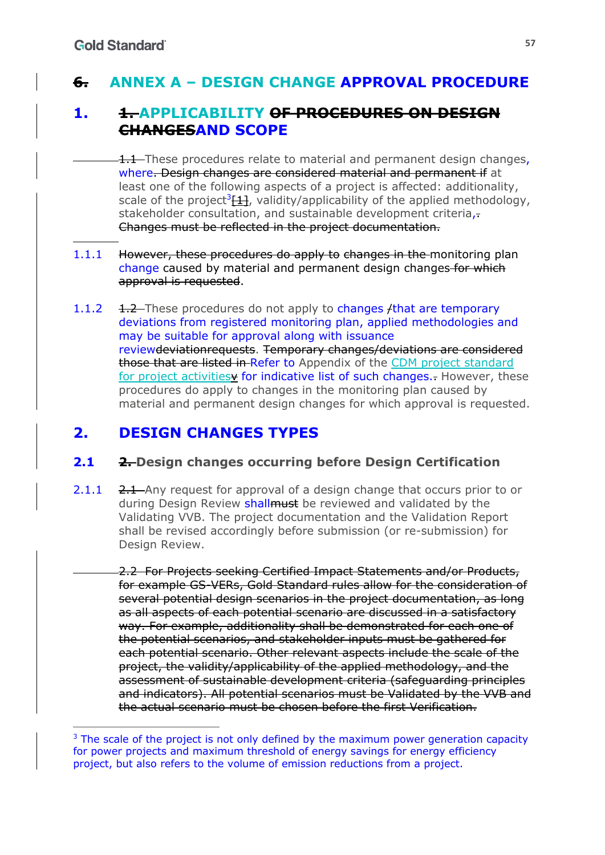# **6. ANNEX A – DESIGN CHANGE APPROVAL PROCEDURE**

# **1. 1. APPLICABILITY OF PROCEDURES ON DESIGN CHANGESAND SCOPE**

**1.1** These procedures relate to material and permanent design changes, where. Design changes are considered material and permanent if at least one of the following aspects of a project is affected: additionality, scale of the project<sup>3</sup> $[1]$ , validity/applicability of the applied methodology, stakeholder consultation, and sustainable development criteria,-Changes must be reflected in the project documentation.

#### 1.1.1 However, these procedures do apply to changes in the monitoring plan change caused by material and permanent design changes for which approval is requested.

1.1.2 1.2 These procedures do not apply to changes */that are temporary* deviations from registered monitoring plan, applied methodologies and may be suitable for approval along with issuance reviewdeviationrequests. Temporary changes/deviations are considered those that are listed in Refer to Appendix of the CDM project standard for project activities for indicative list of such changes. However, these procedures do apply to changes in the monitoring plan caused by material and permanent design changes for which approval is requested.

# **2. DESIGN CHANGES TYPES**

# **2.1 2. Design changes occurring before Design Certification**

2.1.1 2.1 Any request for approval of a design change that occurs prior to or during Design Review shallmust be reviewed and validated by the Validating VVB. The project documentation and the Validation Report shall be revised accordingly before submission (or re-submission) for Design Review.

2.2 For Projects seeking Certified Impact Statements and/or Products, for example GS-VERs, Gold Standard rules allow for the consideration of several potential design scenarios in the project documentation, as long as all aspects of each potential scenario are discussed in a satisfactory way. For example, additionality shall be demonstrated for each one of the potential scenarios, and stakeholder inputs must be gathered for each potential scenario. Other relevant aspects include the scale of the project, the validity/applicability of the applied methodology, and the assessment of sustainable development criteria (safeguarding principles and indicators). All potential scenarios must be Validated by the VVB and the actual scenario must be chosen before the first Verification.

 $3$  The scale of the project is not only defined by the maximum power generation capacity for power projects and maximum threshold of energy savings for energy efficiency project, but also refers to the volume of emission reductions from a project.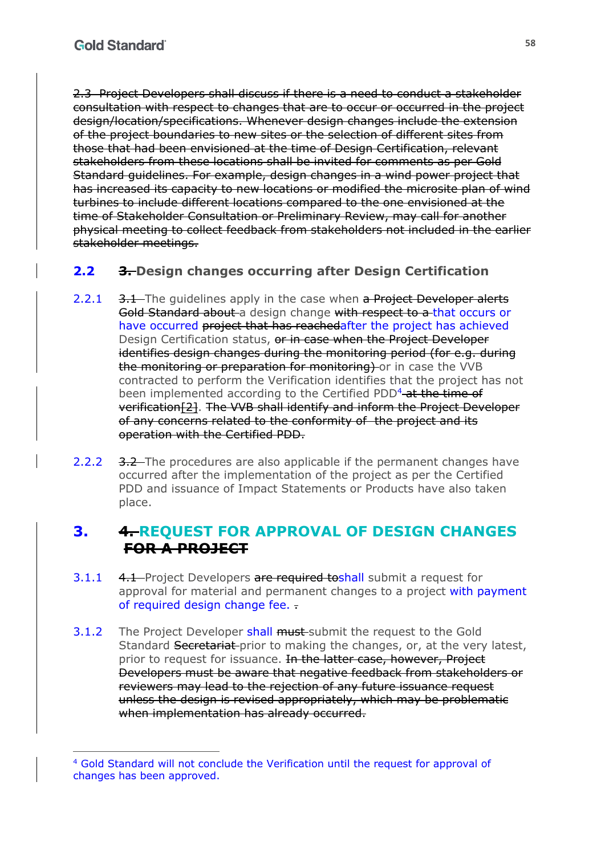2.3 Project Developers shall discuss if there is a need to conduct a stakeholder consultation with respect to changes that are to occur or occurred in the project design/location/specifications. Whenever design changes include the extension of the project boundaries to new sites or the selection of different sites from those that had been envisioned at the time of Design Certification, relevant stakeholders from these locations shall be invited for comments as per Gold Standard guidelines. For example, design changes in a wind power project that has increased its capacity to new locations or modified the microsite plan of wind turbines to include different locations compared to the one envisioned at the time of Stakeholder Consultation or Preliminary Review, may call for another physical meeting to collect feedback from stakeholders not included in the earlier stakeholder meetings.

# **2.2 3. Design changes occurring after Design Certification**

- 2.2.1 3.1 The quidelines apply in the case when a Project Developer alerts Gold Standard about a design change with respect to a that occurs or have occurred project that has reachedafter the project has achieved Design Certification status, or in case when the Project Developer identifies design changes during the monitoring period (for e.g. during the monitoring or preparation for monitoring) or in case the VVB contracted to perform the Verification identifies that the project has not been implemented according to the Certified PDD<sup>4</sup> at the time of verification[2]. The VVB shall identify and inform the Project Developer of any concerns related to the conformity of the project and its operation with the Certified PDD.
- 2.2.2 3.2 The procedures are also applicable if the permanent changes have occurred after the implementation of the project as per the Certified PDD and issuance of Impact Statements or Products have also taken place.

# **3. 4. REQUEST FOR APPROVAL OF DESIGN CHANGES FOR A PROJECT**

- 3.1.1 4.1 Project Developers are required to shall submit a request for approval for material and permanent changes to a project with payment of required design change fee. .
- 3.1.2 The Project Developer shall must submit the request to the Gold Standard Secretariat-prior to making the changes, or, at the very latest, prior to request for issuance. In the latter case, however, Project Developers must be aware that negative feedback from stakeholders or reviewers may lead to the rejection of any future issuance request unless the design is revised appropriately, which may be problematic when implementation has already occurred.

<sup>4</sup> Gold Standard will not conclude the Verification until the request for approval of changes has been approved.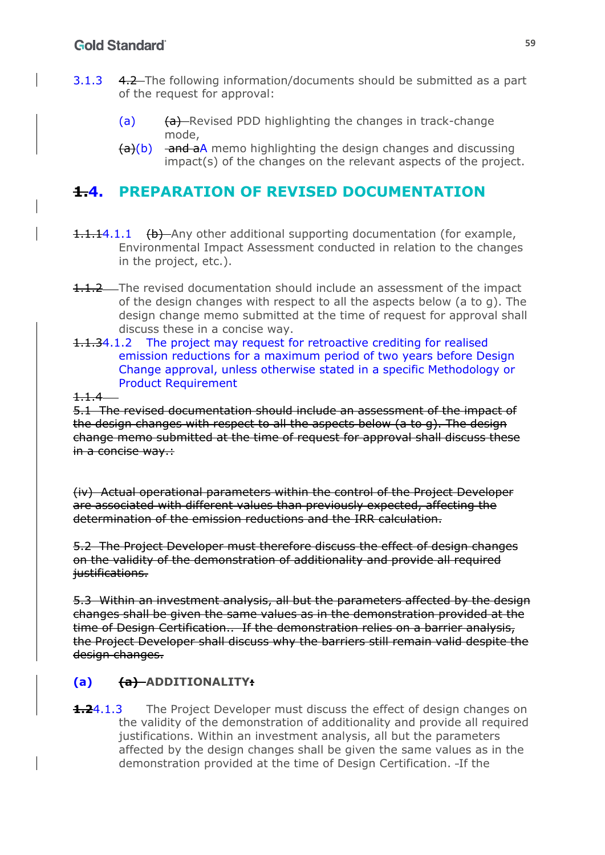- 3.1.3 4.2 The following information/documents should be submitted as a part of the request for approval:
	- (a) (a) (a) Revised PDD highlighting the changes in track-change mode,
	- $(a)(b)$  and aA memo highlighting the design changes and discussing impact(s) of the changes on the relevant aspects of the project.

# **1.4. PREPARATION OF REVISED DOCUMENTATION**

- 1.1.14.1.1 (b) Any other additional supporting documentation (for example, Environmental Impact Assessment conducted in relation to the changes in the project, etc.).
- **1.1.2** The revised documentation should include an assessment of the impact of the design changes with respect to all the aspects below (a to g). The design change memo submitted at the time of request for approval shall discuss these in a concise way.
- 1.1.34.1.2 The project may request for retroactive crediting for realised emission reductions for a maximum period of two years before Design Change approval, unless otherwise stated in a specific Methodology or Product Requirement

1.1.4

5.1 The revised documentation should include an assessment of the impact of the design changes with respect to all the aspects below (a to g). The design change memo submitted at the time of request for approval shall discuss these in a concise way.:

(iv) Actual operational parameters within the control of the Project Developer are associated with different values than previously expected, affecting the determination of the emission reductions and the IRR calculation.

5.2 The Project Developer must therefore discuss the effect of design changes on the validity of the demonstration of additionality and provide all required justifications.

5.3 Within an investment analysis, all but the parameters affected by the design changes shall be given the same values as in the demonstration provided at the time of Design Certification.. If the demonstration relies on a barrier analysis, the Project Developer shall discuss why the barriers still remain valid despite the design changes.

# **(a) (a) ADDITIONALITY:**

**1.2**4.1.3 The Project Developer must discuss the effect of design changes on the validity of the demonstration of additionality and provide all required justifications. Within an investment analysis, all but the parameters affected by the design changes shall be given the same values as in the demonstration provided at the time of Design Certification. - If the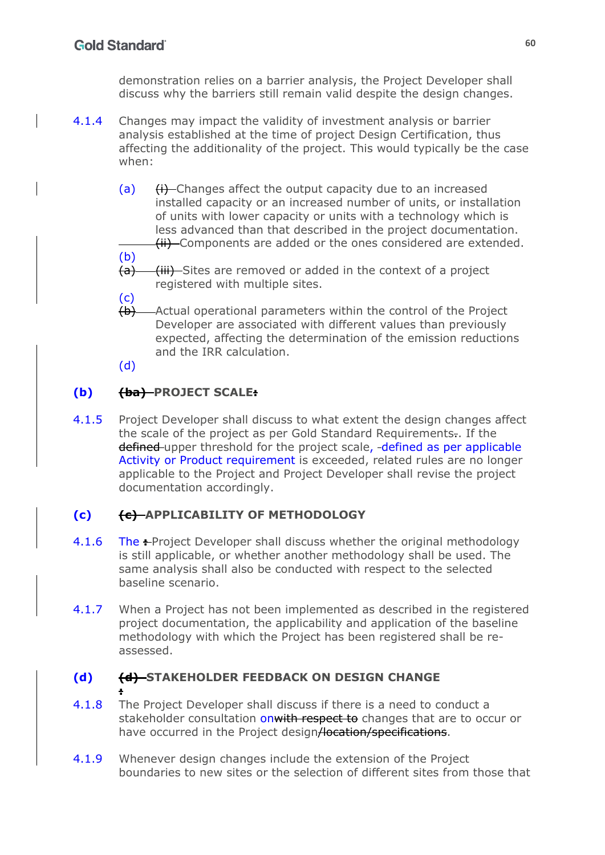demonstration relies on a barrier analysis, the Project Developer shall discuss why the barriers still remain valid despite the design changes.

- 4.1.4 Changes may impact the validity of investment analysis or barrier analysis established at the time of project Design Certification, thus affecting the additionality of the project. This would typically be the case when:
	- $(a)$  (i) Changes affect the output capacity due to an increased installed capacity or an increased number of units, or installation of units with lower capacity or units with a technology which is less advanced than that described in the project documentation. (ii) Components are added or the ones considered are extended.
	- (b) (a) (iii) Sites are removed or added in the context of a project registered with multiple sites.
	- (c)
	- (b) Actual operational parameters within the control of the Project Developer are associated with different values than previously expected, affecting the determination of the emission reductions and the IRR calculation.

(d)

# **(b) (ba) PROJECT SCALE:**

4.1.5 Project Developer shall discuss to what extent the design changes affect the scale of the project as per Gold Standard Requirements.. If the defined upper threshold for the project scale, -defined as per applicable Activity or Product requirement is exceeded, related rules are no longer applicable to the Project and Project Developer shall revise the project documentation accordingly.

# **(c) (c) APPLICABILITY OF METHODOLOGY**

- 4.1.6 The **Project Developer shall discuss whether the original methodology** is still applicable, or whether another methodology shall be used. The same analysis shall also be conducted with respect to the selected baseline scenario.
- 4.1.7 When a Project has not been implemented as described in the registered project documentation, the applicability and application of the baseline methodology with which the Project has been registered shall be reassessed.

#### **(d) (d) STAKEHOLDER FEEDBACK ON DESIGN CHANGE :**

- 4.1.8 The Project Developer shall discuss if there is a need to conduct a stakeholder consultation on with respect to changes that are to occur or have occurred in the Project design/location/specifications.
- 4.1.9 Whenever design changes include the extension of the Project boundaries to new sites or the selection of different sites from those that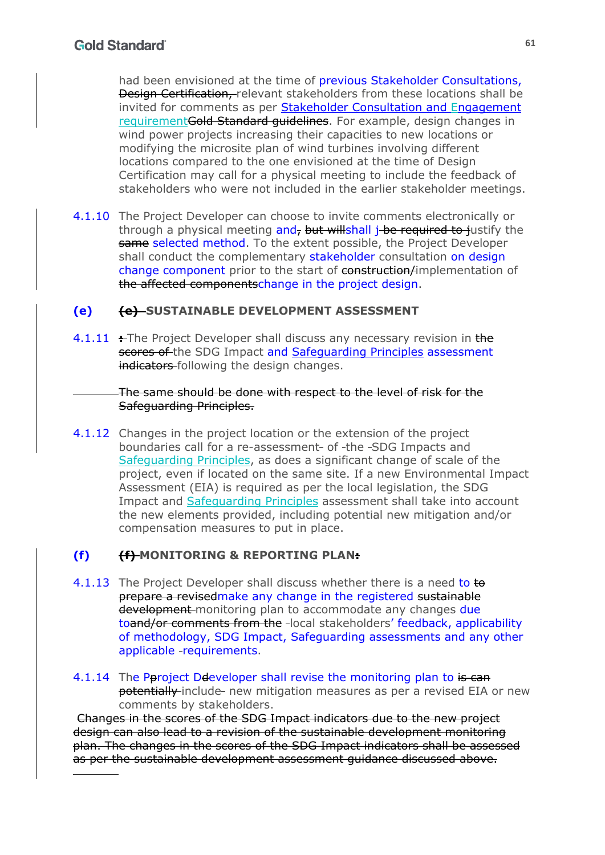had been envisioned at the time of previous Stakeholder Consultations, Design Certification, relevant stakeholders from these locations shall be invited for comments as per Stakeholder Consultation and Engagement requirement Gold Standard quidelines. For example, design changes in wind power projects increasing their capacities to new locations or modifying the microsite plan of wind turbines involving different locations compared to the one envisioned at the time of Design Certification may call for a physical meeting to include the feedback of stakeholders who were not included in the earlier stakeholder meetings.

4.1.10 The Project Developer can choose to invite comments electronically or through a physical meeting and, but willshall *j* be required to justify the same selected method. To the extent possible, the Project Developer shall conduct the complementary stakeholder consultation on design change component prior to the start of construction/implementation of the affected componentschange in the project design.

## **(e) (e) SUSTAINABLE DEVELOPMENT ASSESSMENT**

4.1.11 **:** The Project Developer shall discuss any necessary revision in the scores of the SDG Impact and Safeguarding Principles assessment indicators following the design changes.

#### The same should be done with respect to the level of risk for the Safeguarding Principles.

4.1.12 Changes in the project location or the extension of the project boundaries call for a re-assessment- of -the -SDG Impacts and Safeguarding Principles, as does a significant change of scale of the project, even if located on the same site. If a new Environmental Impact Assessment (EIA) is required as per the local legislation, the SDG Impact and Safeguarding Principles assessment shall take into account the new elements provided, including potential new mitigation and/or compensation measures to put in place.

## **(f) (f) MONITORING & REPORTING PLAN:**

- 4.1.13 The Project Developer shall discuss whether there is a need to to prepare a revisedmake any change in the registered sustainable development-monitoring plan to accommodate any changes due toand/or comments from the -local stakeholders' feedback, applicability of methodology, SDG Impact, Safeguarding assessments and any other applicable -requirements.
- 4.1.14 The Peroject Deteveloper shall revise the monitoring plan to is can potentially include new mitigation measures as per a revised EIA or new comments by stakeholders.

Changes in the scores of the SDG Impact indicators due to the new project design can also lead to a revision of the sustainable development monitoring plan. The changes in the scores of the SDG Impact indicators shall be assessed as per the sustainable development assessment guidance discussed above.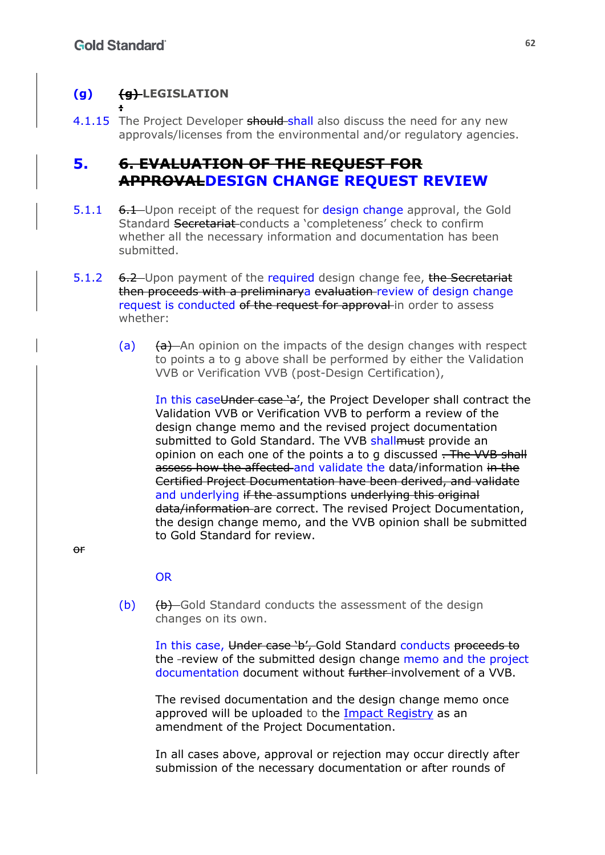#### **(g) (g) LEGISLATION :**

4.1.15 The Project Developer should shall also discuss the need for any new approvals/licenses from the environmental and/or regulatory agencies.

# **5. 6. EVALUATION OF THE REQUEST FOR APPROVALDESIGN CHANGE REQUEST REVIEW**

- 5.1.1 6.1 Upon receipt of the request for design change approval, the Gold Standard Secretariat conducts a 'completeness' check to confirm whether all the necessary information and documentation has been submitted.
- 5.1.2 6.2 Upon payment of the required design change fee, the Secretariat then proceeds with a preliminarya evaluation review of design change request is conducted of the request for approval in order to assess whether:
	- (a)  $(a)$   $(a)$  An opinion on the impacts of the design changes with respect to points a to g above shall be performed by either the Validation VVB or Verification VVB (post-Design Certification),

In this caseUnder case 'a', the Project Developer shall contract the Validation VVB or Verification VVB to perform a review of the design change memo and the revised project documentation submitted to Gold Standard. The VVB shall must provide an opinion on each one of the points a to g discussed . The VVB shall assess how the affected and validate the data/information in the Certified Project Documentation have been derived, and validate and underlying if the assumptions underlying this original data/information-are correct. The revised Project Documentation, the design change memo, and the VVB opinion shall be submitted to Gold Standard for review.

 $\theta$ <sup>r</sup>

#### **OR**

(b) (b) Gold Standard conducts the assessment of the design changes on its own.

In this case, Under case 'b', Gold Standard conducts proceeds to the -review of the submitted design change memo and the project documentation document without further involvement of a VVB.

The revised documentation and the design change memo once approved will be uploaded to the Impact Registry as an amendment of the Project Documentation.

In all cases above, approval or rejection may occur directly after submission of the necessary documentation or after rounds of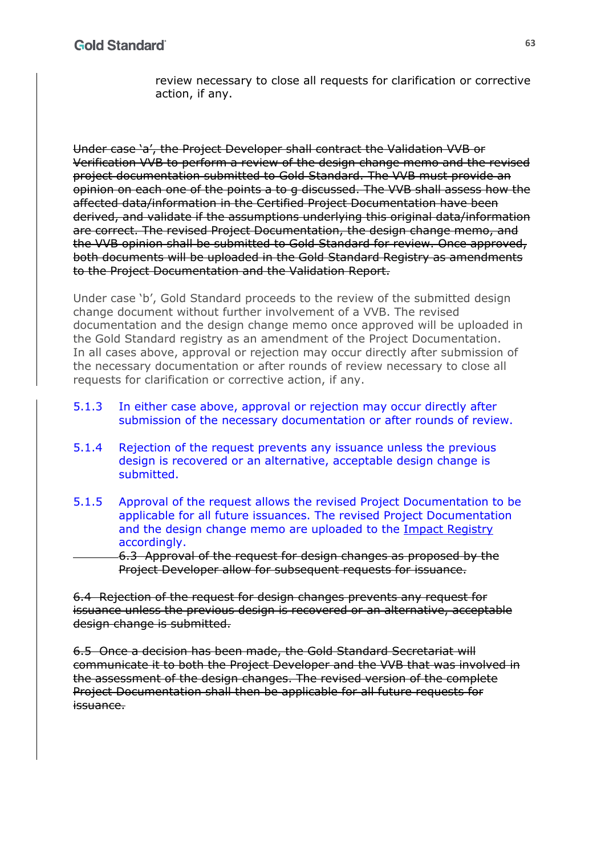review necessary to close all requests for clarification or corrective action, if any.

Under case 'a', the Project Developer shall contract the Validation VVB or Verification VVB to perform a review of the design change memo and the revised project documentation submitted to Gold Standard. The VVB must provide an opinion on each one of the points a to g discussed. The VVB shall assess how the affected data/information in the Certified Project Documentation have been derived, and validate if the assumptions underlying this original data/information are correct. The revised Project Documentation, the design change memo, and the VVB opinion shall be submitted to Gold Standard for review. Once approved, both documents will be uploaded in the Gold Standard Registry as amendments to the Project Documentation and the Validation Report.

Under case 'b', Gold Standard proceeds to the review of the submitted design change document without further involvement of a VVB. The revised documentation and the design change memo once approved will be uploaded in the Gold Standard registry as an amendment of the Project Documentation. In all cases above, approval or rejection may occur directly after submission of the necessary documentation or after rounds of review necessary to close all requests for clarification or corrective action, if any.

- 5.1.3 In either case above, approval or rejection may occur directly after submission of the necessary documentation or after rounds of review.
- 5.1.4 Rejection of the request prevents any issuance unless the previous design is recovered or an alternative, acceptable design change is submitted.
- 5.1.5 Approval of the request allows the revised Project Documentation to be applicable for all future issuances. The revised Project Documentation and the design change memo are uploaded to the Impact Registry accordingly.

6.3 Approval of the request for design changes as proposed by the Project Developer allow for subsequent requests for issuance.

6.4 Rejection of the request for design changes prevents any request for issuance unless the previous design is recovered or an alternative, acceptable design change is submitted.

6.5 Once a decision has been made, the Gold Standard Secretariat will communicate it to both the Project Developer and the VVB that was involved in the assessment of the design changes. The revised version of the complete Project Documentation shall then be applicable for all future requests for issuance.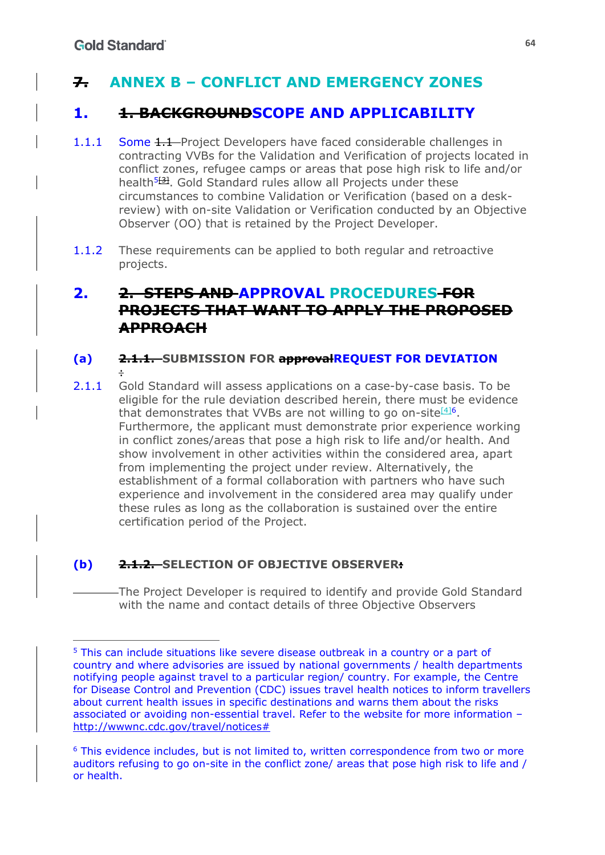# **7. ANNEX B – CONFLICT AND EMERGENCY ZONES**

# **1. 1. BACKGROUNDSCOPE AND APPLICABILITY**

- 1.1.1 Some 1.1 Project Developers have faced considerable challenges in contracting VVBs for the Validation and Verification of projects located in conflict zones, refugee camps or areas that pose high risk to life and/or health<sup>5<del>[2]</del>. Gold Standard rules allow all Projects under these</sup> circumstances to combine Validation or Verification (based on a deskreview) with on-site Validation or Verification conducted by an Objective Observer (OO) that is retained by the Project Developer.
- 1.1.2 These requirements can be applied to both regular and retroactive projects.

# **2. 2. STEPS AND APPROVAL PROCEDURES FOR PROJECTS THAT WANT TO APPLY THE PROPOSED APPROACH**

#### **(a) 2.1.1. SUBMISSION FOR approvalREQUEST FOR DEVIATION**  :

2.1.1 Gold Standard will assess applications on a case-by-case basis. To be eligible for the rule deviation described herein, there must be evidence that demonstrates that VVBs are not willing to go on-site $[4]$ <sup>6</sup>. Furthermore, the applicant must demonstrate prior experience working in conflict zones/areas that pose a high risk to life and/or health. And show involvement in other activities within the considered area, apart from implementing the project under review. Alternatively, the establishment of a formal collaboration with partners who have such experience and involvement in the considered area may qualify under these rules as long as the collaboration is sustained over the entire certification period of the Project.

## **(b) 2.1.2. SELECTION OF OBJECTIVE OBSERVER:**

The Project Developer is required to identify and provide Gold Standard with the name and contact details of three Objective Observers

<sup>&</sup>lt;sup>5</sup> This can include situations like severe disease outbreak in a country or a part of country and where advisories are issued by national governments / health departments notifying people against travel to a particular region/ country. For example, the Centre for Disease Control and Prevention (CDC) issues travel health notices to inform travellers about current health issues in specific destinations and warns them about the risks associated or avoiding non-essential travel. Refer to the website for more information – http://wwwnc.cdc.gov/travel/notices#

<sup>6</sup> This evidence includes, but is not limited to, written correspondence from two or more auditors refusing to go on-site in the conflict zone/ areas that pose high risk to life and / or health.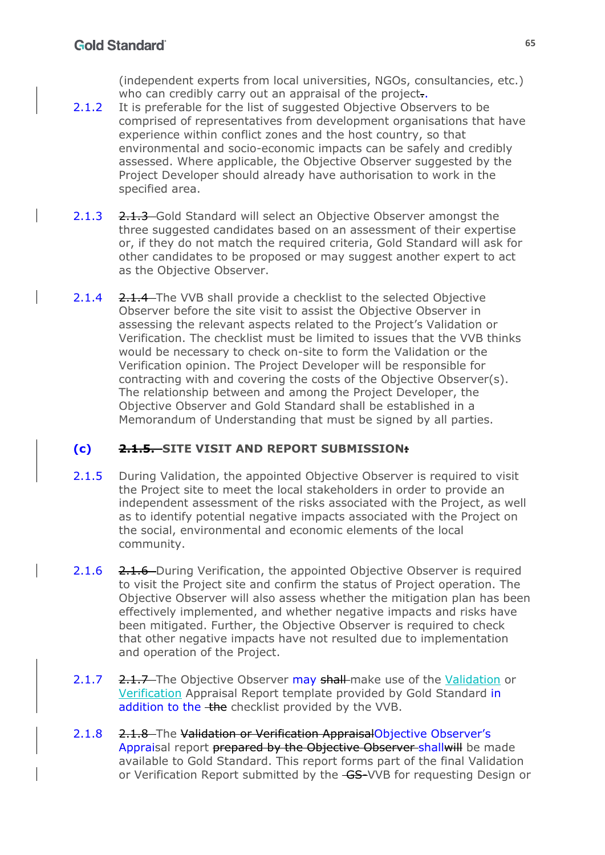(independent experts from local universities, NGOs, consultancies, etc.) who can credibly carry out an appraisal of the project..

- 2.1.2 It is preferable for the list of suggested Objective Observers to be comprised of representatives from development organisations that have experience within conflict zones and the host country, so that environmental and socio-economic impacts can be safely and credibly assessed. Where applicable, the Objective Observer suggested by the Project Developer should already have authorisation to work in the specified area.
- 2.1.3 2.1.3 Gold Standard will select an Objective Observer amongst the three suggested candidates based on an assessment of their expertise or, if they do not match the required criteria, Gold Standard will ask for other candidates to be proposed or may suggest another expert to act as the Objective Observer.
- 2.1.4 2.1.4 The VVB shall provide a checklist to the selected Objective Observer before the site visit to assist the Objective Observer in assessing the relevant aspects related to the Project's Validation or Verification. The checklist must be limited to issues that the VVB thinks would be necessary to check on-site to form the Validation or the Verification opinion. The Project Developer will be responsible for contracting with and covering the costs of the Objective Observer(s). The relationship between and among the Project Developer, the Objective Observer and Gold Standard shall be established in a Memorandum of Understanding that must be signed by all parties.

## **(c) 2.1.5. SITE VISIT AND REPORT SUBMISSION:**

- 2.1.5 During Validation, the appointed Objective Observer is required to visit the Project site to meet the local stakeholders in order to provide an independent assessment of the risks associated with the Project, as well as to identify potential negative impacts associated with the Project on the social, environmental and economic elements of the local community.
- 2.1.6 2.1.6 During Verification, the appointed Objective Observer is required to visit the Project site and confirm the status of Project operation. The Objective Observer will also assess whether the mitigation plan has been effectively implemented, and whether negative impacts and risks have been mitigated. Further, the Objective Observer is required to check that other negative impacts have not resulted due to implementation and operation of the Project.
- 2.1.7 2.1.7 The Objective Observer may shall make use of the Validation or Verification Appraisal Report template provided by Gold Standard in addition to the the checklist provided by the VVB.
- 2.1.8 2.1.8 The Validation or Verification AppraisalObjective Observer's Appraisal report prepared by the Objective Observer shall will be made available to Gold Standard. This report forms part of the final Validation or Verification Report submitted by the GS-VVB for requesting Design or